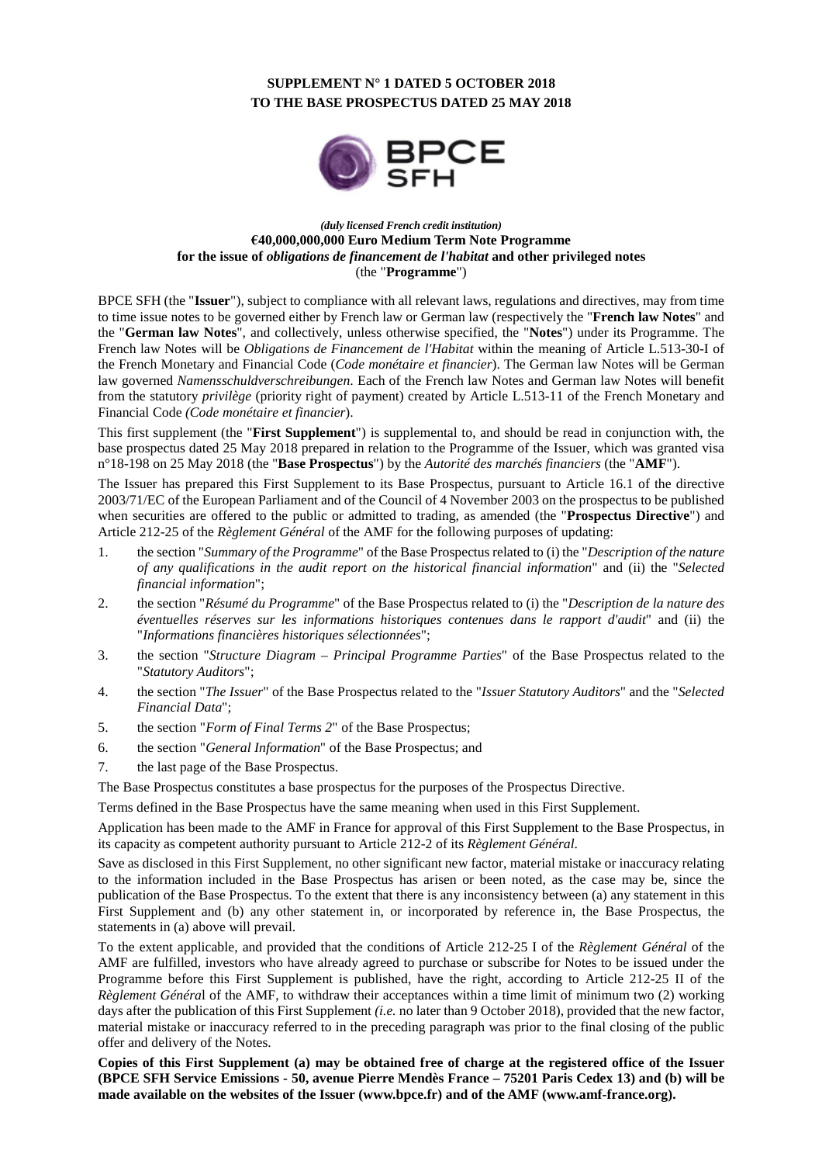### **SUPPLEMENT N° 1 DATED 5 OCTOBER 2018 TO THE BASE PROSPECTUS DATED 25 MAY 2018**



#### *(duly licensed French credit institution)* **€40,000,000,000 Euro Medium Term Note Programme for the issue of** *obligations de financement de l'habitat* **and other privileged notes** (the "**Programme**")

BPCE SFH (the "**Issuer**"), subject to compliance with all relevant laws, regulations and directives, may from time to time issue notes to be governed either by French law or German law (respectively the "**French law Notes**" and the "**German law Notes**", and collectively, unless otherwise specified, the "**Notes**") under its Programme. The French law Notes will be *Obligations de Financement de l'Habitat* within the meaning of Article L.513-30-I of the French Monetary and Financial Code (*Code monétaire et financier*). The German law Notes will be German law governed *Namensschuldverschreibungen*. Each of the French law Notes and German law Notes will benefit from the statutory *privilège* (priority right of payment) created by Article L.513-11 of the French Monetary and Financial Code *(Code monétaire et financier*).

This first supplement (the "**First Supplement**") is supplemental to, and should be read in conjunction with, the base prospectus dated 25 May 2018 prepared in relation to the Programme of the Issuer, which was granted visa n°18-198 on 25 May 2018 (the "**Base Prospectus**") by the *Autorité des marchés financiers* (the "**AMF**").

The Issuer has prepared this First Supplement to its Base Prospectus, pursuant to Article 16.1 of the directive 2003/71/EC of the European Parliament and of the Council of 4 November 2003 on the prospectus to be published when securities are offered to the public or admitted to trading, as amended (the "**Prospectus Directive**") and Article 212-25 of the *Règlement Général* of the AMF for the following purposes of updating:

- 1. the section "*Summary of the Programme*" of the Base Prospectus related to (i) the "*Description of the nature of any qualifications in the audit report on the historical financial information*" and (ii) the "*Selected financial information*";
- 2. the section "*Résumé du Programme*" of the Base Prospectus related to (i) the "*Description de la nature des éventuelles réserves sur les informations historiques contenues dans le rapport d'audit*" and (ii) the "*Informations financières historiques sélectionnées*";
- 3. the section "*Structure Diagram Principal Programme Parties*" of the Base Prospectus related to the "*Statutory Auditors*";
- 4. the section "*The Issuer*" of the Base Prospectus related to the "*Issuer Statutory Auditors*" and the "*Selected Financial Data*";
- 5. the section "*Form of Final Terms 2*" of the Base Prospectus;
- 6. the section "*General Information*" of the Base Prospectus; and
- 7. the last page of the Base Prospectus.

The Base Prospectus constitutes a base prospectus for the purposes of the Prospectus Directive.

Terms defined in the Base Prospectus have the same meaning when used in this First Supplement.

Application has been made to the AMF in France for approval of this First Supplement to the Base Prospectus, in its capacity as competent authority pursuant to Article 212-2 of its *Règlement Général*.

Save as disclosed in this First Supplement, no other significant new factor, material mistake or inaccuracy relating to the information included in the Base Prospectus has arisen or been noted, as the case may be, since the publication of the Base Prospectus. To the extent that there is any inconsistency between (a) any statement in this First Supplement and (b) any other statement in, or incorporated by reference in, the Base Prospectus, the statements in (a) above will prevail.

To the extent applicable, and provided that the conditions of Article 212-25 I of the *Règlement Général* of the AMF are fulfilled, investors who have already agreed to purchase or subscribe for Notes to be issued under the Programme before this First Supplement is published, have the right, according to Article 212-25 II of the *Règlement Généra*l of the AMF, to withdraw their acceptances within a time limit of minimum two (2) working days after the publication of this First Supplement *(i.e.* no later than 9 October 2018), provided that the new factor, material mistake or inaccuracy referred to in the preceding paragraph was prior to the final closing of the public offer and delivery of the Notes.

**Copies of this First Supplement (a) may be obtained free of charge at the registered office of the Issuer (BPCE SFH Service Emissions - 50, avenue Pierre Mendès France – 75201 Paris Cedex 13) and (b) will be made available on the websites of the Issuer (www.bpce.fr) and of the AMF (www.amf-france.org).**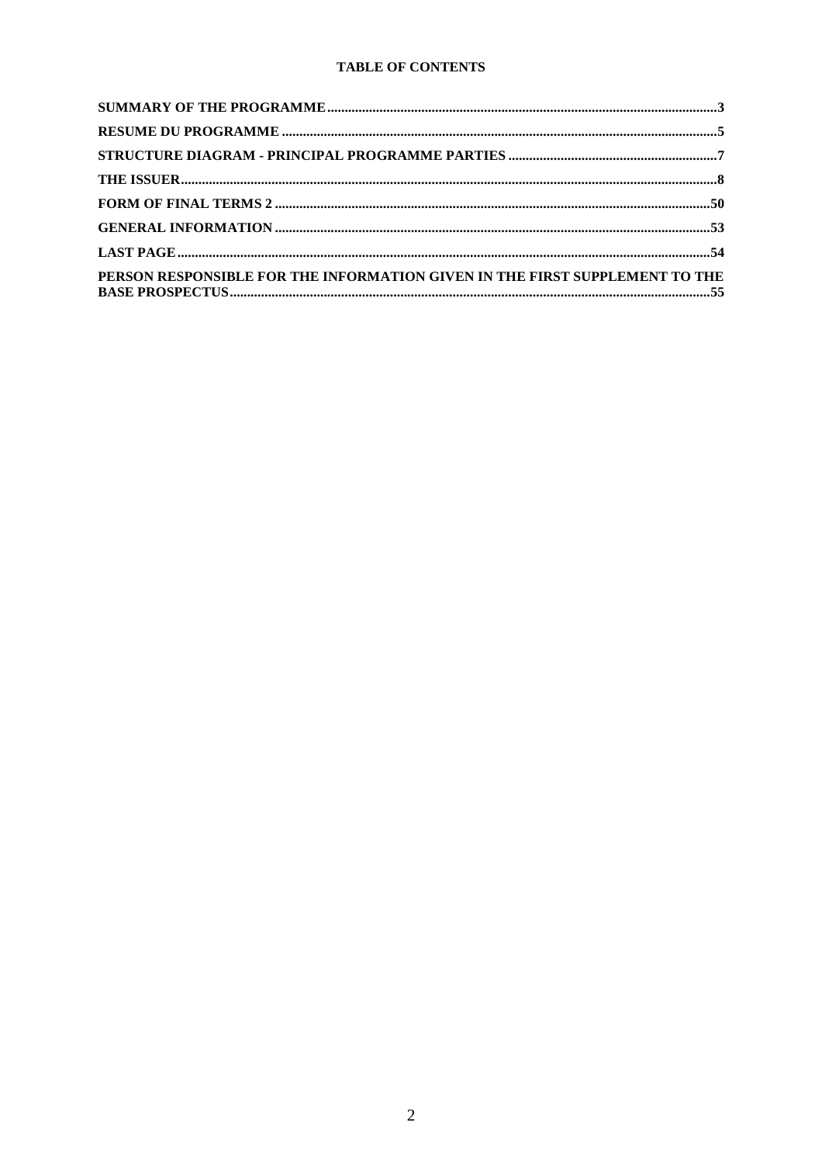### TABLE OF CONTENTS

| PERSON RESPONSIBLE FOR THE INFORMATION GIVEN IN THE FIRST SUPPLEMENT TO THE |  |
|-----------------------------------------------------------------------------|--|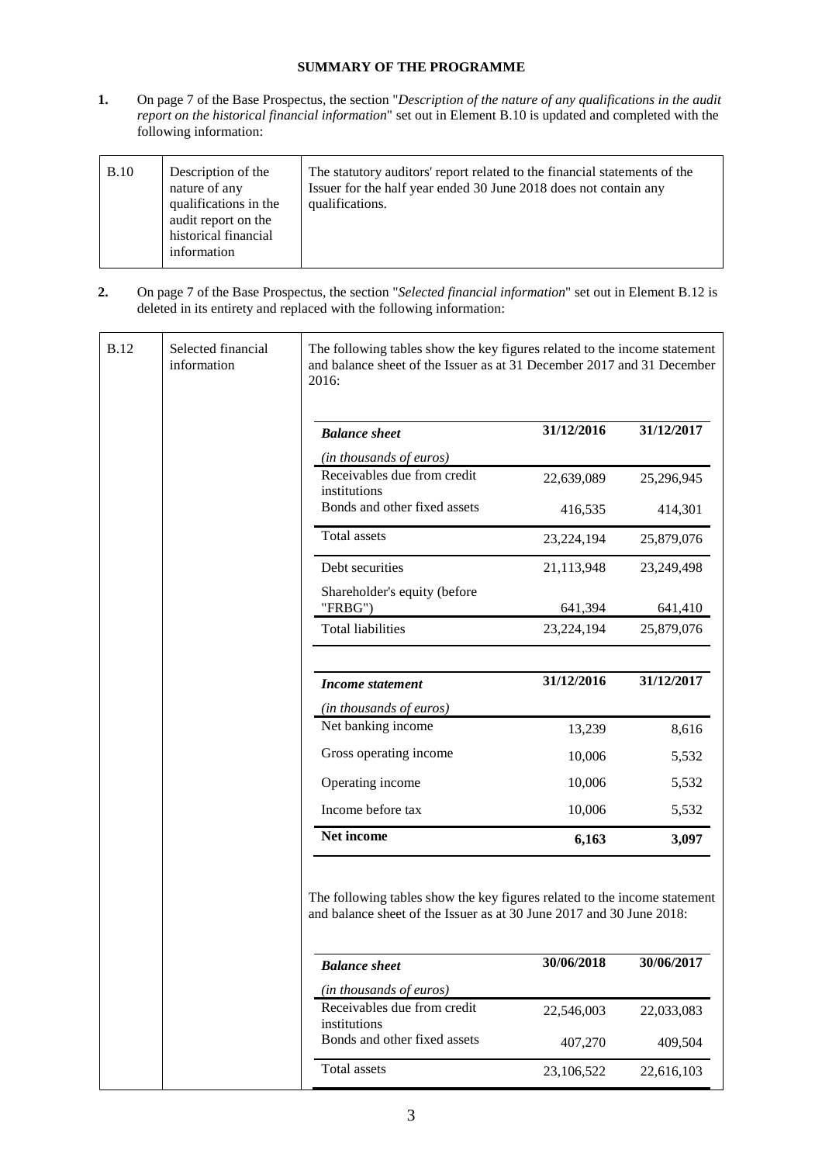### **SUMMARY OF THE PROGRAMME**

**1.** On page 7 of the Base Prospectus, the section "*Description of the nature of any qualifications in the audit report on the historical financial information*" set out in Element B.10 is updated and completed with the following information:

| B.10 | Description of the<br>nature of any<br>qualifications in the<br>audit report on the<br>historical financial<br>information | The statutory auditors' report related to the financial statements of the<br>Issuer for the half year ended 30 June 2018 does not contain any<br>qualifications. |
|------|----------------------------------------------------------------------------------------------------------------------------|------------------------------------------------------------------------------------------------------------------------------------------------------------------|
|------|----------------------------------------------------------------------------------------------------------------------------|------------------------------------------------------------------------------------------------------------------------------------------------------------------|

**2.** On page 7 of the Base Prospectus, the section "*Selected financial information*" set out in Element B.12 is deleted in its entirety and replaced with the following information:

| <b>B.12</b> | Selected financial<br>information | The following tables show the key figures related to the income statement<br>and balance sheet of the Issuer as at 31 December 2017 and 31 December<br>2016: |            |            |
|-------------|-----------------------------------|--------------------------------------------------------------------------------------------------------------------------------------------------------------|------------|------------|
|             |                                   | <b>Balance</b> sheet                                                                                                                                         | 31/12/2016 | 31/12/2017 |
|             |                                   | (in thousands of euros)                                                                                                                                      |            |            |
|             |                                   | Receivables due from credit<br>institutions                                                                                                                  | 22,639,089 | 25,296,945 |
|             |                                   | Bonds and other fixed assets                                                                                                                                 | 416,535    | 414,301    |
|             |                                   | Total assets                                                                                                                                                 | 23,224,194 | 25,879,076 |
|             |                                   | Debt securities                                                                                                                                              | 21,113,948 | 23,249,498 |
|             |                                   | Shareholder's equity (before<br>"FRBG")                                                                                                                      | 641,394    | 641,410    |
|             |                                   | <b>Total liabilities</b>                                                                                                                                     | 23,224,194 | 25,879,076 |
|             |                                   | <b>Income statement</b>                                                                                                                                      | 31/12/2016 | 31/12/2017 |
|             |                                   | (in thousands of euros)                                                                                                                                      |            |            |
|             |                                   | Net banking income                                                                                                                                           | 13,239     | 8,616      |
|             |                                   | Gross operating income                                                                                                                                       | 10,006     | 5,532      |
|             |                                   | Operating income                                                                                                                                             | 10,006     | 5,532      |
|             |                                   | Income before tax                                                                                                                                            | 10,006     | 5,532      |
|             |                                   | Net income                                                                                                                                                   | 6,163      | 3,097      |
|             |                                   | The following tables show the key figures related to the income statement<br>and balance sheet of the Issuer as at 30 June 2017 and 30 June 2018:            |            |            |
|             |                                   | <b>Balance</b> sheet                                                                                                                                         | 30/06/2018 | 30/06/2017 |
|             |                                   | (in thousands of euros)                                                                                                                                      |            |            |
|             |                                   | Receivables due from credit<br>institutions                                                                                                                  | 22,546,003 | 22,033,083 |
|             |                                   | Bonds and other fixed assets                                                                                                                                 | 407,270    | 409,504    |
|             |                                   | Total assets                                                                                                                                                 | 23,106,522 | 22,616,103 |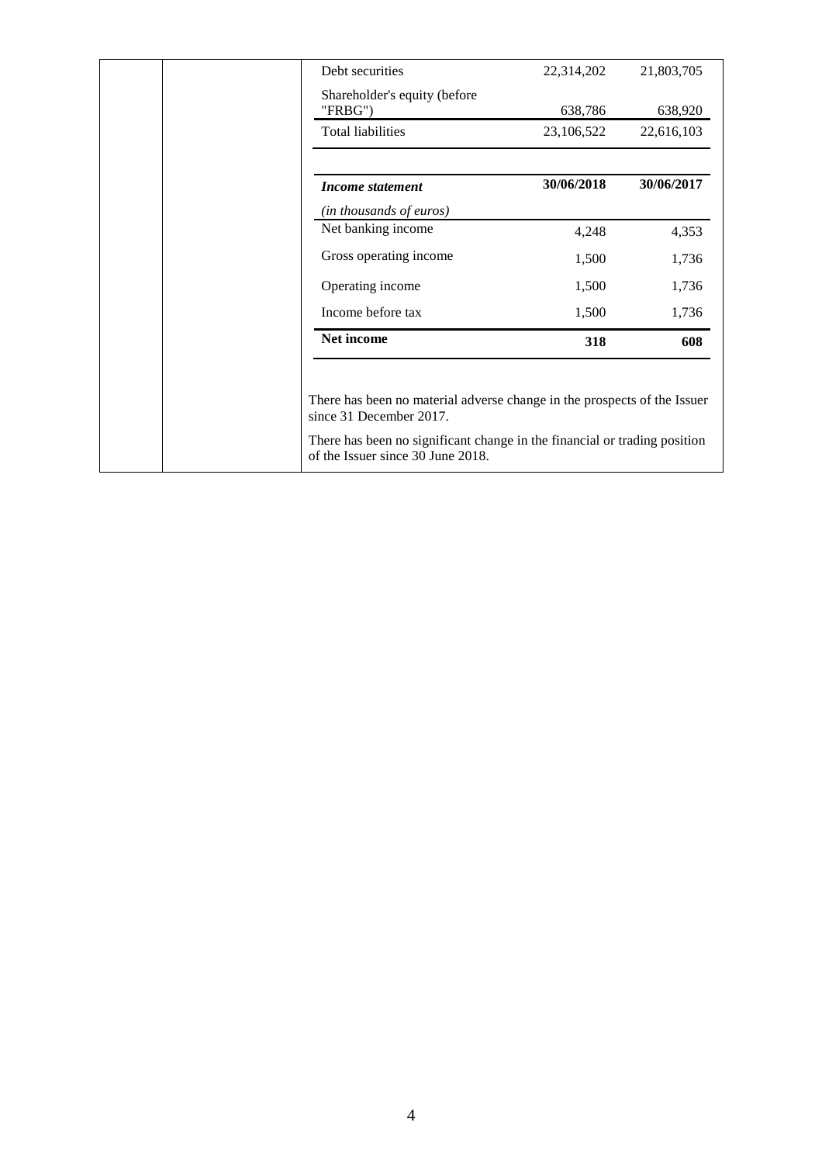| Debt securities                         | 22,314,202 | 21,803,705 |
|-----------------------------------------|------------|------------|
| Shareholder's equity (before<br>"FRBG") | 638,786    | 638,920    |
| <b>Total liabilities</b>                | 23,106,522 | 22,616,103 |
| Income statement                        | 30/06/2018 | 30/06/2017 |
| (in thousands of euros)                 |            |            |
| Net banking income                      | 4,248      | 4,353      |
| Gross operating income                  | 1,500      | 1,736      |
| Operating income                        | 1,500      | 1,736      |
| Income before tax                       | 1,500      | 1,736      |
| Net income                              | 318        | 608        |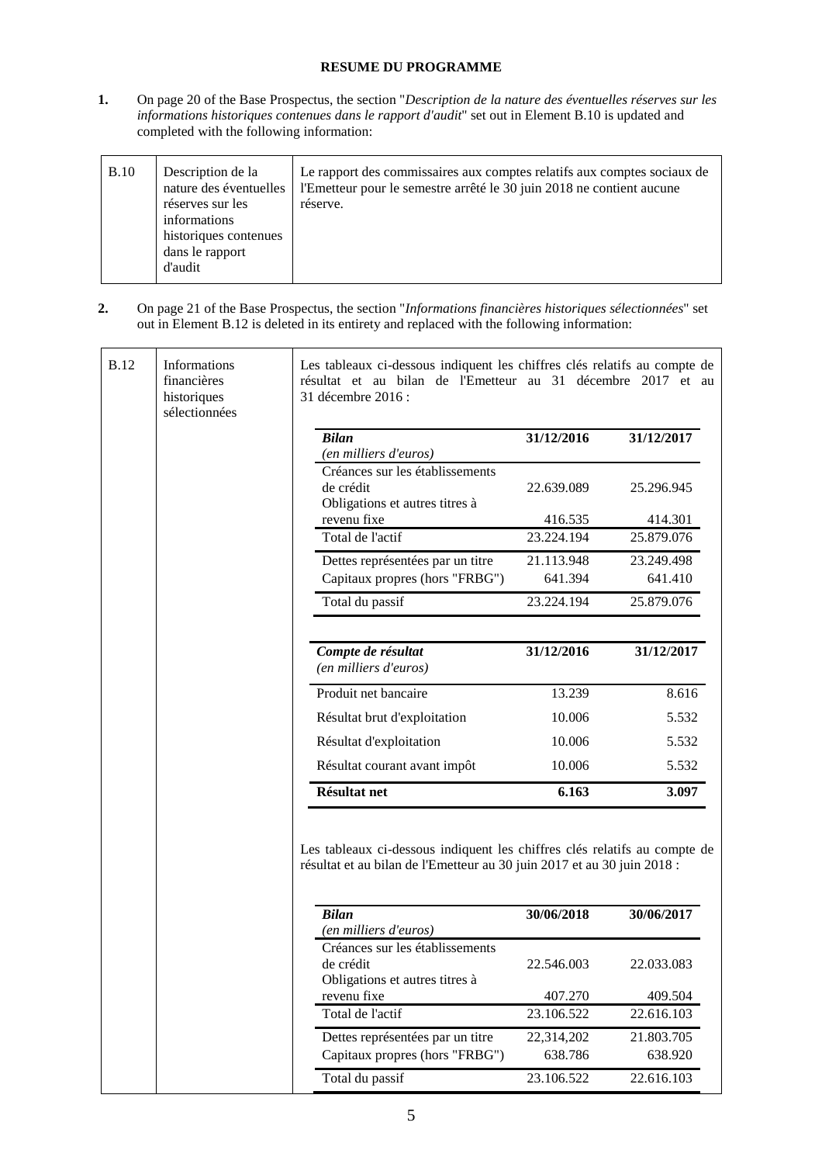### **RESUME DU PROGRAMME**

**1.** On page 20 of the Base Prospectus, the section "*Description de la nature des éventuelles réserves sur les informations historiques contenues dans le rapport d'audit*" set out in Element B.10 is updated and completed with the following information:

| B.10 | Description de la<br>nature des éventuelles<br>réserves sur les<br>informations<br>historiques contenues<br>dans le rapport<br>d'audit | Le rapport des commissaires aux comptes relatifs aux comptes sociaux de<br>l'Emetteur pour le semestre arrêté le 30 juin 2018 ne contient aucune<br>réserve. |
|------|----------------------------------------------------------------------------------------------------------------------------------------|--------------------------------------------------------------------------------------------------------------------------------------------------------------|
|------|----------------------------------------------------------------------------------------------------------------------------------------|--------------------------------------------------------------------------------------------------------------------------------------------------------------|

**2.** On page 21 of the Base Prospectus, the section "*Informations financières historiques sélectionnées*" set out in Element B.12 is deleted in its entirety and replaced with the following information:

| Informations<br>financières<br>historiques<br>sélectionnées | Les tableaux ci-dessous indiquent les chiffres clés relatifs au compte de<br>résultat et au bilan de l'Emetteur au 31 décembre 2017 et au<br>31 décembre 2016 :      |            |            |
|-------------------------------------------------------------|----------------------------------------------------------------------------------------------------------------------------------------------------------------------|------------|------------|
|                                                             | <b>Bilan</b>                                                                                                                                                         | 31/12/2016 | 31/12/2017 |
|                                                             | (en milliers d'euros)                                                                                                                                                |            |            |
|                                                             | Créances sur les établissements<br>de crédit<br>Obligations et autres titres à                                                                                       | 22.639.089 | 25.296.945 |
|                                                             | revenu fixe                                                                                                                                                          | 416.535    | 414.301    |
|                                                             | Total de l'actif                                                                                                                                                     | 23.224.194 | 25.879.076 |
|                                                             | Dettes représentées par un titre                                                                                                                                     | 21.113.948 | 23.249.498 |
|                                                             | Capitaux propres (hors "FRBG")                                                                                                                                       | 641.394    | 641.410    |
|                                                             | Total du passif                                                                                                                                                      | 23.224.194 | 25.879.076 |
|                                                             | Compte de résultat<br>(en milliers d'euros)                                                                                                                          | 31/12/2016 | 31/12/2017 |
|                                                             | Produit net bancaire                                                                                                                                                 | 13.239     | 8.616      |
|                                                             | Résultat brut d'exploitation                                                                                                                                         | 10.006     | 5.532      |
|                                                             | Résultat d'exploitation                                                                                                                                              | 10.006     | 5.532      |
|                                                             | Résultat courant avant impôt                                                                                                                                         | 10.006     | 5.532      |
|                                                             | <b>Résultat net</b>                                                                                                                                                  | 6.163      | 3.097      |
|                                                             |                                                                                                                                                                      |            |            |
|                                                             | Les tableaux ci-dessous indiquent les chiffres clés relatifs au compte de<br>résultat et au bilan de l'Emetteur au 30 juin 2017 et au 30 juin 2018 :<br><b>Bilan</b> | 30/06/2018 | 30/06/2017 |
|                                                             | (en milliers d'euros)                                                                                                                                                |            |            |
|                                                             | Créances sur les établissements                                                                                                                                      |            |            |
|                                                             | de crédit                                                                                                                                                            | 22.546.003 | 22.033.083 |
|                                                             | Obligations et autres titres à<br>revenu fixe                                                                                                                        | 407.270    | 409.504    |
|                                                             | Total de l'actif                                                                                                                                                     | 23.106.522 | 22.616.103 |
|                                                             | Dettes représentées par un titre                                                                                                                                     | 22,314,202 | 21.803.705 |
|                                                             | Capitaux propres (hors "FRBG")                                                                                                                                       | 638.786    | 638.920    |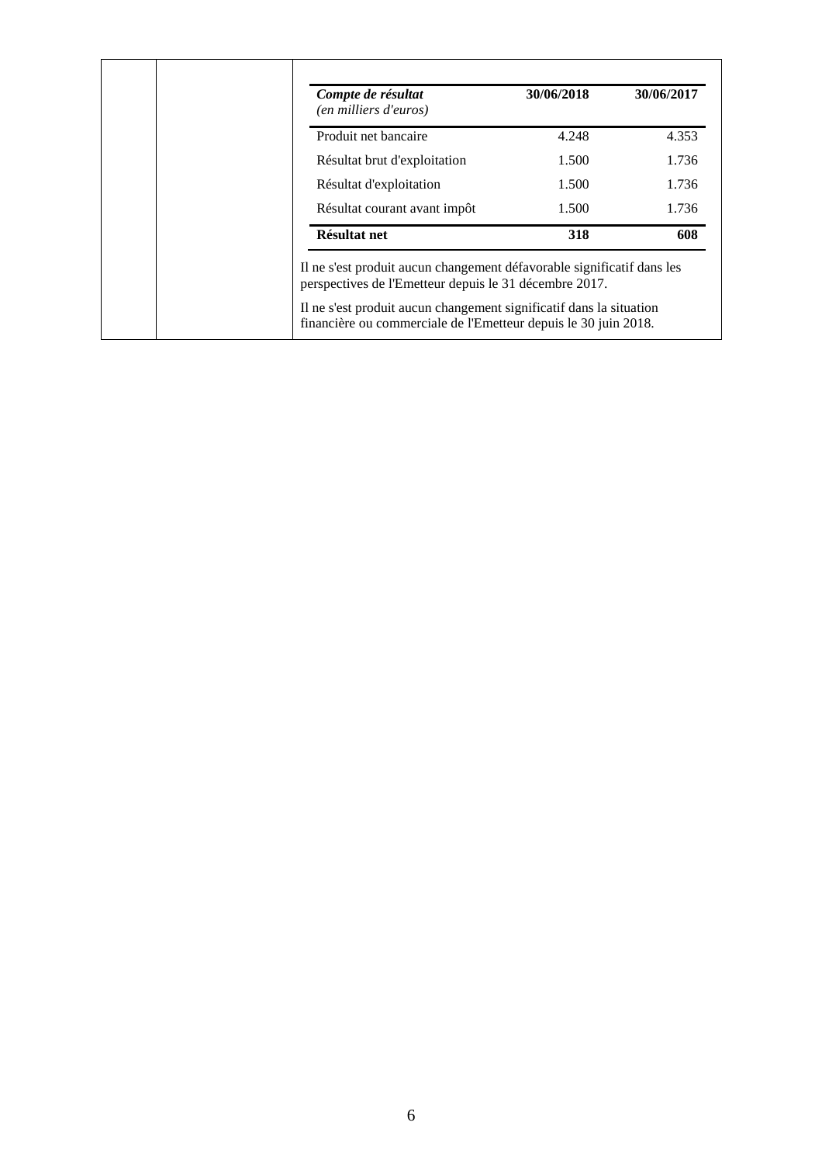| Compte de résultat<br>(en milliers d'euros) | 30/06/2018 | 30/06/2017 |
|---------------------------------------------|------------|------------|
| Produit net bancaire                        | 4.248      | 4.353      |
| Résultat brut d'exploitation                | 1.500      | 1.736      |
| Résultat d'exploitation                     | 1.500      | 1.736      |
| Résultat courant avant impôt                | 1.500      | 1.736      |
| Résultat net                                | 318        | 608        |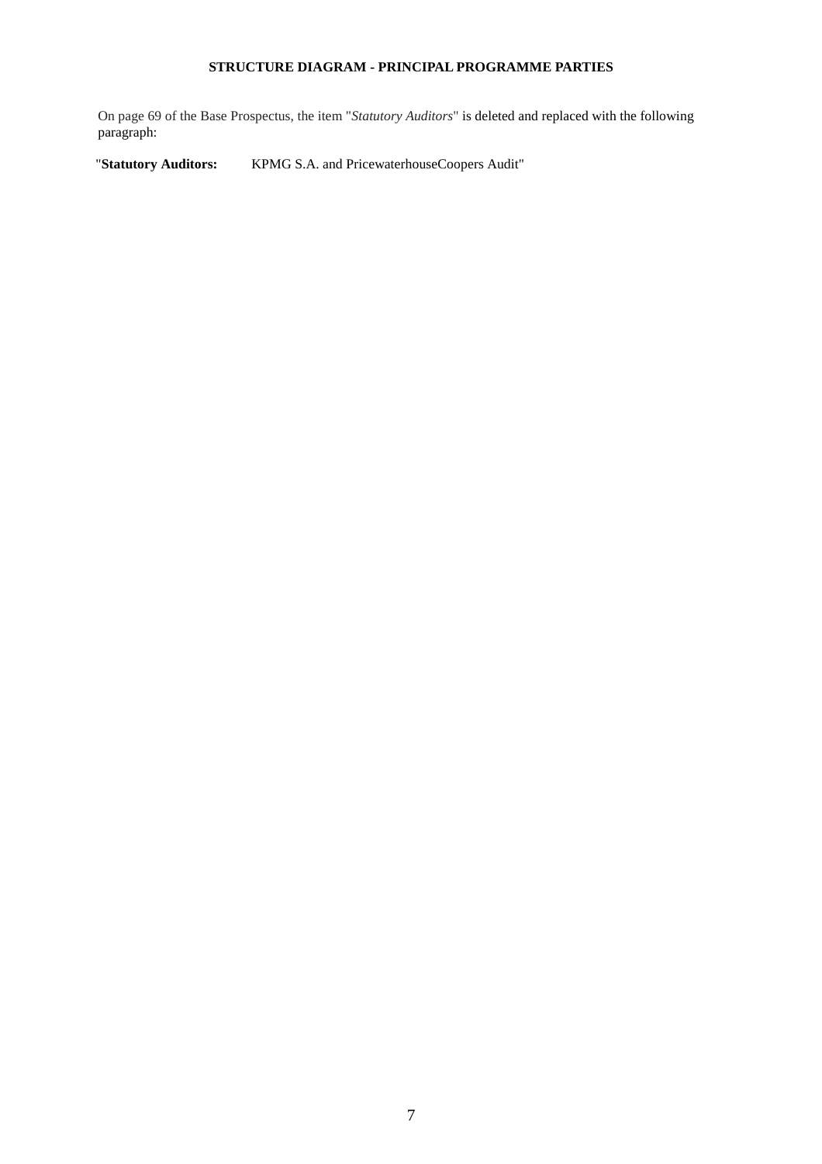### **STRUCTURE DIAGRAM - PRINCIPAL PROGRAMME PARTIES**

On page 69 of the Base Prospectus, the item "*Statutory Auditors*" is deleted and replaced with the following paragraph:

"**Statutory Auditors:** KPMG S.A. and PricewaterhouseCoopers Audit"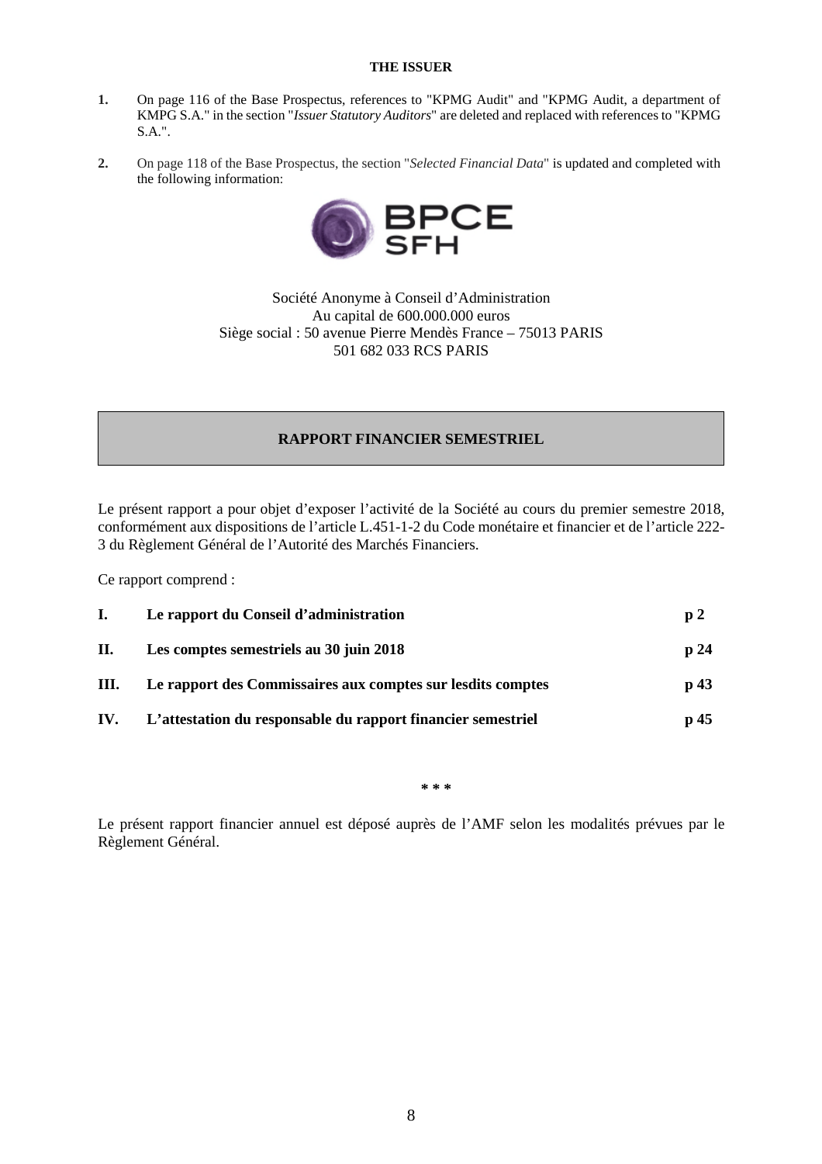### **THE ISSUER**

- **1.** On page 116 of the Base Prospectus, references to "KPMG Audit" and "KPMG Audit, a department of KMPG S.A." in the section "*Issuer Statutory Auditors*" are deleted and replaced with references to "KPMG S.A.".
- **2.** On page 118 of the Base Prospectus, the section "*Selected Financial Data*" is updated and completed with the following information:



Société Anonyme à Conseil d'Administration Au capital de 600.000.000 euros Siège social : 50 avenue Pierre Mendès France – 75013 PARIS 501 682 033 RCS PARIS

### **RAPPORT FINANCIER SEMESTRIEL**

Le présent rapport a pour objet d'exposer l'activité de la Société au cours du premier semestre 2018, conformément aux dispositions de l'article L.451-1-2 du Code monétaire et financier et de l'article 222- 3 du Règlement Général de l'Autorité des Marchés Financiers.

Ce rapport comprend :

| I.  | Le rapport du Conseil d'administration                       | p2              |
|-----|--------------------------------------------------------------|-----------------|
| П.  | Les comptes semestriels au 30 juin 2018                      | p24             |
| Ш.  | Le rapport des Commissaires aux comptes sur les dits comptes | p 43            |
| IV. | L'attestation du responsable du rapport financier semestriel | p <sub>45</sub> |

**\* \* \***

Le présent rapport financier annuel est déposé auprès de l'AMF selon les modalités prévues par le Règlement Général.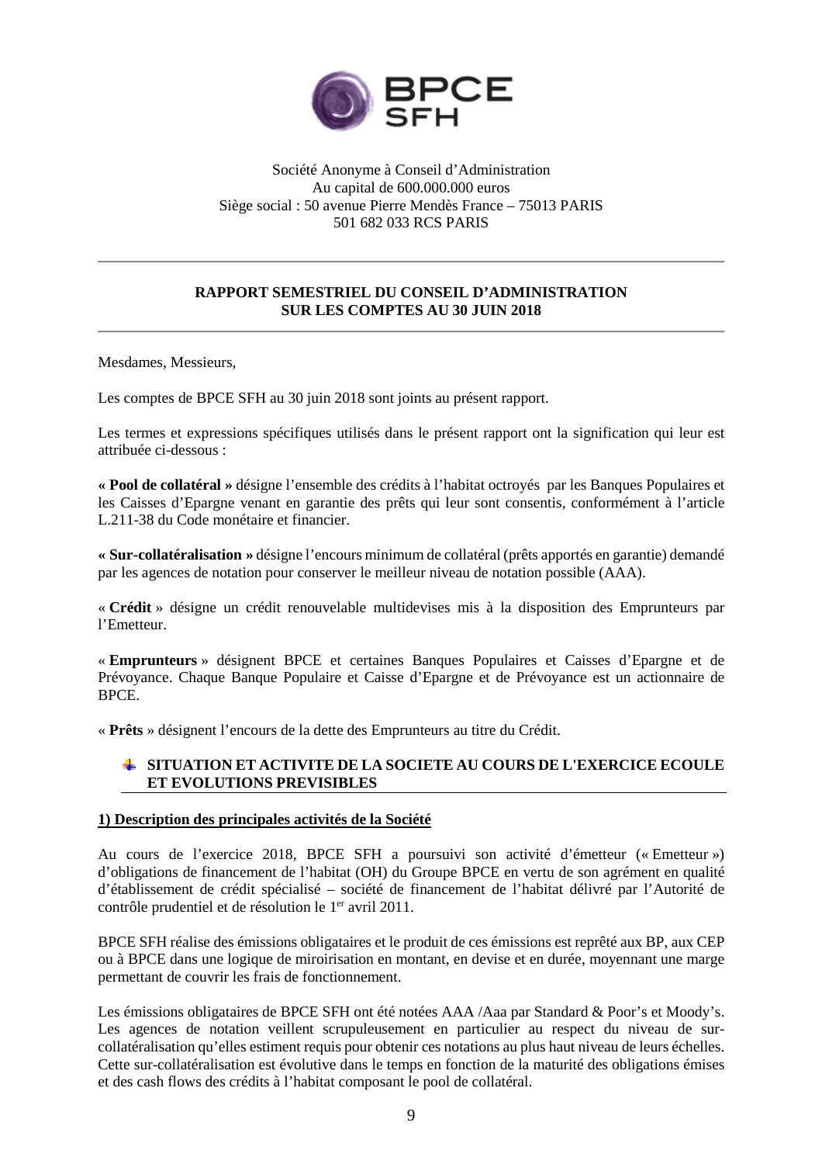

### Société Anonyme à Conseil d'Administration Au capital de 600.000.000 euros Siège social : 50 avenue Pierre Mendès France – 75013 PARIS 501 682 033 RCS PARIS

### **RAPPORT SEMESTRIEL DU CONSEIL D'ADMINISTRATION SUR LES COMPTES AU 30 JUIN 2018**

Mesdames, Messieurs,

Les comptes de BPCE SFH au 30 juin 2018 sont joints au présent rapport.

Les termes et expressions spécifiques utilisés dans le présent rapport ont la signification qui leur est attribuée ci-dessous :

**« Pool de collatéral »** désigne l'ensemble des crédits à l'habitat octroyés par les Banques Populaires et les Caisses d'Epargne venant en garantie des prêts qui leur sont consentis, conformément à l'article L.211-38 du Code monétaire et financier.

**« Sur-collatéralisation »** désigne l'encours minimum de collatéral (prêts apportés en garantie) demandé par les agences de notation pour conserver le meilleur niveau de notation possible (AAA).

« **Crédit** » désigne un crédit renouvelable multidevises mis à la disposition des Emprunteurs par l'Emetteur.

« **Emprunteurs** » désignent BPCE et certaines Banques Populaires et Caisses d'Epargne et de Prévoyance. Chaque Banque Populaire et Caisse d'Epargne et de Prévoyance est un actionnaire de BPCE.

« **Prêts** » désignent l'encours de la dette des Emprunteurs au titre du Crédit.

### **SITUATION ET ACTIVITE DE LA SOCIETE AU COURS DE L'EXERCICE ECOULE ET EVOLUTIONS PREVISIBLES**

### **1) Description des principales activités de la Société**

Au cours de l'exercice 2018, BPCE SFH a poursuivi son activité d'émetteur (« Emetteur ») d'obligations de financement de l'habitat (OH) du Groupe BPCE en vertu de son agrément en qualité d'établissement de crédit spécialisé – société de financement de l'habitat délivré par l'Autorité de contrôle prudentiel et de résolution le 1<sup>er</sup> avril 2011.

BPCE SFH réalise des émissions obligataires et le produit de ces émissions est reprêté aux BP, aux CEP ou à BPCE dans une logique de miroirisation en montant, en devise et en durée, moyennant une marge permettant de couvrir les frais de fonctionnement.

Les émissions obligataires de BPCE SFH ont été notées AAA /Aaa par Standard & Poor's et Moody's. Les agences de notation veillent scrupuleusement en particulier au respect du niveau de surcollatéralisation qu'elles estiment requis pour obtenir ces notations au plus haut niveau de leurs échelles. Cette sur-collatéralisation est évolutive dans le temps en fonction de la maturité des obligations émises et des cash flows des crédits à l'habitat composant le pool de collatéral.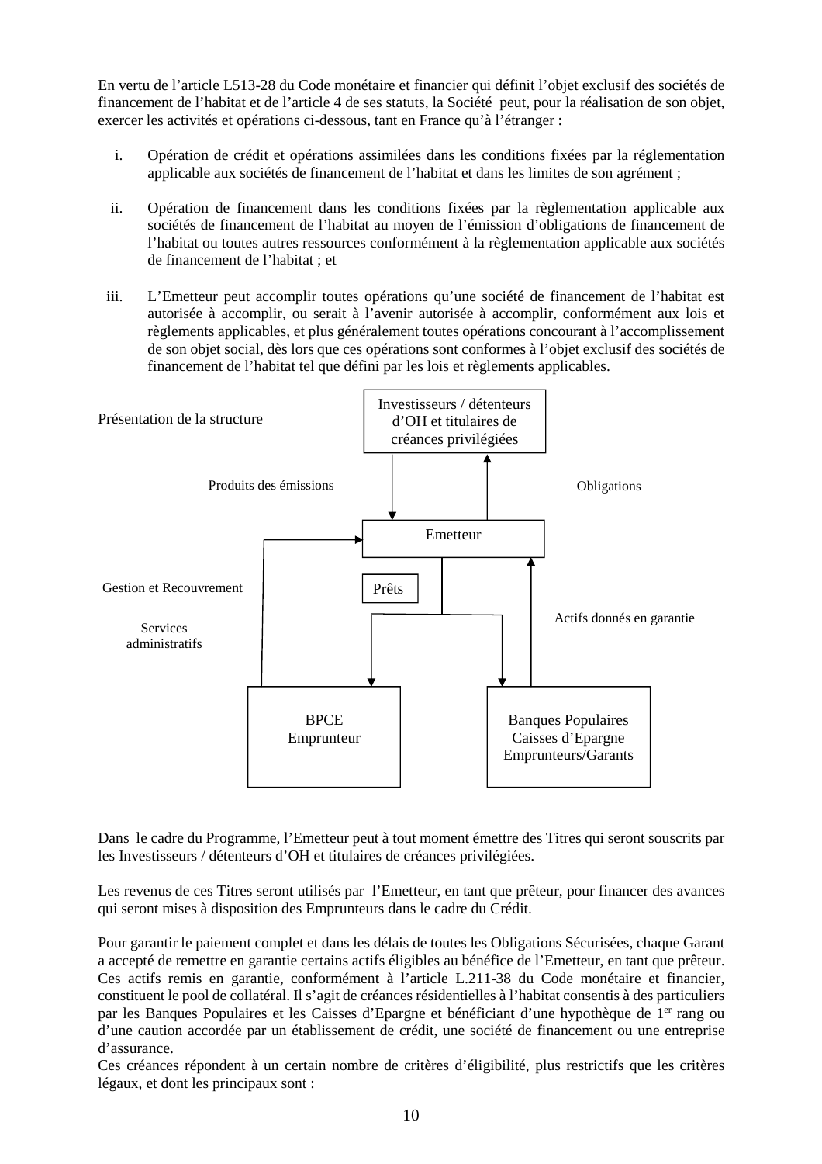En vertu de l'article L513-28 du Code monétaire et financier qui définit l'objet exclusif des sociétés de financement de l'habitat et de l'article 4 de ses statuts, la Société peut, pour la réalisation de son objet, exercer les activités et opérations ci-dessous, tant en France qu'à l'étranger :

- i. Opération de crédit et opérations assimilées dans les conditions fixées par la réglementation applicable aux sociétés de financement de l'habitat et dans les limites de son agrément ;
- ii. Opération de financement dans les conditions fixées par la règlementation applicable aux sociétés de financement de l'habitat au moyen de l'émission d'obligations de financement de l'habitat ou toutes autres ressources conformément à la règlementation applicable aux sociétés de financement de l'habitat ; et
- iii. L'Emetteur peut accomplir toutes opérations qu'une société de financement de l'habitat est autorisée à accomplir, ou serait à l'avenir autorisée à accomplir, conformément aux lois et règlements applicables, et plus généralement toutes opérations concourant à l'accomplissement de son objet social, dès lors que ces opérations sont conformes à l'objet exclusif des sociétés de financement de l'habitat tel que défini par les lois et règlements applicables.



Dans le cadre du Programme, l'Emetteur peut à tout moment émettre des Titres qui seront souscrits par les Investisseurs / détenteurs d'OH et titulaires de créances privilégiées.

Les revenus de ces Titres seront utilisés par l'Emetteur, en tant que prêteur, pour financer des avances qui seront mises à disposition des Emprunteurs dans le cadre du Crédit.

Pour garantir le paiement complet et dans les délais de toutes les Obligations Sécurisées, chaque Garant a accepté de remettre en garantie certains actifs éligibles au bénéfice de l'Emetteur, en tant que prêteur. Ces actifs remis en garantie, conformément à l'article L.211-38 du Code monétaire et financier, constituent le pool de collatéral. Il s'agit de créances résidentielles à l'habitat consentis à des particuliers par les Banques Populaires et les Caisses d'Epargne et bénéficiant d'une hypothèque de 1er rang ou d'une caution accordée par un établissement de crédit, une société de financement ou une entreprise d'assurance.

Ces créances répondent à un certain nombre de critères d'éligibilité, plus restrictifs que les critères légaux, et dont les principaux sont :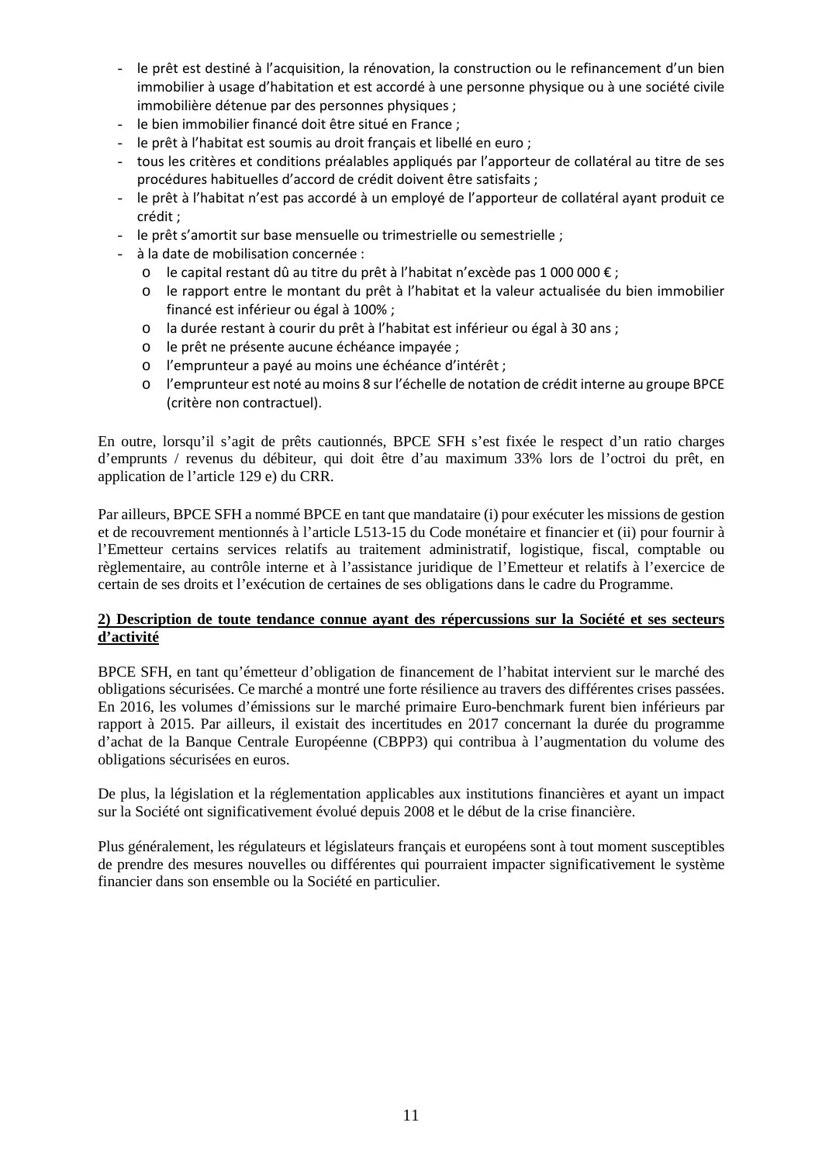- le prêt est destiné à l'acquisition, la rénovation, la construction ou le refinancement d'un bien immobilier à usage d'habitation et est accordé à une personne physique ou à une société civile immobilière détenue par des personnes physiques ;
- le bien immobilier financé doit être situé en France :
- le prêt à l'habitat est soumis au droit français et libellé en euro ;
- tous les critères et conditions préalables appliqués par l'apporteur de collatéral au titre de ses procédures habituelles d'accord de crédit doivent être satisfaits ;
- le prêt à l'habitat n'est pas accordé à un employé de l'apporteur de collatéral ayant produit ce crédit ;
- le prêt s'amortit sur base mensuelle ou trimestrielle ou semestrielle ;
- à la date de mobilisation concernée :
	- o le capital restant dû au titre du prêt à l'habitat n'excède pas 1 000 000 € ;
	- o le rapport entre le montant du prêt à l'habitat et la valeur actualisée du bien immobilier financé est inférieur ou égal à 100% ;
	- o la durée restant à courir du prêt à l'habitat est inférieur ou égal à 30 ans ;
	- o le prêt ne présente aucune échéance impayée ;
	- o l'emprunteur a payé au moins une échéance d'intérêt ;
	- o l'emprunteur est noté au moins 8 sur l'échelle de notation de crédit interne au groupe BPCE (critère non contractuel).

En outre, lorsqu'il s'agit de prêts cautionnés, BPCE SFH s'est fixée le respect d'un ratio charges d'emprunts / revenus du débiteur, qui doit être d'au maximum 33% lors de l'octroi du prêt, en application de l'article 129 e) du CRR.

Par ailleurs, BPCE SFH a nommé BPCE en tant que mandataire (i) pour exécuter les missions de gestion et de recouvrement mentionnés à l'article L513-15 du Code monétaire et financier et (ii) pour fournir à l'Emetteur certains services relatifs au traitement administratif, logistique, fiscal, comptable ou règlementaire, au contrôle interne et à l'assistance juridique de l'Emetteur et relatifs à l'exercice de certain de ses droits et l'exécution de certaines de ses obligations dans le cadre du Programme.

### **2) Description de toute tendance connue ayant des répercussions sur la Société et ses secteurs d'activité**

BPCE SFH, en tant qu'émetteur d'obligation de financement de l'habitat intervient sur le marché des obligations sécurisées. Ce marché a montré une forte résilience au travers des différentes crises passées. En 2016, les volumes d'émissions sur le marché primaire Euro-benchmark furent bien inférieurs par rapport à 2015. Par ailleurs, il existait des incertitudes en 2017 concernant la durée du programme d'achat de la Banque Centrale Européenne (CBPP3) qui contribua à l'augmentation du volume des obligations sécurisées en euros.

De plus, la législation et la réglementation applicables aux institutions financières et ayant un impact sur la Société ont significativement évolué depuis 2008 et le début de la crise financière.

Plus généralement, les régulateurs et législateurs français et européens sont à tout moment susceptibles de prendre des mesures nouvelles ou différentes qui pourraient impacter significativement le système financier dans son ensemble ou la Société en particulier.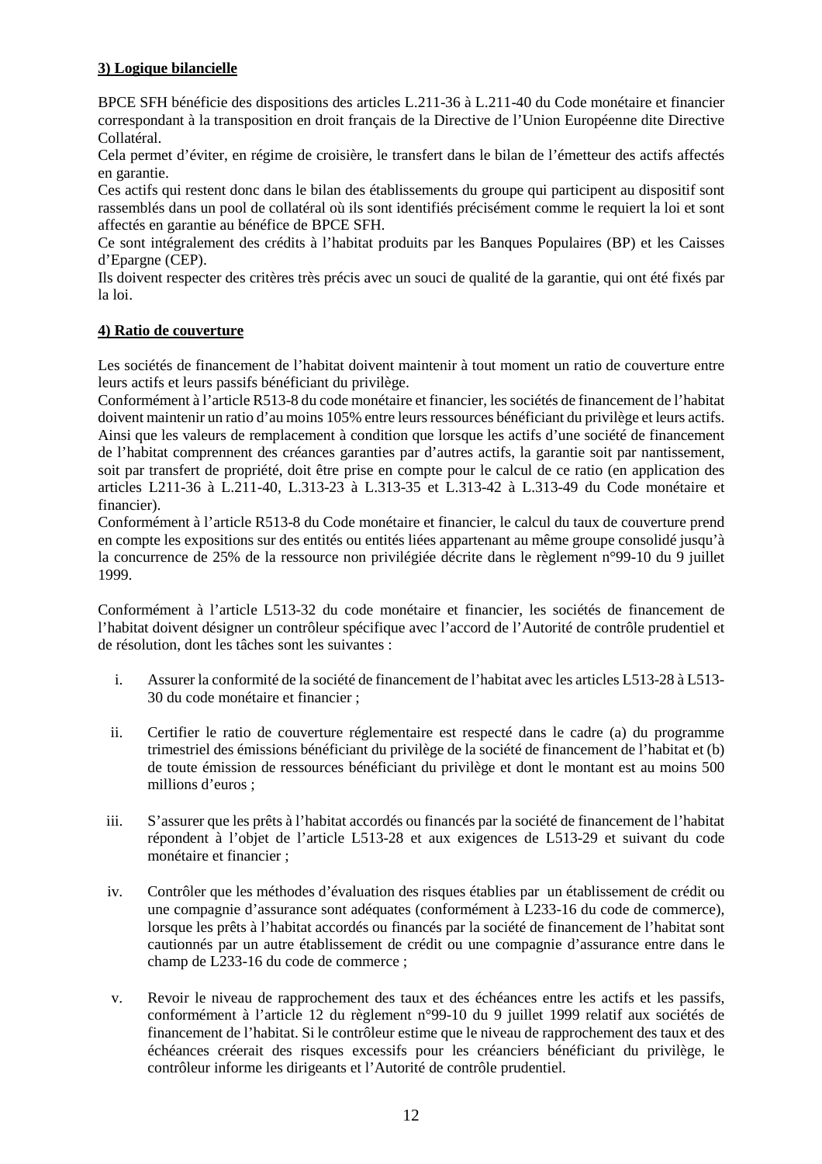# **3) Logique bilancielle**

BPCE SFH bénéficie des dispositions des articles L.211-36 à L.211-40 du Code monétaire et financier correspondant à la transposition en droit français de la Directive de l'Union Européenne dite Directive Collatéral.

Cela permet d'éviter, en régime de croisière, le transfert dans le bilan de l'émetteur des actifs affectés en garantie.

Ces actifs qui restent donc dans le bilan des établissements du groupe qui participent au dispositif sont rassemblés dans un pool de collatéral où ils sont identifiés précisément comme le requiert la loi et sont affectés en garantie au bénéfice de BPCE SFH.

Ce sont intégralement des crédits à l'habitat produits par les Banques Populaires (BP) et les Caisses d'Epargne (CEP).

Ils doivent respecter des critères très précis avec un souci de qualité de la garantie, qui ont été fixés par la loi.

### **4) Ratio de couverture**

Les sociétés de financement de l'habitat doivent maintenir à tout moment un ratio de couverture entre leurs actifs et leurs passifs bénéficiant du privilège.

Conformément à l'article R513-8 du code monétaire et financier, les sociétés de financement de l'habitat doivent maintenir un ratio d'au moins 105% entre leurs ressources bénéficiant du privilège et leurs actifs. Ainsi que les valeurs de remplacement à condition que lorsque les actifs d'une société de financement de l'habitat comprennent des créances garanties par d'autres actifs, la garantie soit par nantissement, soit par transfert de propriété, doit être prise en compte pour le calcul de ce ratio (en application des articles L211-36 à L.211-40, L.313-23 à L.313-35 et L.313-42 à L.313-49 du Code monétaire et financier).

Conformément à l'article R513-8 du Code monétaire et financier, le calcul du taux de couverture prend en compte les expositions sur des entités ou entités liées appartenant au même groupe consolidé jusqu'à la concurrence de 25% de la ressource non privilégiée décrite dans le règlement n°99-10 du 9 juillet 1999.

Conformément à l'article L513-32 du code monétaire et financier, les sociétés de financement de l'habitat doivent désigner un contrôleur spécifique avec l'accord de l'Autorité de contrôle prudentiel et de résolution, dont les tâches sont les suivantes :

- i. Assurer la conformité de la société de financement de l'habitat avec les articles L513-28 à L513- 30 du code monétaire et financier ;
- ii. Certifier le ratio de couverture réglementaire est respecté dans le cadre (a) du programme trimestriel des émissions bénéficiant du privilège de la société de financement de l'habitat et (b) de toute émission de ressources bénéficiant du privilège et dont le montant est au moins 500 millions d'euros :
- iii. S'assurer que les prêts à l'habitat accordés ou financés par la société de financement de l'habitat répondent à l'objet de l'article L513-28 et aux exigences de L513-29 et suivant du code monétaire et financier ;
- iv. Contrôler que les méthodes d'évaluation des risques établies par un établissement de crédit ou une compagnie d'assurance sont adéquates (conformément à L233-16 du code de commerce), lorsque les prêts à l'habitat accordés ou financés par la société de financement de l'habitat sont cautionnés par un autre établissement de crédit ou une compagnie d'assurance entre dans le champ de L233-16 du code de commerce ;
- v. Revoir le niveau de rapprochement des taux et des échéances entre les actifs et les passifs, conformément à l'article 12 du règlement n°99-10 du 9 juillet 1999 relatif aux sociétés de financement de l'habitat. Si le contrôleur estime que le niveau de rapprochement des taux et des échéances créerait des risques excessifs pour les créanciers bénéficiant du privilège, le contrôleur informe les dirigeants et l'Autorité de contrôle prudentiel.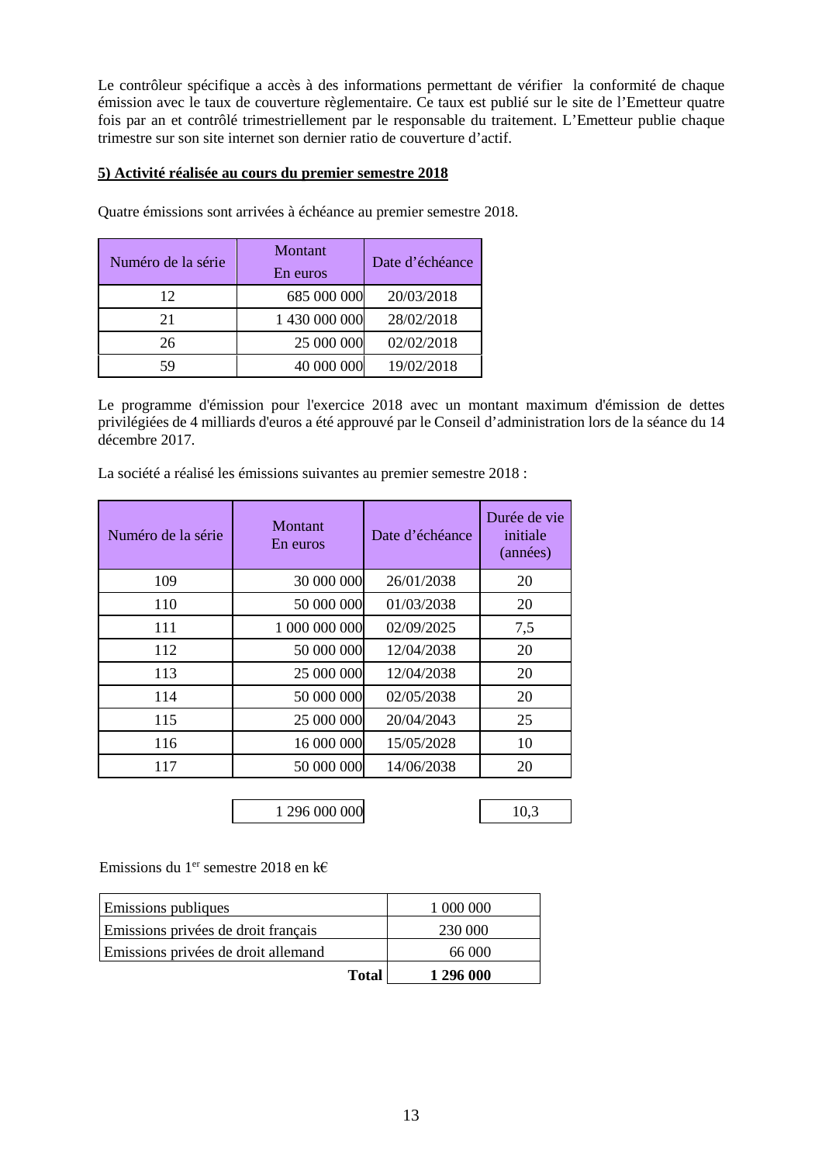Le contrôleur spécifique a accès à des informations permettant de vérifier la conformité de chaque émission avec le taux de couverture règlementaire. Ce taux est publié sur le site de l'Emetteur quatre fois par an et contrôlé trimestriellement par le responsable du traitement. L'Emetteur publie chaque trimestre sur son site internet son dernier ratio de couverture d'actif.

### **5) Activité réalisée au cours du premier semestre 2018**

| Numéro de la série | Montant<br>En euros | Date d'échéance |
|--------------------|---------------------|-----------------|
| 12                 | 685 000 000         | 20/03/2018      |
| 21                 | 1 430 000 000       | 28/02/2018      |
| 26                 | 25 000 000          | 02/02/2018      |
| 59                 | 40 000 000          | 19/02/2018      |

Quatre émissions sont arrivées à échéance au premier semestre 2018.

Le programme d'émission pour l'exercice 2018 avec un montant maximum d'émission de dettes privilégiées de 4 milliards d'euros a été approuvé par le Conseil d'administration lors de la séance du 14 décembre 2017.

Numéro de la série Montant Date d'échéance Durée de vie initiale (années) 109 30 000 000 26/01/2038 20 110 50 000 000 01/03/2038 20 111 1 000 000 000 02/09/2025 7,5 112 50 000 000 12/04/2038 20 113 25 000 000 12/04/2038 20 114 50 000 000 02/05/2038 20 115 25 000 000 20/04/2043 25 116 16 000 000 15/05/2028 10 117 50 000 000 14/06/2038 20

La société a réalisé les émissions suivantes au premier semestre 2018 :

1 296 000 000 10,3

Emissions du 1<sup>er</sup> semestre 2018 en k $\epsilon$ 

| Emissions publiques                 |              | 1 000 000 |
|-------------------------------------|--------------|-----------|
| Emissions privées de droit français |              | 230 000   |
| Emissions privées de droit allemand |              | 66 000    |
|                                     | <b>Total</b> | 1 296 000 |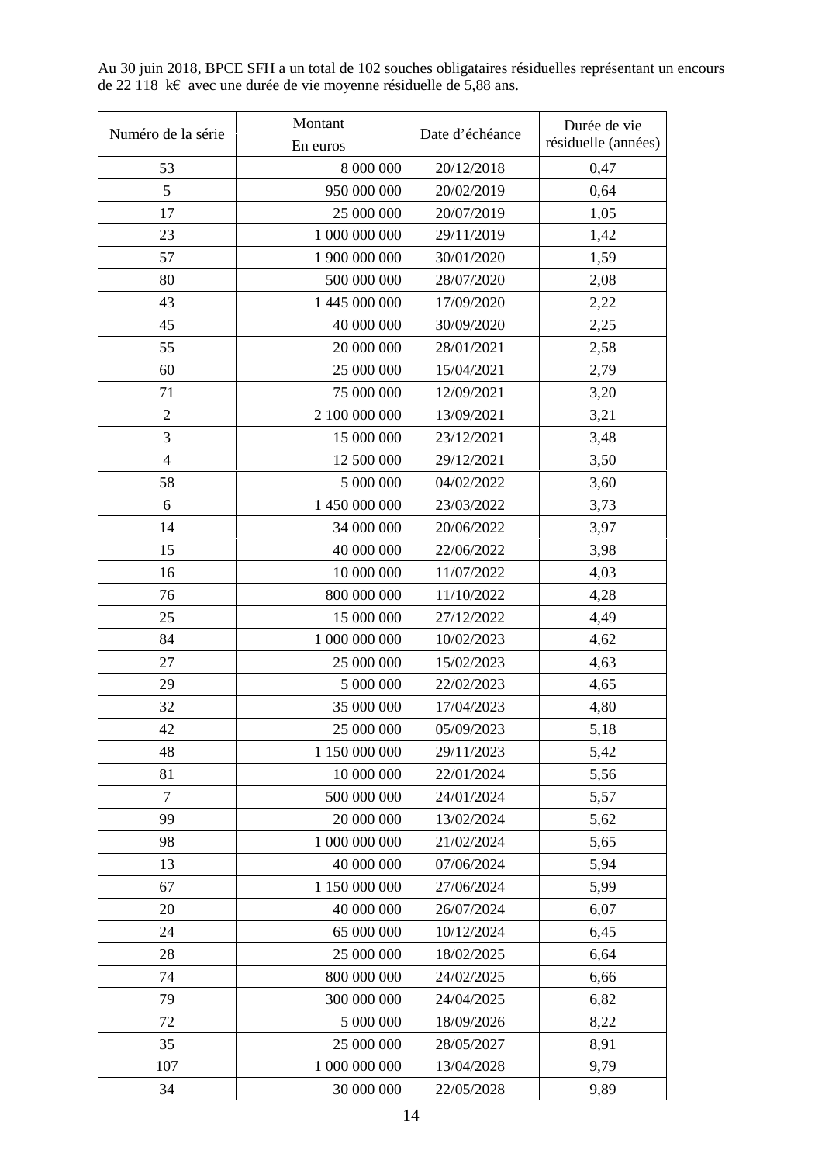Au 30 juin 2018, BPCE SFH a un total de 102 souches obligataires résiduelles représentant un encours de 22 118 k€ avec une durée de vie moyenne résiduelle de 5,88 ans. 

 $\overline{\phantom{0}}$ 

 $\overline{ }$ 

| Numéro de la série | Montant       | Date d'échéance | Durée de vie        |
|--------------------|---------------|-----------------|---------------------|
|                    | En euros      |                 | résiduelle (années) |
| 53                 | 8 000 000     | 20/12/2018      | 0,47                |
| 5                  | 950 000 000   | 20/02/2019      | 0,64                |
| 17                 | 25 000 000    | 20/07/2019      | 1,05                |
| 23                 | 1 000 000 000 | 29/11/2019      | 1,42                |
| 57                 | 1 900 000 000 | 30/01/2020      | 1,59                |
| 80                 | 500 000 000   | 28/07/2020      | 2,08                |
| 43                 | 1 445 000 000 | 17/09/2020      | 2,22                |
| 45                 | 40 000 000    | 30/09/2020      | 2,25                |
| 55                 | 20 000 000    | 28/01/2021      | 2,58                |
| 60                 | 25 000 000    | 15/04/2021      | 2,79                |
| 71                 | 75 000 000    | 12/09/2021      | 3,20                |
| $\overline{2}$     | 2 100 000 000 | 13/09/2021      | 3,21                |
| 3                  | 15 000 000    | 23/12/2021      | 3,48                |
| $\overline{4}$     | 12 500 000    | 29/12/2021      | 3,50                |
| 58                 | 5 000 000     | 04/02/2022      | 3,60                |
| 6                  | 1 450 000 000 | 23/03/2022      | 3,73                |
| 14                 | 34 000 000    | 20/06/2022      | 3,97                |
| 15                 | 40 000 000    | 22/06/2022      | 3,98                |
| 16                 | 10 000 000    | 11/07/2022      | 4,03                |
| 76                 | 800 000 000   | 11/10/2022      | 4,28                |
| 25                 | 15 000 000    | 27/12/2022      | 4,49                |
| 84                 | 1 000 000 000 | 10/02/2023      | 4,62                |
| 27                 | 25 000 000    | 15/02/2023      | 4,63                |
| 29                 | 5 000 000     | 22/02/2023      | 4,65                |
| 32                 | 35 000 000    | 17/04/2023      | 4,80                |
| 42                 | 25 000 000    | 05/09/2023      | 5,18                |
| 48                 | 1 150 000 000 | 29/11/2023      | 5,42                |
| 81                 | 10 000 000    | 22/01/2024      | 5,56                |
| $\overline{7}$     | 500 000 000   | 24/01/2024      | 5,57                |
| 99                 | 20 000 000    | 13/02/2024      | 5,62                |
| 98                 | 1 000 000 000 | 21/02/2024      | 5,65                |
| 13                 | 40 000 000    | 07/06/2024      | 5,94                |
| 67                 | 1 150 000 000 | 27/06/2024      | 5,99                |
| 20                 | 40 000 000    | 26/07/2024      | 6,07                |
| 24                 | 65 000 000    | 10/12/2024      | 6,45                |
| 28                 | 25 000 000    | 18/02/2025      | 6,64                |
| 74                 | 800 000 000   | 24/02/2025      | 6,66                |
| 79                 | 300 000 000   | 24/04/2025      | 6,82                |
| 72                 | 5 000 000     | 18/09/2026      | 8,22                |
| 35                 | 25 000 000    | 28/05/2027      | 8,91                |
| 107                | 1 000 000 000 | 13/04/2028      | 9,79                |
| 34                 | 30 000 000    | 22/05/2028      | 9,89                |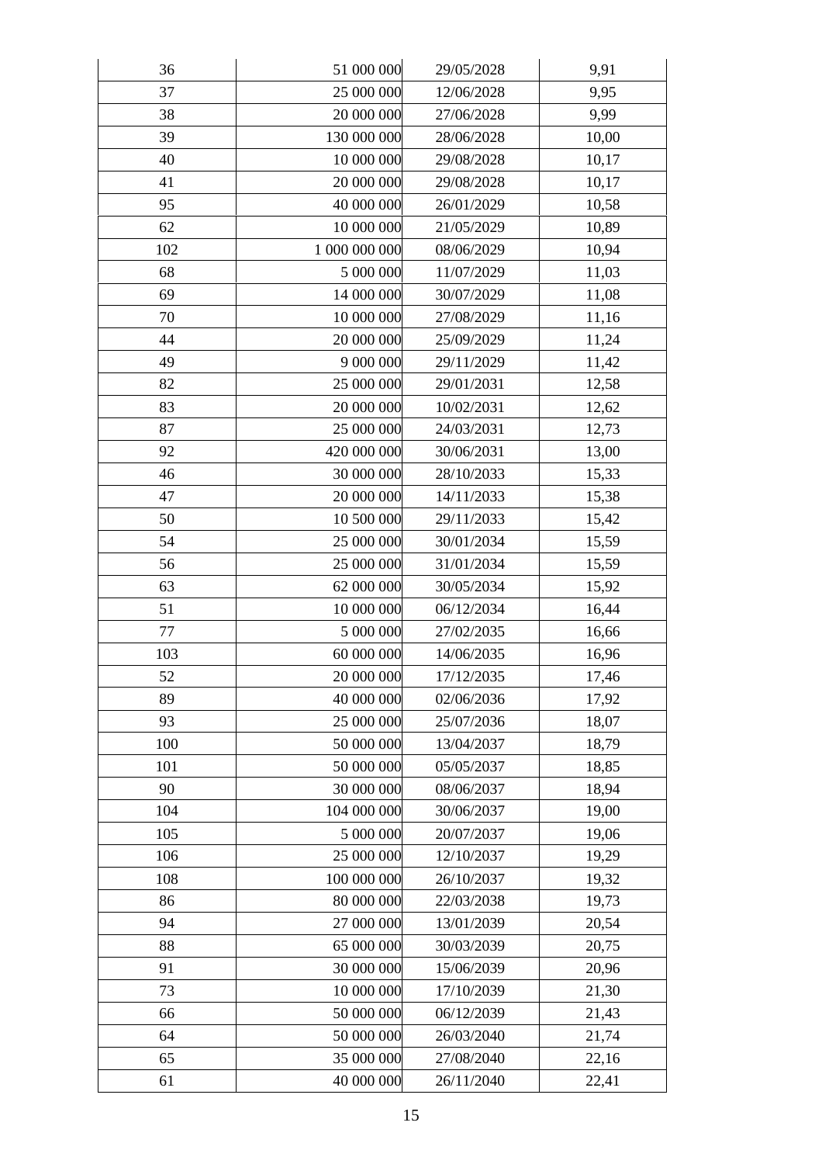| 36  | 51 000 000    | 29/05/2028 | 9,91  |
|-----|---------------|------------|-------|
| 37  | 25 000 000    | 12/06/2028 | 9,95  |
| 38  | 20 000 000    | 27/06/2028 | 9,99  |
| 39  | 130 000 000   | 28/06/2028 | 10,00 |
| 40  | 10 000 000    | 29/08/2028 | 10,17 |
| 41  | 20 000 000    | 29/08/2028 | 10,17 |
| 95  | 40 000 000    | 26/01/2029 | 10,58 |
| 62  | 10 000 000    | 21/05/2029 | 10,89 |
| 102 | 1 000 000 000 | 08/06/2029 | 10,94 |
| 68  | 5 000 000     | 11/07/2029 | 11,03 |
| 69  | 14 000 000    | 30/07/2029 | 11,08 |
| 70  | 10 000 000    | 27/08/2029 | 11,16 |
| 44  | 20 000 000    | 25/09/2029 | 11,24 |
| 49  | 9 000 000     | 29/11/2029 | 11,42 |
| 82  | 25 000 000    | 29/01/2031 | 12,58 |
| 83  | 20 000 000    | 10/02/2031 | 12,62 |
| 87  | 25 000 000    | 24/03/2031 | 12,73 |
| 92  | 420 000 000   | 30/06/2031 | 13,00 |
| 46  | 30 000 000    | 28/10/2033 | 15,33 |
| 47  | 20 000 000    | 14/11/2033 | 15,38 |
| 50  | 10 500 000    | 29/11/2033 | 15,42 |
| 54  | 25 000 000    | 30/01/2034 | 15,59 |
| 56  | 25 000 000    | 31/01/2034 | 15,59 |
| 63  | 62 000 000    | 30/05/2034 | 15,92 |
| 51  | 10 000 000    | 06/12/2034 | 16,44 |
| 77  | 5 000 000     | 27/02/2035 | 16,66 |
| 103 | 60 000 000    | 14/06/2035 | 16,96 |
| 52  | 20 000 000    | 17/12/2035 | 17,46 |
| 89  | 40 000 000    | 02/06/2036 | 17,92 |
| 93  | 25 000 000    | 25/07/2036 | 18,07 |
| 100 | 50 000 000    | 13/04/2037 | 18,79 |
| 101 | 50 000 000    | 05/05/2037 | 18,85 |
| 90  | 30 000 000    | 08/06/2037 | 18,94 |
| 104 | 104 000 000   | 30/06/2037 | 19,00 |
| 105 | 5 000 000     | 20/07/2037 | 19,06 |
| 106 | 25 000 000    | 12/10/2037 | 19,29 |
| 108 | 100 000 000   | 26/10/2037 | 19,32 |
| 86  | 80 000 000    | 22/03/2038 | 19,73 |
| 94  | 27 000 000    | 13/01/2039 | 20,54 |
| 88  | 65 000 000    | 30/03/2039 | 20,75 |
| 91  | 30 000 000    | 15/06/2039 | 20,96 |
| 73  | 10 000 000    | 17/10/2039 | 21,30 |
| 66  | 50 000 000    | 06/12/2039 | 21,43 |
| 64  | 50 000 000    | 26/03/2040 | 21,74 |
| 65  | 35 000 000    | 27/08/2040 | 22,16 |
| 61  | 40 000 000    | 26/11/2040 | 22,41 |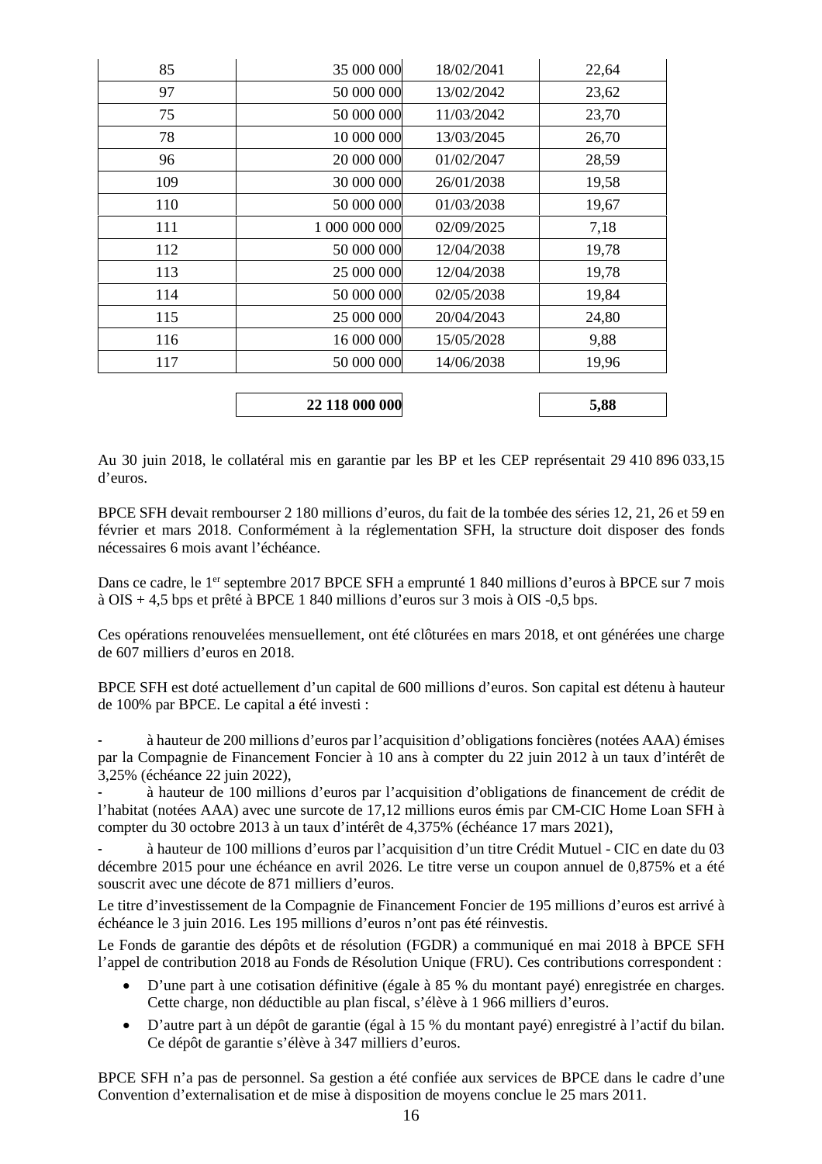| 22 118 000 000 |            | 5,88  |
|----------------|------------|-------|
|                |            |       |
| 50 000 000     | 14/06/2038 | 19,96 |
| 16 000 000     | 15/05/2028 | 9,88  |
| 25 000 000     | 20/04/2043 | 24,80 |
| 50 000 000     | 02/05/2038 | 19,84 |
| 25 000 000     | 12/04/2038 | 19,78 |
| 50 000 000     | 12/04/2038 | 19,78 |
| 1 000 000 000  | 02/09/2025 | 7,18  |
| 50 000 000     | 01/03/2038 | 19,67 |
| 30 000 000     | 26/01/2038 | 19,58 |
| 20 000 000     | 01/02/2047 | 28,59 |
| 10 000 000     | 13/03/2045 | 26,70 |
| 50 000 000     | 11/03/2042 | 23,70 |
| 50 000 000     | 13/02/2042 | 23,62 |
| 35 000 000     | 18/02/2041 | 22,64 |
|                |            |       |

Au 30 juin 2018, le collatéral mis en garantie par les BP et les CEP représentait 29 410 896 033,15 d'euros.

BPCE SFH devait rembourser 2 180 millions d'euros, du fait de la tombée des séries 12, 21, 26 et 59 en février et mars 2018. Conformément à la réglementation SFH, la structure doit disposer des fonds nécessaires 6 mois avant l'échéance.

Dans ce cadre, le 1<sup>er</sup> septembre 2017 BPCE SFH a emprunté 1 840 millions d'euros à BPCE sur 7 mois à OIS + 4,5 bps et prêté à BPCE 1 840 millions d'euros sur 3 mois à OIS -0,5 bps.

Ces opérations renouvelées mensuellement, ont été clôturées en mars 2018, et ont générées une charge de 607 milliers d'euros en 2018.

BPCE SFH est doté actuellement d'un capital de 600 millions d'euros. Son capital est détenu à hauteur de 100% par BPCE. Le capital a été investi :

- à hauteur de 200 millions d'euros par l'acquisition d'obligations foncières (notées AAA) émises par la Compagnie de Financement Foncier à 10 ans à compter du 22 juin 2012 à un taux d'intérêt de 3,25% (échéance 22 juin 2022),

à hauteur de 100 millions d'euros par l'acquisition d'obligations de financement de crédit de l'habitat (notées AAA) avec une surcote de 17,12 millions euros émis par CM-CIC Home Loan SFH à compter du 30 octobre 2013 à un taux d'intérêt de 4,375% (échéance 17 mars 2021),

à hauteur de 100 millions d'euros par l'acquisition d'un titre Crédit Mutuel - CIC en date du 03 décembre 2015 pour une échéance en avril 2026. Le titre verse un coupon annuel de 0,875% et a été souscrit avec une décote de 871 milliers d'euros.

Le titre d'investissement de la Compagnie de Financement Foncier de 195 millions d'euros est arrivé à échéance le 3 juin 2016. Les 195 millions d'euros n'ont pas été réinvestis.

Le Fonds de garantie des dépôts et de résolution (FGDR) a communiqué en mai 2018 à BPCE SFH l'appel de contribution 2018 au Fonds de Résolution Unique (FRU). Ces contributions correspondent :

- D'une part à une cotisation définitive (égale à 85 % du montant payé) enregistrée en charges. Cette charge, non déductible au plan fiscal, s'élève à 1 966 milliers d'euros.
- D'autre part à un dépôt de garantie (égal à 15 % du montant payé) enregistré à l'actif du bilan. Ce dépôt de garantie s'élève à 347 milliers d'euros.

BPCE SFH n'a pas de personnel. Sa gestion a été confiée aux services de BPCE dans le cadre d'une Convention d'externalisation et de mise à disposition de moyens conclue le 25 mars 2011.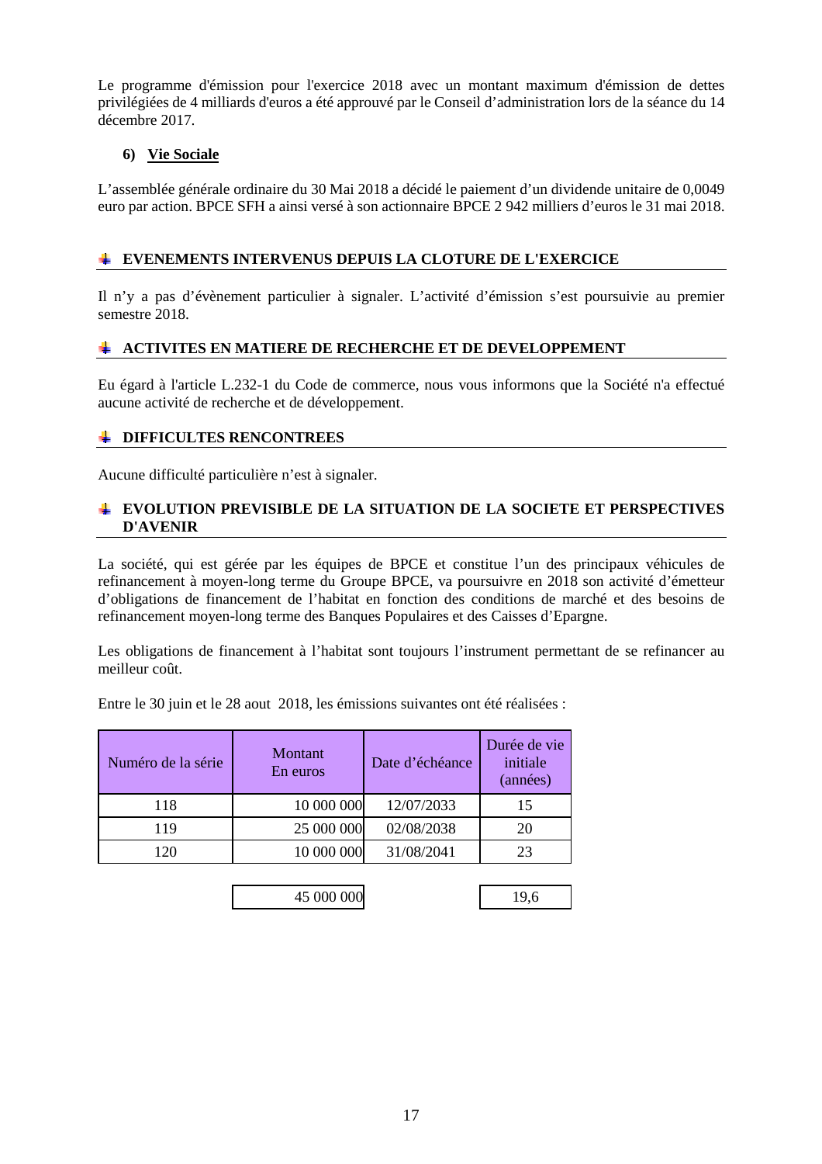Le programme d'émission pour l'exercice 2018 avec un montant maximum d'émission de dettes privilégiées de 4 milliards d'euros a été approuvé par le Conseil d'administration lors de la séance du 14 décembre 2017.

### **6) Vie Sociale**

L'assemblée générale ordinaire du 30 Mai 2018 a décidé le paiement d'un dividende unitaire de 0,0049 euro par action. BPCE SFH a ainsi versé à son actionnaire BPCE 2 942 milliers d'euros le 31 mai 2018.

## **EVENEMENTS INTERVENUS DEPUIS LA CLOTURE DE L'EXERCICE**

Il n'y a pas d'évènement particulier à signaler. L'activité d'émission s'est poursuivie au premier semestre 2018.

### **ACTIVITES EN MATIERE DE RECHERCHE ET DE DEVELOPPEMENT**

Eu égard à l'article L.232-1 du Code de commerce, nous vous informons que la Société n'a effectué aucune activité de recherche et de développement.

### **EXAMPLE DIFFICULTES RENCONTREES**

Aucune difficulté particulière n'est à signaler.

### **EVOLUTION PREVISIBLE DE LA SITUATION DE LA SOCIETE ET PERSPECTIVES D'AVENIR**

La société, qui est gérée par les équipes de BPCE et constitue l'un des principaux véhicules de refinancement à moyen-long terme du Groupe BPCE, va poursuivre en 2018 son activité d'émetteur d'obligations de financement de l'habitat en fonction des conditions de marché et des besoins de refinancement moyen-long terme des Banques Populaires et des Caisses d'Epargne.

Les obligations de financement à l'habitat sont toujours l'instrument permettant de se refinancer au meilleur coût.

Entre le 30 juin et le 28 aout 2018, les émissions suivantes ont été réalisées :

| Numéro de la série | Montant<br>Date d'échéance<br>En euros |            | Durée de vie<br>initiale<br>(années) |
|--------------------|----------------------------------------|------------|--------------------------------------|
| 118                | 10 000 000                             | 12/07/2033 | 15                                   |
| 119                | 25 000 000                             | 02/08/2038 | 20                                   |
| חרו                | 10 000 000                             | 31/08/2041 | 23                                   |

| 45 000 000 | u |
|------------|---|
|            |   |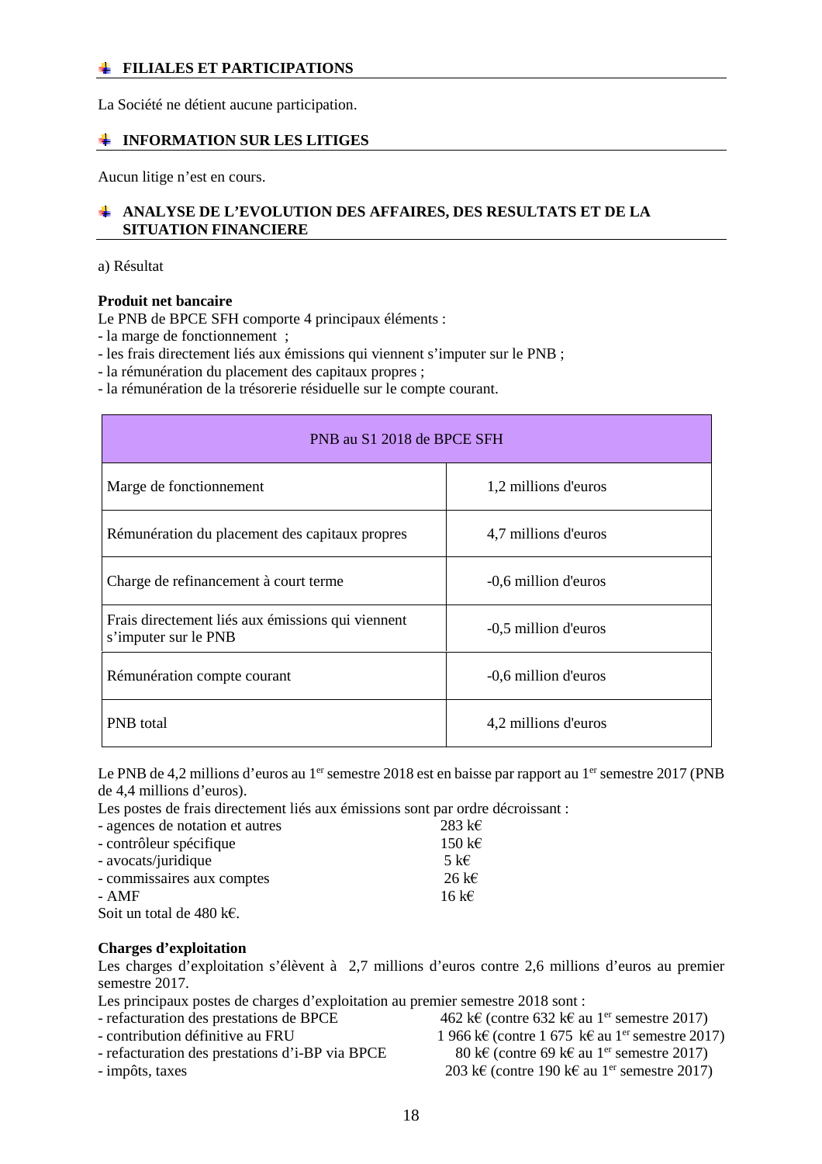### **FILIALES ET PARTICIPATIONS**

La Société ne détient aucune participation.

### **INFORMATION SUR LES LITIGES**

Aucun litige n'est en cours.

### **ANALYSE DE L'EVOLUTION DES AFFAIRES, DES RESULTATS ET DE LA SITUATION FINANCIERE**

a) Résultat

### **Produit net bancaire**

Le PNB de BPCE SFH comporte 4 principaux éléments :

- la marge de fonctionnement ;

- les frais directement liés aux émissions qui viennent s'imputer sur le PNB ;

- la rémunération du placement des capitaux propres ;

- la rémunération de la trésorerie résiduelle sur le compte courant.

| PNB au S1 2018 de BPCE SFH                                                |                      |  |  |  |
|---------------------------------------------------------------------------|----------------------|--|--|--|
| Marge de fonctionnement                                                   | 1,2 millions d'euros |  |  |  |
| Rémunération du placement des capitaux propres                            | 4,7 millions d'euros |  |  |  |
| Charge de refinancement à court terme                                     | -0,6 million d'euros |  |  |  |
| Frais directement liés aux émissions qui viennent<br>s'imputer sur le PNB | -0,5 million d'euros |  |  |  |
| Rémunération compte courant                                               | -0,6 million d'euros |  |  |  |
| <b>PNB</b> total                                                          | 4,2 millions d'euros |  |  |  |

Le PNB de 4,2 millions d'euros au 1<sup>er</sup> semestre 2018 est en baisse par rapport au 1<sup>er</sup> semestre 2017 (PNB de 4,4 millions d'euros).

Les postes de frais directement liés aux émissions sont par ordre décroissant :

| - agences de notation et autres     | 283 k $\epsilon$ |
|-------------------------------------|------------------|
| - contrôleur spécifique             | 150 k $\epsilon$ |
| - avocats/juridique                 | 5 k $\epsilon$   |
| - commissaires aux comptes          | 26 k $\epsilon$  |
| - AMF                               | 16 k $\epsilon$  |
| Soit un total de 480 k $\epsilon$ . |                  |

### **Charges d'exploitation**

Les charges d'exploitation s'élèvent à 2,7 millions d'euros contre 2,6 millions d'euros au premier semestre 2017.

Les principaux postes de charges d'exploitation au premier semestre 2018 sont :

- 
- 
- refacturation des prestations d'i-BP via BPCE 80 k€ (contre 69 k€ au 1<sup>er</sup> semestre 2017)
- 
- refacturation des prestations de BPCE 462 k€ (contre 632 k€ au 1<sup>er</sup> semestre 2017) - contribution définitive au FRU  $1\,966 \,\mathrm{ke}$  (contre 1 675 k€ au 1<sup>er</sup> semestre 2017) - impôts, taxes 203 k€ (contre 190 k€ au 1<sup>er</sup> semestre 2017)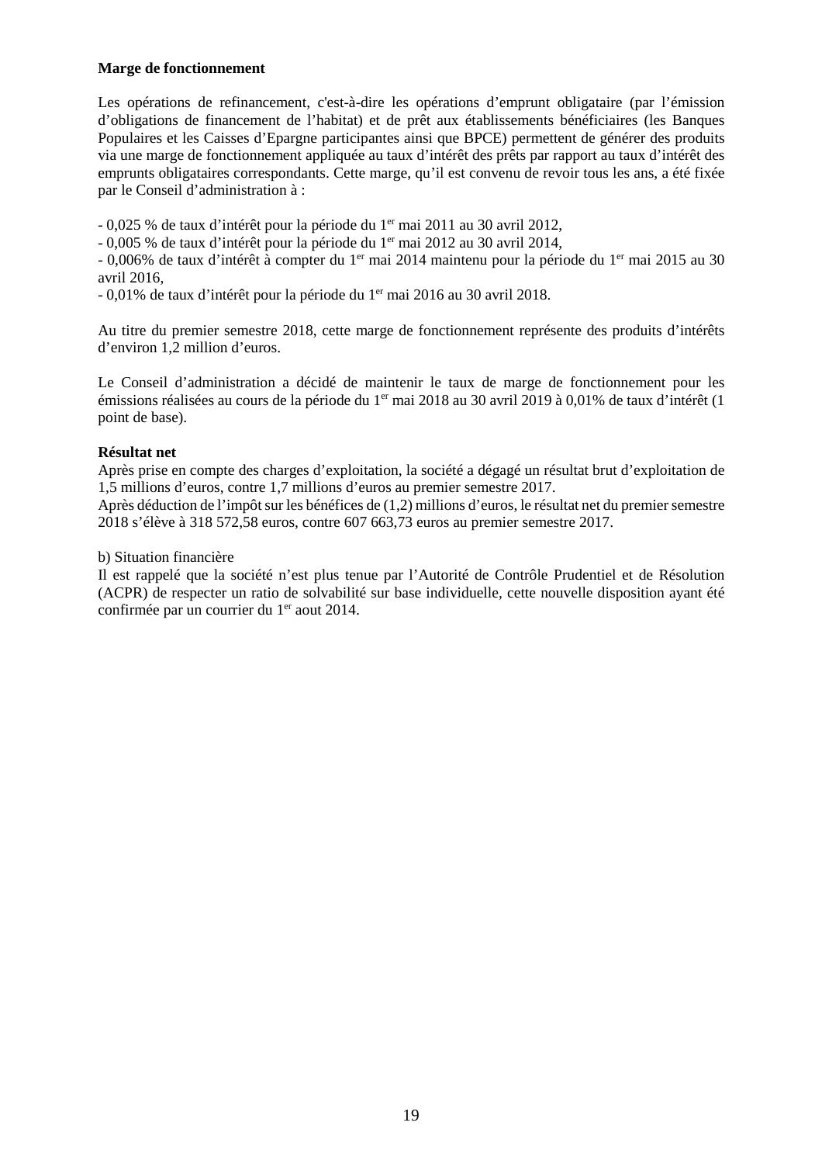### **Marge de fonctionnement**

Les opérations de refinancement, c'est-à-dire les opérations d'emprunt obligataire (par l'émission d'obligations de financement de l'habitat) et de prêt aux établissements bénéficiaires (les Banques Populaires et les Caisses d'Epargne participantes ainsi que BPCE) permettent de générer des produits via une marge de fonctionnement appliquée au taux d'intérêt des prêts par rapport au taux d'intérêt des emprunts obligataires correspondants. Cette marge, qu'il est convenu de revoir tous les ans, a été fixée par le Conseil d'administration à :

- 0,025 % de taux d'intérêt pour la période du 1er mai 2011 au 30 avril 2012,

- 0,005 % de taux d'intérêt pour la période du 1er mai 2012 au 30 avril 2014,

- 0,006% de taux d'intérêt à compter du 1<sup>er</sup> mai 2014 maintenu pour la période du 1<sup>er</sup> mai 2015 au 30 avril 2016,

- 0,01% de taux d'intérêt pour la période du 1er mai 2016 au 30 avril 2018.

Au titre du premier semestre 2018, cette marge de fonctionnement représente des produits d'intérêts d'environ 1,2 million d'euros.

Le Conseil d'administration a décidé de maintenir le taux de marge de fonctionnement pour les émissions réalisées au cours de la période du 1<sup>er</sup> mai 2018 au 30 avril 2019 à 0,01% de taux d'intérêt (1 point de base).

### **Résultat net**

Après prise en compte des charges d'exploitation, la société a dégagé un résultat brut d'exploitation de 1,5 millions d'euros, contre 1,7 millions d'euros au premier semestre 2017.

Après déduction de l'impôt sur les bénéfices de (1,2) millions d'euros, le résultat net du premier semestre 2018 s'élève à 318 572,58 euros, contre 607 663,73 euros au premier semestre 2017.

### b) Situation financière

Il est rappelé que la société n'est plus tenue par l'Autorité de Contrôle Prudentiel et de Résolution (ACPR) de respecter un ratio de solvabilité sur base individuelle, cette nouvelle disposition ayant été confirmée par un courrier du 1<sup>er</sup> aout 2014.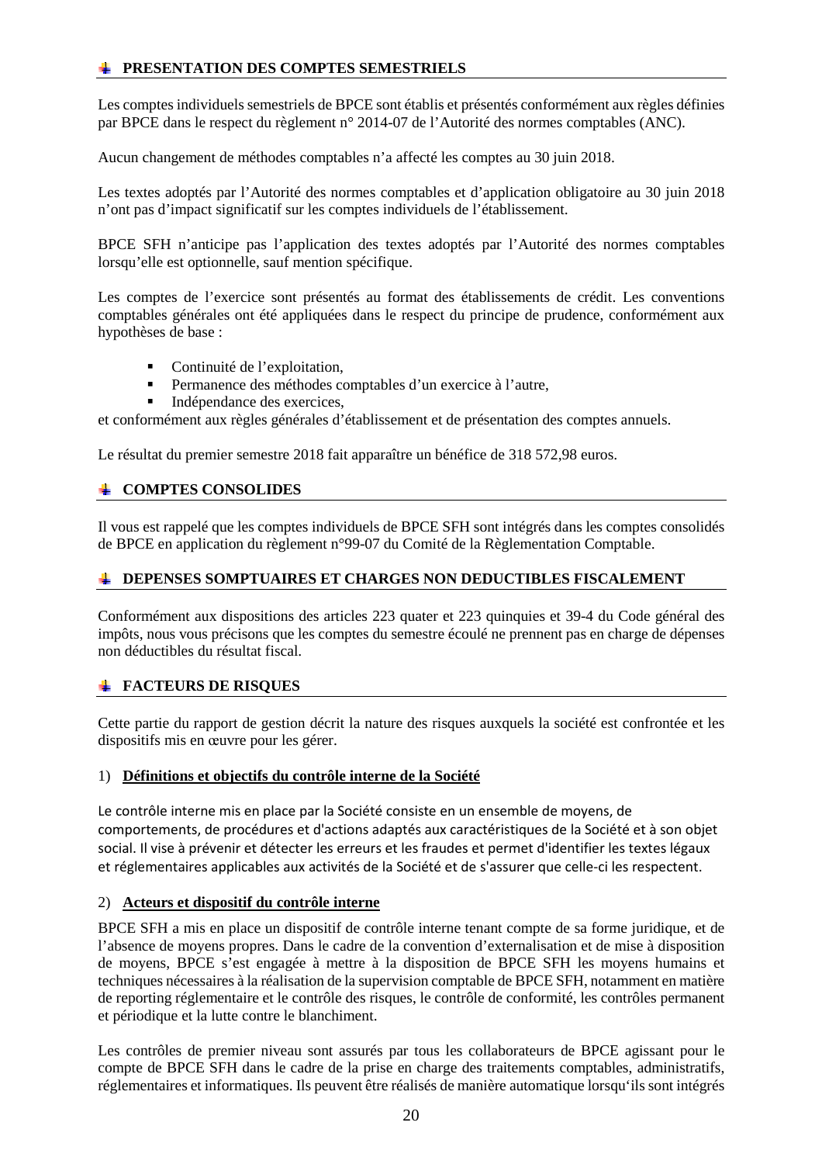## **PRESENTATION DES COMPTES SEMESTRIELS**

Les comptes individuels semestriels de BPCE sont établis et présentés conformément aux règles définies par BPCE dans le respect du règlement n° 2014-07 de l'Autorité des normes comptables (ANC).

Aucun changement de méthodes comptables n'a affecté les comptes au 30 juin 2018.

Les textes adoptés par l'Autorité des normes comptables et d'application obligatoire au 30 juin 2018 n'ont pas d'impact significatif sur les comptes individuels de l'établissement.

BPCE SFH n'anticipe pas l'application des textes adoptés par l'Autorité des normes comptables lorsqu'elle est optionnelle, sauf mention spécifique.

Les comptes de l'exercice sont présentés au format des établissements de crédit. Les conventions comptables générales ont été appliquées dans le respect du principe de prudence, conformément aux hypothèses de base :

- Continuité de l'exploitation,
- Permanence des méthodes comptables d'un exercice à l'autre,
- Indépendance des exercices,

et conformément aux règles générales d'établissement et de présentation des comptes annuels.

Le résultat du premier semestre 2018 fait apparaître un bénéfice de 318 572,98 euros.

### **COMPTES CONSOLIDES**

Il vous est rappelé que les comptes individuels de BPCE SFH sont intégrés dans les comptes consolidés de BPCE en application du règlement n°99-07 du Comité de la Règlementation Comptable.

### **DEPENSES SOMPTUAIRES ET CHARGES NON DEDUCTIBLES FISCALEMENT**

Conformément aux dispositions des articles 223 quater et 223 quinquies et 39-4 du Code général des impôts, nous vous précisons que les comptes du semestre écoulé ne prennent pas en charge de dépenses non déductibles du résultat fiscal.

### **FACTEURS DE RISQUES**

Cette partie du rapport de gestion décrit la nature des risques auxquels la société est confrontée et les dispositifs mis en œuvre pour les gérer.

### 1) **Définitions et objectifs du contrôle interne de la Société**

Le contrôle interne mis en place par la Société consiste en un ensemble de moyens, de comportements, de procédures et d'actions adaptés aux caractéristiques de la Société et à son objet social. Il vise à prévenir et détecter les erreurs et les fraudes et permet d'identifier les textes légaux et réglementaires applicables aux activités de la Société et de s'assurer que celle-ci les respectent.

### 2) **Acteurs et dispositif du contrôle interne**

BPCE SFH a mis en place un dispositif de contrôle interne tenant compte de sa forme juridique, et de l'absence de moyens propres. Dans le cadre de la convention d'externalisation et de mise à disposition de moyens, BPCE s'est engagée à mettre à la disposition de BPCE SFH les moyens humains et techniques nécessaires à la réalisation de la supervision comptable de BPCE SFH, notamment en matière de reporting réglementaire et le contrôle des risques, le contrôle de conformité, les contrôles permanent et périodique et la lutte contre le blanchiment.

Les contrôles de premier niveau sont assurés par tous les collaborateurs de BPCE agissant pour le compte de BPCE SFH dans le cadre de la prise en charge des traitements comptables, administratifs, réglementaires et informatiques. Ils peuvent être réalisés de manière automatique lorsqu'ils sont intégrés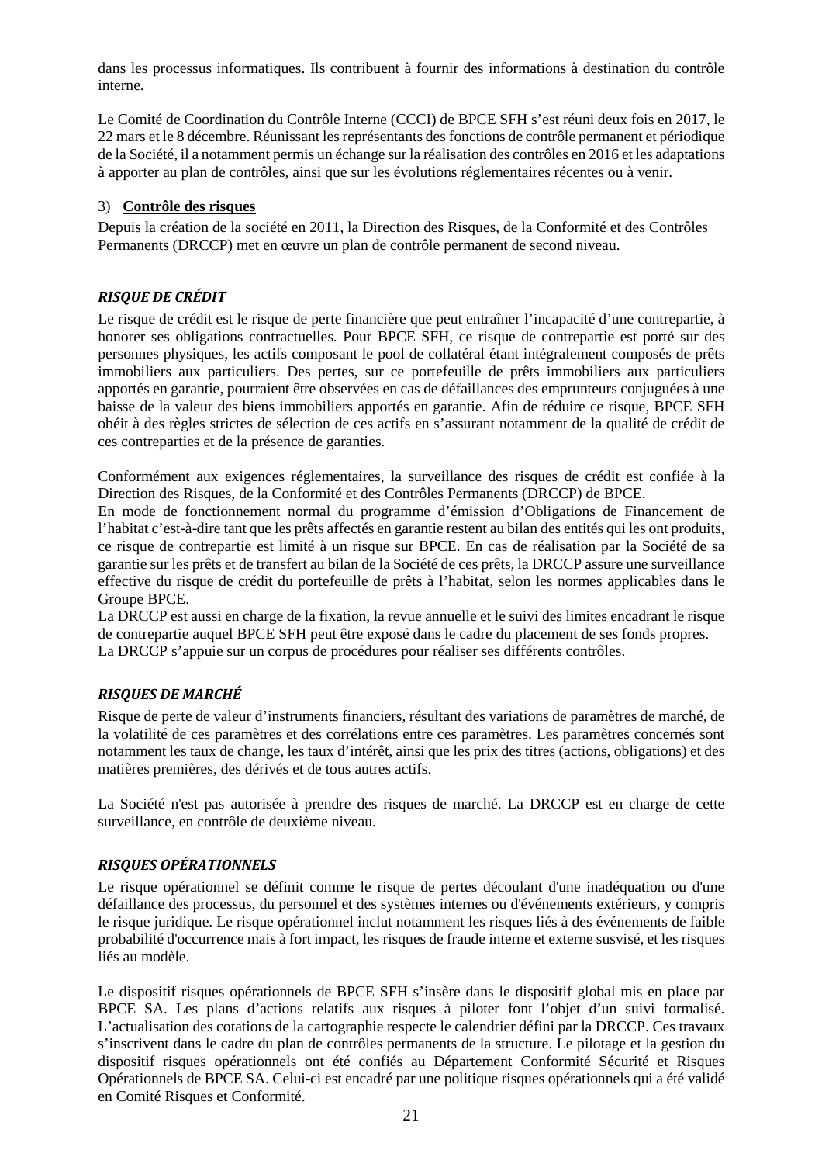dans les processus informatiques. Ils contribuent à fournir des informations à destination du contrôle interne.

Le Comité de Coordination du Contrôle Interne (CCCI) de BPCE SFH s'est réuni deux fois en 2017, le 22 mars et le 8 décembre. Réunissant les représentants des fonctions de contrôle permanent et périodique de la Société, il a notamment permis un échange sur la réalisation des contrôles en 2016 et les adaptations à apporter au plan de contrôles, ainsi que sur les évolutions réglementaires récentes ou à venir.

### 3) **Contrôle des risques**

Depuis la création de la société en 2011, la Direction des Risques, de la Conformité et des Contrôles Permanents (DRCCP) met en œuvre un plan de contrôle permanent de second niveau.

### *RISQUE DE CRÉDIT*

Le risque de crédit est le risque de perte financière que peut entraîner l'incapacité d'une contrepartie, à honorer ses obligations contractuelles. Pour BPCE SFH, ce risque de contrepartie est porté sur des personnes physiques, les actifs composant le pool de collatéral étant intégralement composés de prêts immobiliers aux particuliers. Des pertes, sur ce portefeuille de prêts immobiliers aux particuliers apportés en garantie, pourraient être observées en cas de défaillances des emprunteurs conjuguées à une baisse de la valeur des biens immobiliers apportés en garantie. Afin de réduire ce risque, BPCE SFH obéit à des règles strictes de sélection de ces actifs en s'assurant notamment de la qualité de crédit de ces contreparties et de la présence de garanties.

Conformément aux exigences réglementaires, la surveillance des risques de crédit est confiée à la Direction des Risques, de la Conformité et des Contrôles Permanents (DRCCP) de BPCE.

En mode de fonctionnement normal du programme d'émission d'Obligations de Financement de l'habitat c'est-à-dire tant que les prêts affectés en garantie restent au bilan des entités qui les ont produits, ce risque de contrepartie est limité à un risque sur BPCE. En cas de réalisation par la Société de sa garantie sur les prêts et de transfert au bilan de la Société de ces prêts, la DRCCP assure une surveillance effective du risque de crédit du portefeuille de prêts à l'habitat, selon les normes applicables dans le Groupe BPCE.

La DRCCP est aussi en charge de la fixation, la revue annuelle et le suivi des limites encadrant le risque de contrepartie auquel BPCE SFH peut être exposé dans le cadre du placement de ses fonds propres. La DRCCP s'appuie sur un corpus de procédures pour réaliser ses différents contrôles.

### *RISQUES DE MARCHÉ*

Risque de perte de valeur d'instruments financiers, résultant des variations de paramètres de marché, de la volatilité de ces paramètres et des corrélations entre ces paramètres. Les paramètres concernés sont notamment les taux de change, les taux d'intérêt, ainsi que les prix des titres (actions, obligations) et des matières premières, des dérivés et de tous autres actifs.

La Société n'est pas autorisée à prendre des risques de marché. La DRCCP est en charge de cette surveillance, en contrôle de deuxième niveau.

### *RISQUES OPÉRATIONNELS*

Le risque opérationnel se définit comme le risque de pertes découlant d'une inadéquation ou d'une défaillance des processus, du personnel et des systèmes internes ou d'événements extérieurs, y compris le risque juridique. Le risque opérationnel inclut notamment les risques liés à des événements de faible probabilité d'occurrence mais à fort impact, les risques de fraude interne et externe susvisé, et les risques liés au modèle.

Le dispositif risques opérationnels de BPCE SFH s'insère dans le dispositif global mis en place par BPCE SA. Les plans d'actions relatifs aux risques à piloter font l'objet d'un suivi formalisé. L'actualisation des cotations de la cartographie respecte le calendrier défini par la DRCCP. Ces travaux s'inscrivent dans le cadre du plan de contrôles permanents de la structure. Le pilotage et la gestion du dispositif risques opérationnels ont été confiés au Département Conformité Sécurité et Risques Opérationnels de BPCE SA. Celui-ci est encadré par une politique risques opérationnels qui a été validé en Comité Risques et Conformité.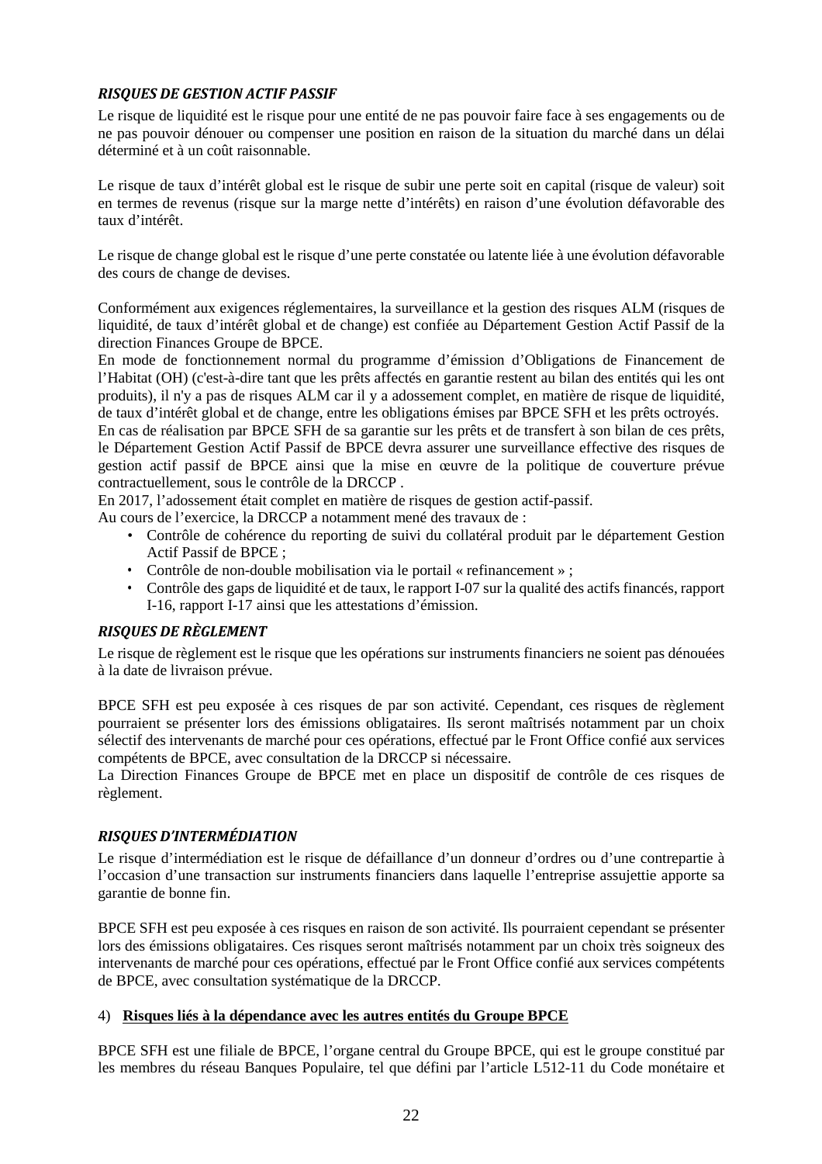# *RISQUES DE GESTION ACTIF PASSIF*

Le risque de liquidité est le risque pour une entité de ne pas pouvoir faire face à ses engagements ou de ne pas pouvoir dénouer ou compenser une position en raison de la situation du marché dans un délai déterminé et à un coût raisonnable.

Le risque de taux d'intérêt global est le risque de subir une perte soit en capital (risque de valeur) soit en termes de revenus (risque sur la marge nette d'intérêts) en raison d'une évolution défavorable des taux d'intérêt.

Le risque de change global est le risque d'une perte constatée ou latente liée à une évolution défavorable des cours de change de devises.

Conformément aux exigences réglementaires, la surveillance et la gestion des risques ALM (risques de liquidité, de taux d'intérêt global et de change) est confiée au Département Gestion Actif Passif de la direction Finances Groupe de BPCE.

En mode de fonctionnement normal du programme d'émission d'Obligations de Financement de l'Habitat (OH) (c'est-à-dire tant que les prêts affectés en garantie restent au bilan des entités qui les ont produits), il n'y a pas de risques ALM car il y a adossement complet, en matière de risque de liquidité, de taux d'intérêt global et de change, entre les obligations émises par BPCE SFH et les prêts octroyés.

En cas de réalisation par BPCE SFH de sa garantie sur les prêts et de transfert à son bilan de ces prêts, le Département Gestion Actif Passif de BPCE devra assurer une surveillance effective des risques de gestion actif passif de BPCE ainsi que la mise en œuvre de la politique de couverture prévue contractuellement, sous le contrôle de la DRCCP .

En 2017, l'adossement était complet en matière de risques de gestion actif-passif.

Au cours de l'exercice, la DRCCP a notamment mené des travaux de :

- Contrôle de cohérence du reporting de suivi du collatéral produit par le département Gestion Actif Passif de BPCE ;
- Contrôle de non-double mobilisation via le portail « refinancement » ;
- Contrôle des gaps de liquidité et de taux, le rapport I-07 sur la qualité des actifs financés, rapport I-16, rapport I-17 ainsi que les attestations d'émission.

### *RISQUES DE RÈGLEMENT*

Le risque de règlement est le risque que les opérations sur instruments financiers ne soient pas dénouées à la date de livraison prévue.

BPCE SFH est peu exposée à ces risques de par son activité. Cependant, ces risques de règlement pourraient se présenter lors des émissions obligataires. Ils seront maîtrisés notamment par un choix sélectif des intervenants de marché pour ces opérations, effectué par le Front Office confié aux services compétents de BPCE, avec consultation de la DRCCP si nécessaire.

La Direction Finances Groupe de BPCE met en place un dispositif de contrôle de ces risques de règlement.

### *RISQUES D'INTERMÉDIATION*

Le risque d'intermédiation est le risque de défaillance d'un donneur d'ordres ou d'une contrepartie à l'occasion d'une transaction sur instruments financiers dans laquelle l'entreprise assujettie apporte sa garantie de bonne fin.

BPCE SFH est peu exposée à ces risques en raison de son activité. Ils pourraient cependant se présenter lors des émissions obligataires. Ces risques seront maîtrisés notamment par un choix très soigneux des intervenants de marché pour ces opérations, effectué par le Front Office confié aux services compétents de BPCE, avec consultation systématique de la DRCCP.

### 4) **Risques liés à la dépendance avec les autres entités du Groupe BPCE**

BPCE SFH est une filiale de BPCE, l'organe central du Groupe BPCE, qui est le groupe constitué par les membres du réseau Banques Populaire, tel que défini par l'article L512-11 du Code monétaire et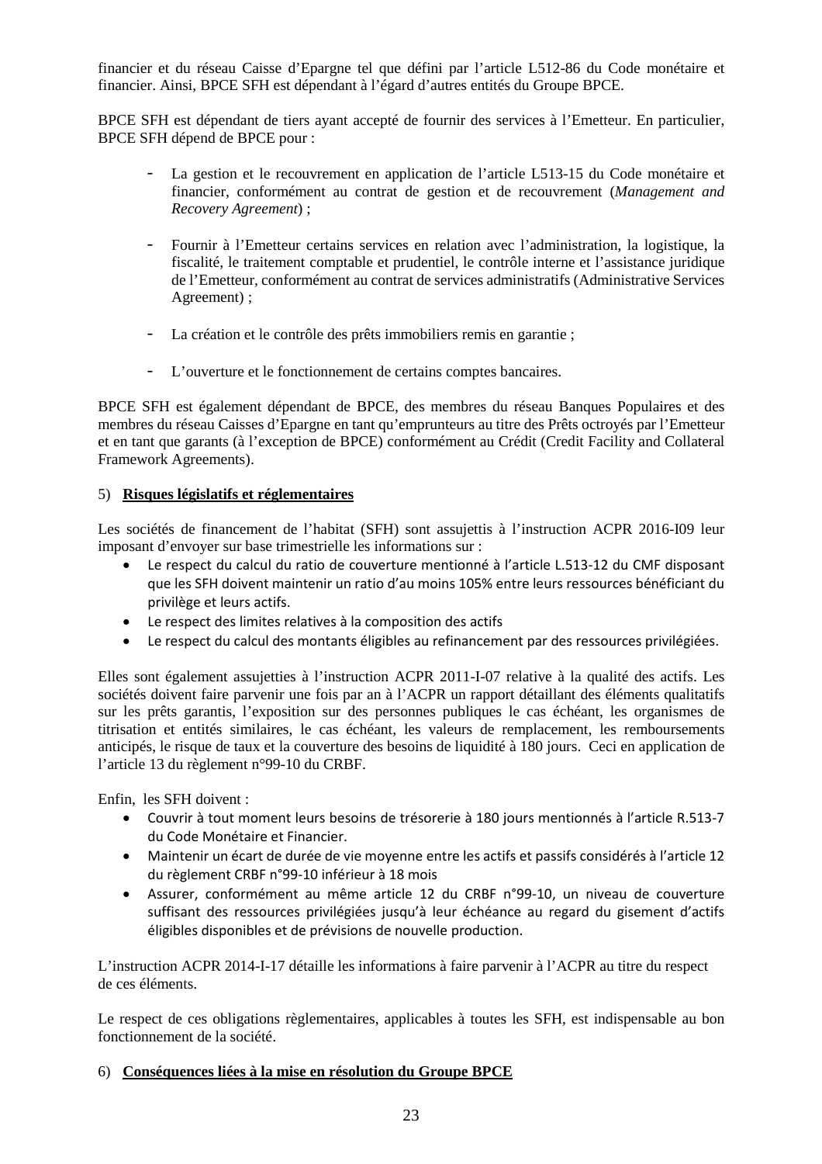financier et du réseau Caisse d'Epargne tel que défini par l'article L512-86 du Code monétaire et financier. Ainsi, BPCE SFH est dépendant à l'égard d'autres entités du Groupe BPCE.

BPCE SFH est dépendant de tiers ayant accepté de fournir des services à l'Emetteur. En particulier, BPCE SFH dépend de BPCE pour :

- La gestion et le recouvrement en application de l'article L513-15 du Code monétaire et financier, conformément au contrat de gestion et de recouvrement (*Management and Recovery Agreement*) ;
- Fournir à l'Emetteur certains services en relation avec l'administration, la logistique, la fiscalité, le traitement comptable et prudentiel, le contrôle interne et l'assistance juridique de l'Emetteur, conformément au contrat de services administratifs (Administrative Services Agreement) ;
- La création et le contrôle des prêts immobiliers remis en garantie ;
- L'ouverture et le fonctionnement de certains comptes bancaires.

BPCE SFH est également dépendant de BPCE, des membres du réseau Banques Populaires et des membres du réseau Caisses d'Epargne en tant qu'emprunteurs au titre des Prêts octroyés par l'Emetteur et en tant que garants (à l'exception de BPCE) conformément au Crédit (Credit Facility and Collateral Framework Agreements).

### 5) **Risques législatifs et réglementaires**

Les sociétés de financement de l'habitat (SFH) sont assujettis à l'instruction ACPR 2016-I09 leur imposant d'envoyer sur base trimestrielle les informations sur :

- Le respect du calcul du ratio de couverture mentionné à l'article L.513-12 du CMF disposant que les SFH doivent maintenir un ratio d'au moins 105% entre leurs ressources bénéficiant du privilège et leurs actifs.
- Le respect des limites relatives à la composition des actifs
- Le respect du calcul des montants éligibles au refinancement par des ressources privilégiées.

Elles sont également assujetties à l'instruction ACPR 2011-I-07 relative à la qualité des actifs. Les sociétés doivent faire parvenir une fois par an à l'ACPR un rapport détaillant des éléments qualitatifs sur les prêts garantis, l'exposition sur des personnes publiques le cas échéant, les organismes de titrisation et entités similaires, le cas échéant, les valeurs de remplacement, les remboursements anticipés, le risque de taux et la couverture des besoins de liquidité à 180 jours. Ceci en application de l'article 13 du règlement n°99-10 du CRBF.

Enfin, les SFH doivent :

- Couvrir à tout moment leurs besoins de trésorerie à 180 jours mentionnés à l'article R.513-7 du Code Monétaire et Financier.
- Maintenir un écart de durée de vie moyenne entre les actifs et passifs considérés à l'article 12 du règlement CRBF n°99-10 inférieur à 18 mois
- Assurer, conformément au même article 12 du CRBF n°99-10, un niveau de couverture suffisant des ressources privilégiées jusqu'à leur échéance au regard du gisement d'actifs éligibles disponibles et de prévisions de nouvelle production.

L'instruction ACPR 2014-I-17 détaille les informations à faire parvenir à l'ACPR au titre du respect de ces éléments.

Le respect de ces obligations règlementaires, applicables à toutes les SFH, est indispensable au bon fonctionnement de la société.

### 6) **Conséquences liées à la mise en résolution du Groupe BPCE**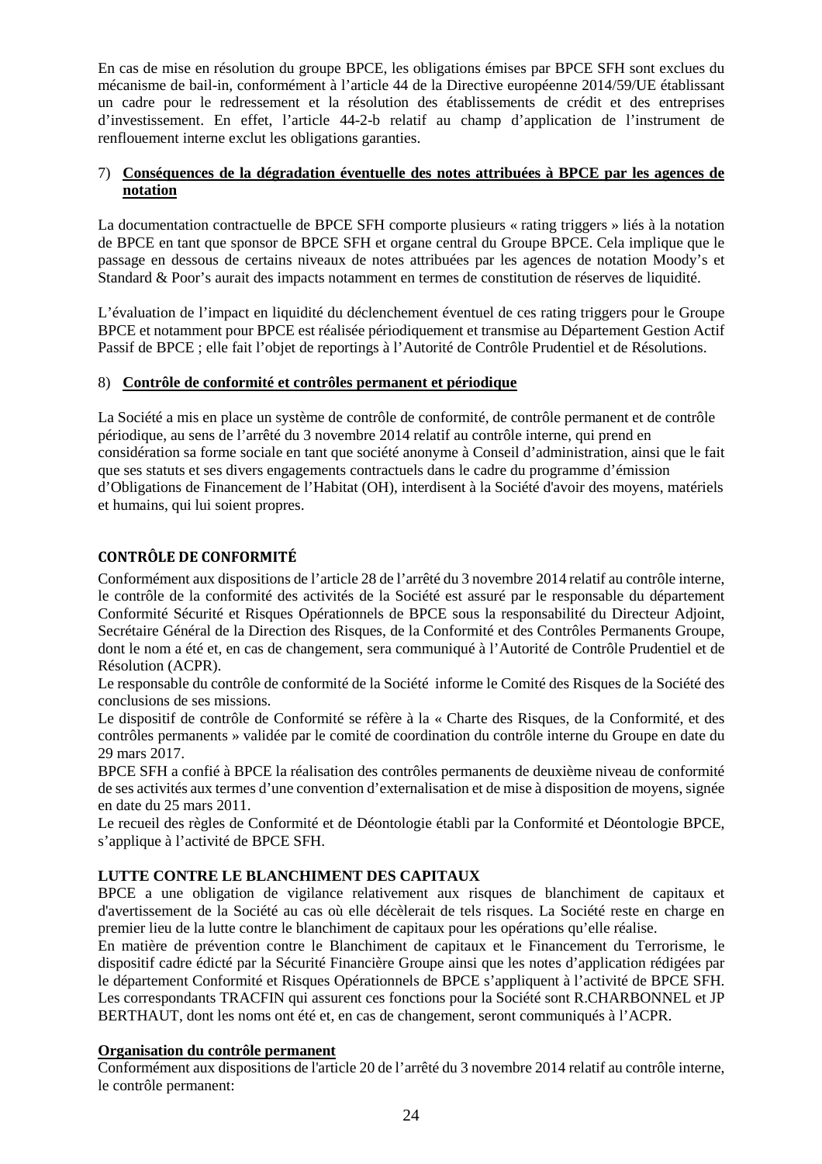En cas de mise en résolution du groupe BPCE, les obligations émises par BPCE SFH sont exclues du mécanisme de bail-in, conformément à l'article 44 de la Directive européenne 2014/59/UE établissant un cadre pour le redressement et la résolution des établissements de crédit et des entreprises d'investissement. En effet, l'article 44-2-b relatif au champ d'application de l'instrument de renflouement interne exclut les obligations garanties.

### 7) **Conséquences de la dégradation éventuelle des notes attribuées à BPCE par les agences de notation**

La documentation contractuelle de BPCE SFH comporte plusieurs « rating triggers » liés à la notation de BPCE en tant que sponsor de BPCE SFH et organe central du Groupe BPCE. Cela implique que le passage en dessous de certains niveaux de notes attribuées par les agences de notation Moody's et Standard & Poor's aurait des impacts notamment en termes de constitution de réserves de liquidité.

L'évaluation de l'impact en liquidité du déclenchement éventuel de ces rating triggers pour le Groupe BPCE et notamment pour BPCE est réalisée périodiquement et transmise au Département Gestion Actif Passif de BPCE ; elle fait l'objet de reportings à l'Autorité de Contrôle Prudentiel et de Résolutions.

### 8) **Contrôle de conformité et contrôles permanent et périodique**

La Société a mis en place un système de contrôle de conformité, de contrôle permanent et de contrôle périodique, au sens de l'arrêté du 3 novembre 2014 relatif au contrôle interne, qui prend en considération sa forme sociale en tant que société anonyme à Conseil d'administration, ainsi que le fait que ses statuts et ses divers engagements contractuels dans le cadre du programme d'émission d'Obligations de Financement de l'Habitat (OH), interdisent à la Société d'avoir des moyens, matériels et humains, qui lui soient propres.

# **CONTRÔLE DE CONFORMITÉ**

Conformément aux dispositions de l'article 28 de l'arrêté du 3 novembre 2014 relatif au contrôle interne, le contrôle de la conformité des activités de la Société est assuré par le responsable du département Conformité Sécurité et Risques Opérationnels de BPCE sous la responsabilité du Directeur Adjoint, Secrétaire Général de la Direction des Risques, de la Conformité et des Contrôles Permanents Groupe, dont le nom a été et, en cas de changement, sera communiqué à l'Autorité de Contrôle Prudentiel et de Résolution (ACPR).

Le responsable du contrôle de conformité de la Société informe le Comité des Risques de la Société des conclusions de ses missions.

Le dispositif de contrôle de Conformité se réfère à la « Charte des Risques, de la Conformité, et des contrôles permanents » validée par le comité de coordination du contrôle interne du Groupe en date du 29 mars 2017.

BPCE SFH a confié à BPCE la réalisation des contrôles permanents de deuxième niveau de conformité de ses activités aux termes d'une convention d'externalisation et de mise à disposition de moyens, signée en date du 25 mars 2011.

Le recueil des règles de Conformité et de Déontologie établi par la Conformité et Déontologie BPCE, s'applique à l'activité de BPCE SFH.

### **LUTTE CONTRE LE BLANCHIMENT DES CAPITAUX**

BPCE a une obligation de vigilance relativement aux risques de blanchiment de capitaux et d'avertissement de la Société au cas où elle décèlerait de tels risques. La Société reste en charge en premier lieu de la lutte contre le blanchiment de capitaux pour les opérations qu'elle réalise.

En matière de prévention contre le Blanchiment de capitaux et le Financement du Terrorisme, le dispositif cadre édicté par la Sécurité Financière Groupe ainsi que les notes d'application rédigées par le département Conformité et Risques Opérationnels de BPCE s'appliquent à l'activité de BPCE SFH. Les correspondants TRACFIN qui assurent ces fonctions pour la Société sont R.CHARBONNEL et JP BERTHAUT, dont les noms ont été et, en cas de changement, seront communiqués à l'ACPR.

### **Organisation du contrôle permanent**

Conformément aux dispositions de l'article 20 de l'arrêté du 3 novembre 2014 relatif au contrôle interne, le contrôle permanent: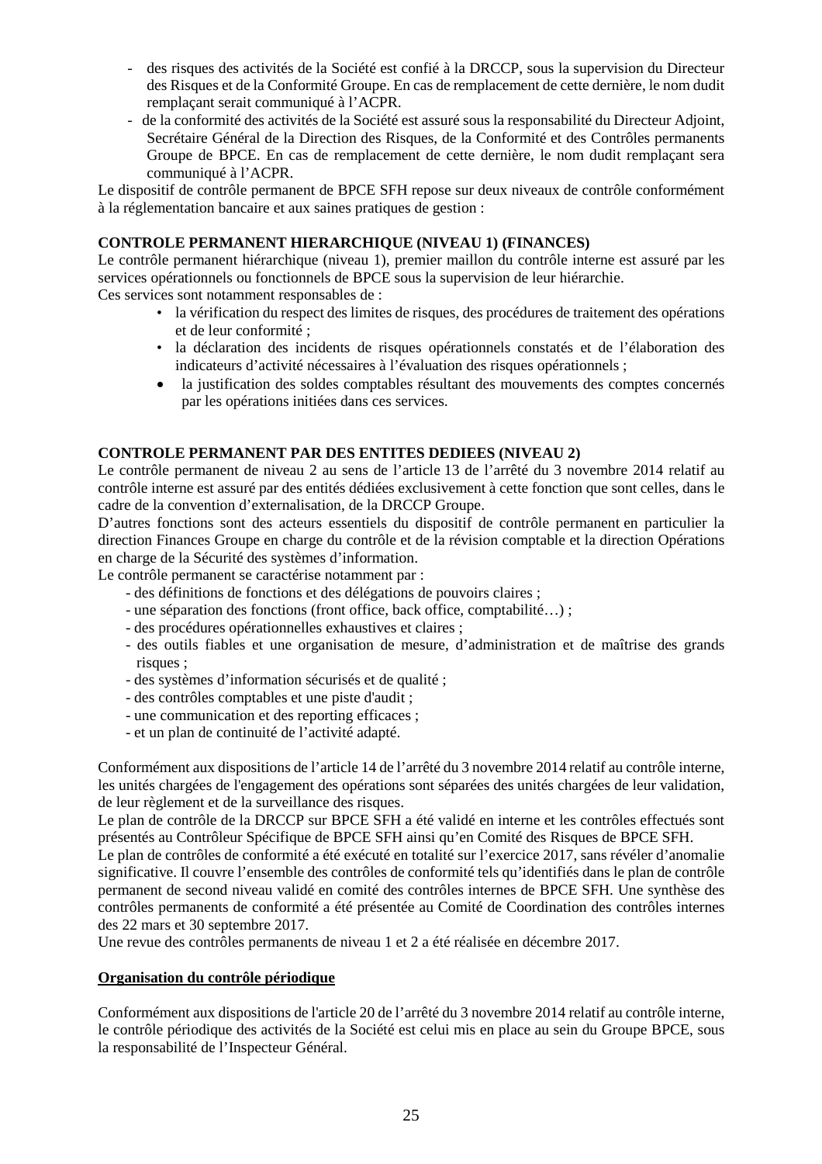- des risques des activités de la Société est confié à la DRCCP, sous la supervision du Directeur des Risques et de la Conformité Groupe. En cas de remplacement de cette dernière, le nom dudit remplaçant serait communiqué à l'ACPR.
- de la conformité des activités de la Société est assuré sous la responsabilité du Directeur Adjoint, Secrétaire Général de la Direction des Risques, de la Conformité et des Contrôles permanents Groupe de BPCE. En cas de remplacement de cette dernière, le nom dudit remplaçant sera communiqué à l'ACPR.

Le dispositif de contrôle permanent de BPCE SFH repose sur deux niveaux de contrôle conformément à la réglementation bancaire et aux saines pratiques de gestion :

### **CONTROLE PERMANENT HIERARCHIQUE (NIVEAU 1) (FINANCES)**

Le contrôle permanent hiérarchique (niveau 1), premier maillon du contrôle interne est assuré par les services opérationnels ou fonctionnels de BPCE sous la supervision de leur hiérarchie.

Ces services sont notamment responsables de :

- la vérification du respect des limites de risques, des procédures de traitement des opérations et de leur conformité ;
- la déclaration des incidents de risques opérationnels constatés et de l'élaboration des indicateurs d'activité nécessaires à l'évaluation des risques opérationnels ;
- la justification des soldes comptables résultant des mouvements des comptes concernés par les opérations initiées dans ces services.

### **CONTROLE PERMANENT PAR DES ENTITES DEDIEES (NIVEAU 2)**

Le contrôle permanent de niveau 2 au sens de l'article 13 de l'arrêté du 3 novembre 2014 relatif au contrôle interne est assuré par des entités dédiées exclusivement à cette fonction que sont celles, dans le cadre de la convention d'externalisation, de la DRCCP Groupe.

D'autres fonctions sont des acteurs essentiels du dispositif de contrôle permanent en particulier la direction Finances Groupe en charge du contrôle et de la révision comptable et la direction Opérations en charge de la Sécurité des systèmes d'information.

Le contrôle permanent se caractérise notamment par :

- des définitions de fonctions et des délégations de pouvoirs claires ;
- une séparation des fonctions (front office, back office, comptabilité…) ;
- des procédures opérationnelles exhaustives et claires ;
- des outils fiables et une organisation de mesure, d'administration et de maîtrise des grands risques ;
- des systèmes d'information sécurisés et de qualité ;
- des contrôles comptables et une piste d'audit ;
- une communication et des reporting efficaces ;
- et un plan de continuité de l'activité adapté.

Conformément aux dispositions de l'article 14 de l'arrêté du 3 novembre 2014 relatif au contrôle interne, les unités chargées de l'engagement des opérations sont séparées des unités chargées de leur validation, de leur règlement et de la surveillance des risques.

Le plan de contrôle de la DRCCP sur BPCE SFH a été validé en interne et les contrôles effectués sont présentés au Contrôleur Spécifique de BPCE SFH ainsi qu'en Comité des Risques de BPCE SFH.

Le plan de contrôles de conformité a été exécuté en totalité sur l'exercice 2017, sans révéler d'anomalie significative. Il couvre l'ensemble des contrôles de conformité tels qu'identifiés dans le plan de contrôle permanent de second niveau validé en comité des contrôles internes de BPCE SFH. Une synthèse des contrôles permanents de conformité a été présentée au Comité de Coordination des contrôles internes des 22 mars et 30 septembre 2017.

Une revue des contrôles permanents de niveau 1 et 2 a été réalisée en décembre 2017.

### **Organisation du contrôle périodique**

Conformément aux dispositions de l'article 20 de l'arrêté du 3 novembre 2014 relatif au contrôle interne, le contrôle périodique des activités de la Société est celui mis en place au sein du Groupe BPCE, sous la responsabilité de l'Inspecteur Général.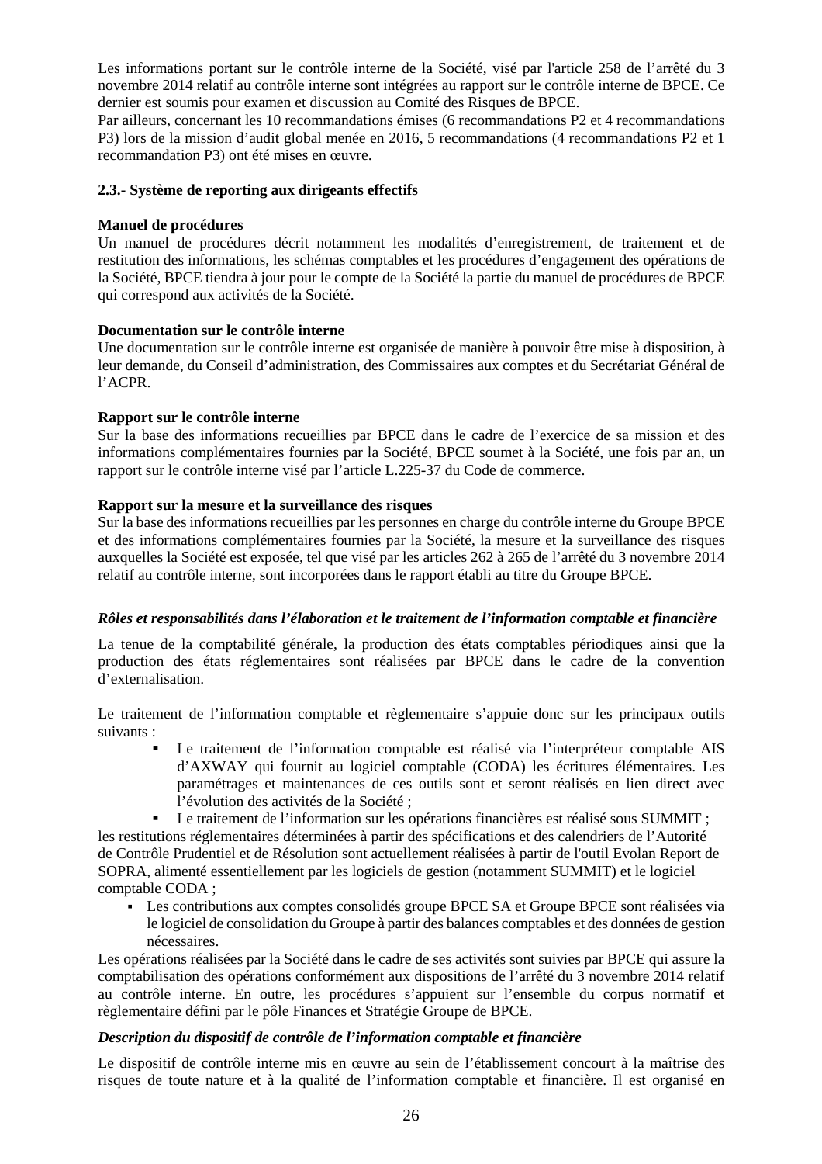Les informations portant sur le contrôle interne de la Société, visé par l'article 258 de l'arrêté du 3 novembre 2014 relatif au contrôle interne sont intégrées au rapport sur le contrôle interne de BPCE. Ce dernier est soumis pour examen et discussion au Comité des Risques de BPCE.

Par ailleurs, concernant les 10 recommandations émises (6 recommandations P2 et 4 recommandations P3) lors de la mission d'audit global menée en 2016, 5 recommandations (4 recommandations P2 et 1 recommandation P3) ont été mises en œuvre.

### **2.3.- Système de reporting aux dirigeants effectifs**

### **Manuel de procédures**

Un manuel de procédures décrit notamment les modalités d'enregistrement, de traitement et de restitution des informations, les schémas comptables et les procédures d'engagement des opérations de la Société, BPCE tiendra à jour pour le compte de la Société la partie du manuel de procédures de BPCE qui correspond aux activités de la Société.

### **Documentation sur le contrôle interne**

Une documentation sur le contrôle interne est organisée de manière à pouvoir être mise à disposition, à leur demande, du Conseil d'administration, des Commissaires aux comptes et du Secrétariat Général de l'ACPR.

### **Rapport sur le contrôle interne**

Sur la base des informations recueillies par BPCE dans le cadre de l'exercice de sa mission et des informations complémentaires fournies par la Société, BPCE soumet à la Société, une fois par an, un rapport sur le contrôle interne visé par l'article L.225-37 du Code de commerce.

### **Rapport sur la mesure et la surveillance des risques**

Sur la base des informations recueillies par les personnes en charge du contrôle interne du Groupe BPCE et des informations complémentaires fournies par la Société, la mesure et la surveillance des risques auxquelles la Société est exposée, tel que visé par les articles 262 à 265 de l'arrêté du 3 novembre 2014 relatif au contrôle interne, sont incorporées dans le rapport établi au titre du Groupe BPCE.

### *Rôles et responsabilités dans l'élaboration et le traitement de l'information comptable et financière*

La tenue de la comptabilité générale, la production des états comptables périodiques ainsi que la production des états réglementaires sont réalisées par BPCE dans le cadre de la convention d'externalisation.

Le traitement de l'information comptable et règlementaire s'appuie donc sur les principaux outils suivants :

- Le traitement de l'information comptable est réalisé via l'interpréteur comptable AIS d'AXWAY qui fournit au logiciel comptable (CODA) les écritures élémentaires. Les paramétrages et maintenances de ces outils sont et seront réalisés en lien direct avec l'évolution des activités de la Société ;
- Le traitement de l'information sur les opérations financières est réalisé sous SUMMIT ;

les restitutions réglementaires déterminées à partir des spécifications et des calendriers de l'Autorité de Contrôle Prudentiel et de Résolution sont actuellement réalisées à partir de l'outil Evolan Report de SOPRA, alimenté essentiellement par les logiciels de gestion (notamment SUMMIT) et le logiciel comptable CODA ;

Les contributions aux comptes consolidés groupe BPCE SA et Groupe BPCE sont réalisées via le logiciel de consolidation du Groupe à partir des balances comptables et des données de gestion nécessaires.

Les opérations réalisées par la Société dans le cadre de ses activités sont suivies par BPCE qui assure la comptabilisation des opérations conformément aux dispositions de l'arrêté du 3 novembre 2014 relatif au contrôle interne. En outre, les procédures s'appuient sur l'ensemble du corpus normatif et règlementaire défini par le pôle Finances et Stratégie Groupe de BPCE.

### *Description du dispositif de contrôle de l'information comptable et financière*

Le dispositif de contrôle interne mis en œuvre au sein de l'établissement concourt à la maîtrise des risques de toute nature et à la qualité de l'information comptable et financière. Il est organisé en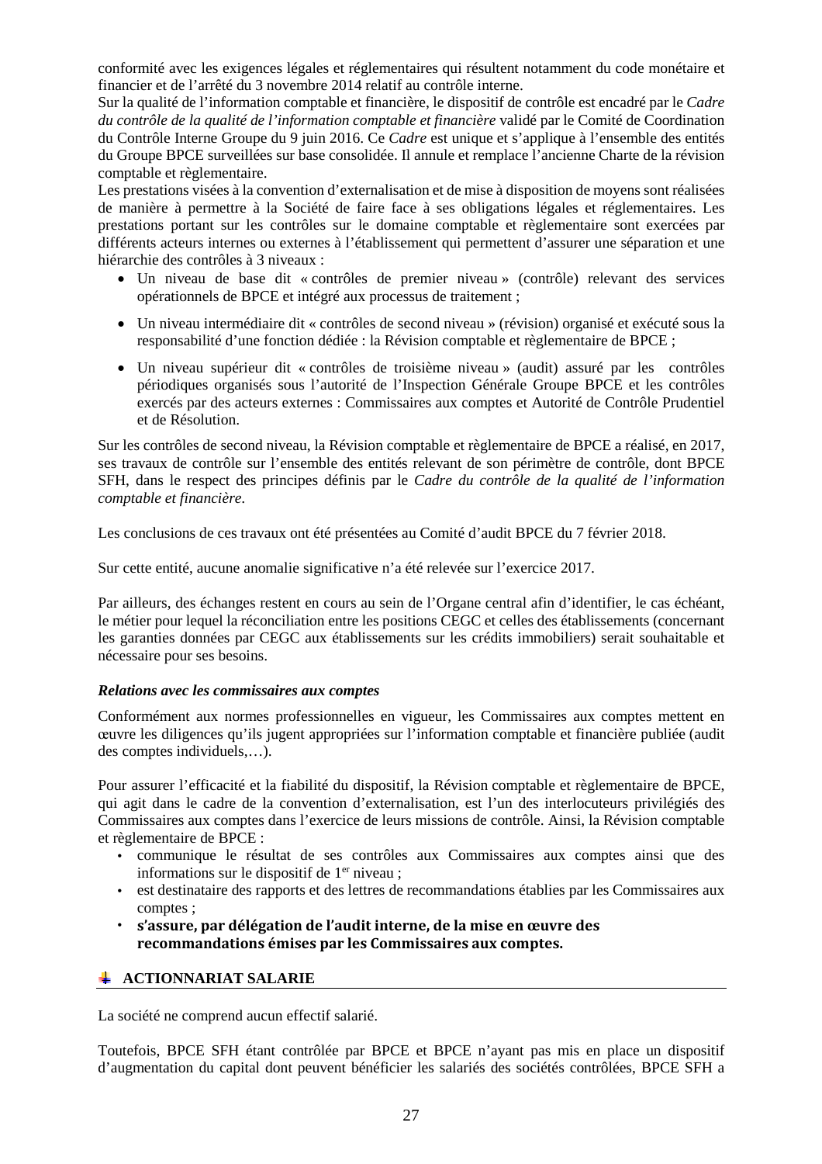conformité avec les exigences légales et réglementaires qui résultent notamment du code monétaire et financier et de l'arrêté du 3 novembre 2014 relatif au contrôle interne.

Sur la qualité de l'information comptable et financière, le dispositif de contrôle est encadré par le *Cadre du contrôle de la qualité de l'information comptable et financière* validé par le Comité de Coordination du Contrôle Interne Groupe du 9 juin 2016. Ce *Cadre* est unique et s'applique à l'ensemble des entités du Groupe BPCE surveillées sur base consolidée. Il annule et remplace l'ancienne Charte de la révision comptable et règlementaire.

Les prestations visées à la convention d'externalisation et de mise à disposition de moyens sont réalisées de manière à permettre à la Société de faire face à ses obligations légales et réglementaires. Les prestations portant sur les contrôles sur le domaine comptable et règlementaire sont exercées par différents acteurs internes ou externes à l'établissement qui permettent d'assurer une séparation et une hiérarchie des contrôles à 3 niveaux :

- Un niveau de base dit « contrôles de premier niveau » (contrôle) relevant des services opérationnels de BPCE et intégré aux processus de traitement ;
- Un niveau intermédiaire dit « contrôles de second niveau » (révision) organisé et exécuté sous la responsabilité d'une fonction dédiée : la Révision comptable et règlementaire de BPCE ;
- Un niveau supérieur dit « contrôles de troisième niveau » (audit) assuré par les contrôles périodiques organisés sous l'autorité de l'Inspection Générale Groupe BPCE et les contrôles exercés par des acteurs externes : Commissaires aux comptes et Autorité de Contrôle Prudentiel et de Résolution.

Sur les contrôles de second niveau, la Révision comptable et règlementaire de BPCE a réalisé, en 2017, ses travaux de contrôle sur l'ensemble des entités relevant de son périmètre de contrôle, dont BPCE SFH, dans le respect des principes définis par le *Cadre du contrôle de la qualité de l'information comptable et financière*.

Les conclusions de ces travaux ont été présentées au Comité d'audit BPCE du 7 février 2018.

Sur cette entité, aucune anomalie significative n'a été relevée sur l'exercice 2017.

Par ailleurs, des échanges restent en cours au sein de l'Organe central afin d'identifier, le cas échéant, le métier pour lequel la réconciliation entre les positions CEGC et celles des établissements (concernant les garanties données par CEGC aux établissements sur les crédits immobiliers) serait souhaitable et nécessaire pour ses besoins.

### *Relations avec les commissaires aux comptes*

Conformément aux normes professionnelles en vigueur, les Commissaires aux comptes mettent en œuvre les diligences qu'ils jugent appropriées sur l'information comptable et financière publiée (audit des comptes individuels,…).

Pour assurer l'efficacité et la fiabilité du dispositif, la Révision comptable et règlementaire de BPCE, qui agit dans le cadre de la convention d'externalisation, est l'un des interlocuteurs privilégiés des Commissaires aux comptes dans l'exercice de leurs missions de contrôle. Ainsi, la Révision comptable et règlementaire de BPCE :

- communique le résultat de ses contrôles aux Commissaires aux comptes ainsi que des informations sur le dispositif de  $1<sup>er</sup>$  niveau ;
- est destinataire des rapports et des lettres de recommandations établies par les Commissaires aux comptes ;
- **s'assure, par délégation de l'audit interne, de la mise en œuvre des recommandations émises par les Commissaires aux comptes.**

### **ACTIONNARIAT SALARIE**

La société ne comprend aucun effectif salarié.

Toutefois, BPCE SFH étant contrôlée par BPCE et BPCE n'ayant pas mis en place un dispositif d'augmentation du capital dont peuvent bénéficier les salariés des sociétés contrôlées, BPCE SFH a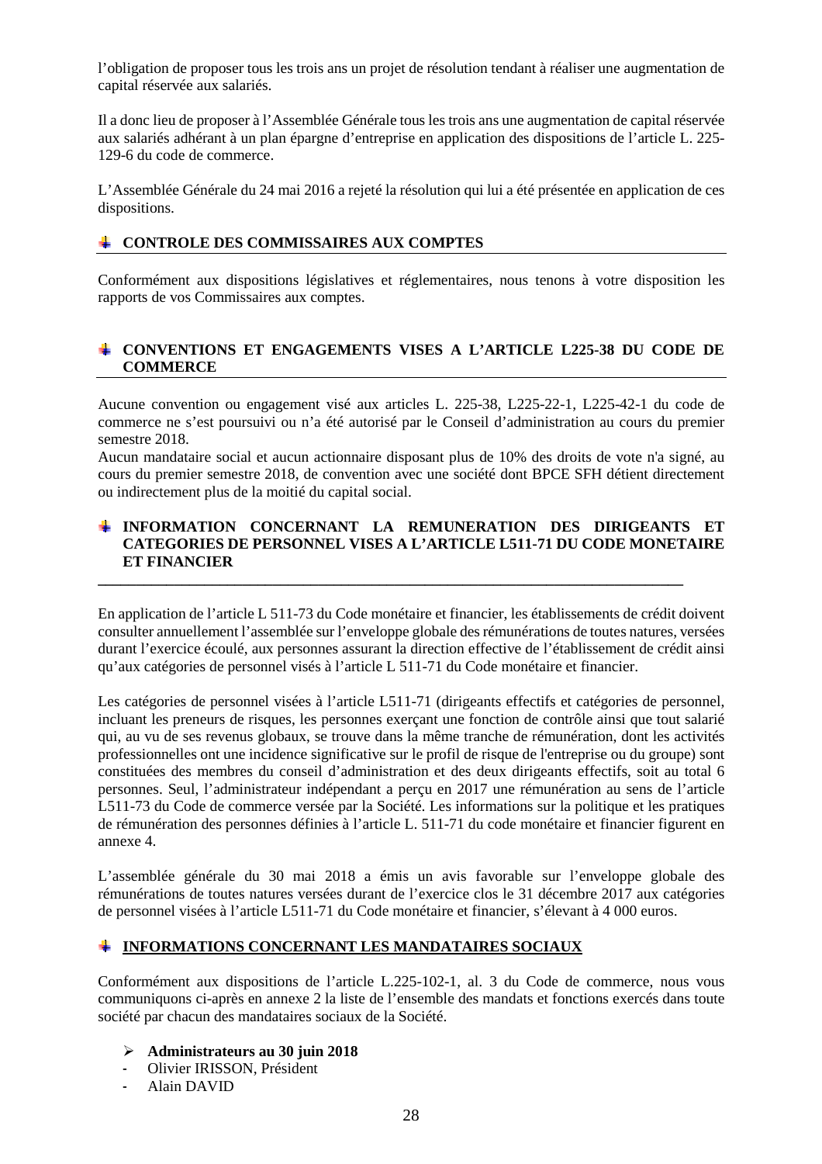l'obligation de proposer tous les trois ans un projet de résolution tendant à réaliser une augmentation de capital réservée aux salariés.

Il a donc lieu de proposer à l'Assemblée Générale tous les trois ans une augmentation de capital réservée aux salariés adhérant à un plan épargne d'entreprise en application des dispositions de l'article L. 225- 129-6 du code de commerce.

L'Assemblée Générale du 24 mai 2016 a rejeté la résolution qui lui a été présentée en application de ces dispositions.

### **CONTROLE DES COMMISSAIRES AUX COMPTES**

Conformément aux dispositions législatives et réglementaires, nous tenons à votre disposition les rapports de vos Commissaires aux comptes.

### **CONVENTIONS ET ENGAGEMENTS VISES A L'ARTICLE L225-38 DU CODE DE COMMERCE**

Aucune convention ou engagement visé aux articles L. 225-38, L225-22-1, L225-42-1 du code de commerce ne s'est poursuivi ou n'a été autorisé par le Conseil d'administration au cours du premier semestre 2018.

Aucun mandataire social et aucun actionnaire disposant plus de 10% des droits de vote n'a signé, au cours du premier semestre 2018, de convention avec une société dont BPCE SFH détient directement ou indirectement plus de la moitié du capital social.

### **INFORMATION CONCERNANT LA REMUNERATION DES DIRIGEANTS ET CATEGORIES DE PERSONNEL VISES A L'ARTICLE L511-71 DU CODE MONETAIRE ET FINANCIER**

**\_\_\_\_\_\_\_\_\_\_\_\_\_\_\_\_\_\_\_\_\_\_\_\_\_\_\_\_\_\_\_\_\_\_\_\_\_\_\_\_\_\_\_\_\_\_\_\_\_\_\_\_\_\_\_\_\_\_\_\_\_\_\_\_\_\_\_\_\_\_\_\_\_\_\_\_\_**

En application de l'article L 511-73 du Code monétaire et financier, les établissements de crédit doivent consulter annuellement l'assemblée sur l'enveloppe globale des rémunérations de toutes natures, versées durant l'exercice écoulé, aux personnes assurant la direction effective de l'établissement de crédit ainsi qu'aux catégories de personnel visés à l'article L 511-71 du Code monétaire et financier.

Les catégories de personnel visées à l'article L511-71 (dirigeants effectifs et catégories de personnel, incluant les preneurs de risques, les personnes exerçant une fonction de contrôle ainsi que tout salarié qui, au vu de ses revenus globaux, se trouve dans la même tranche de rémunération, dont les activités professionnelles ont une incidence significative sur le profil de risque de l'entreprise ou du groupe) sont constituées des membres du conseil d'administration et des deux dirigeants effectifs, soit au total 6 personnes. Seul, l'administrateur indépendant a perçu en 2017 une rémunération au sens de l'article L511-73 du Code de commerce versée par la Société. Les informations sur la politique et les pratiques de rémunération des personnes définies à l'article L. 511-71 du code monétaire et financier figurent en annexe 4.

L'assemblée générale du 30 mai 2018 a émis un avis favorable sur l'enveloppe globale des rémunérations de toutes natures versées durant de l'exercice clos le 31 décembre 2017 aux catégories de personnel visées à l'article L511-71 du Code monétaire et financier, s'élevant à 4 000 euros.

### **INFORMATIONS CONCERNANT LES MANDATAIRES SOCIAUX**

Conformément aux dispositions de l'article L.225-102-1, al. 3 du Code de commerce, nous vous communiquons ci-après en annexe 2 la liste de l'ensemble des mandats et fonctions exercés dans toute société par chacun des mandataires sociaux de la Société.

- **Administrateurs au 30 juin 2018**
- Olivier IRISSON, Président
- Alain DAVID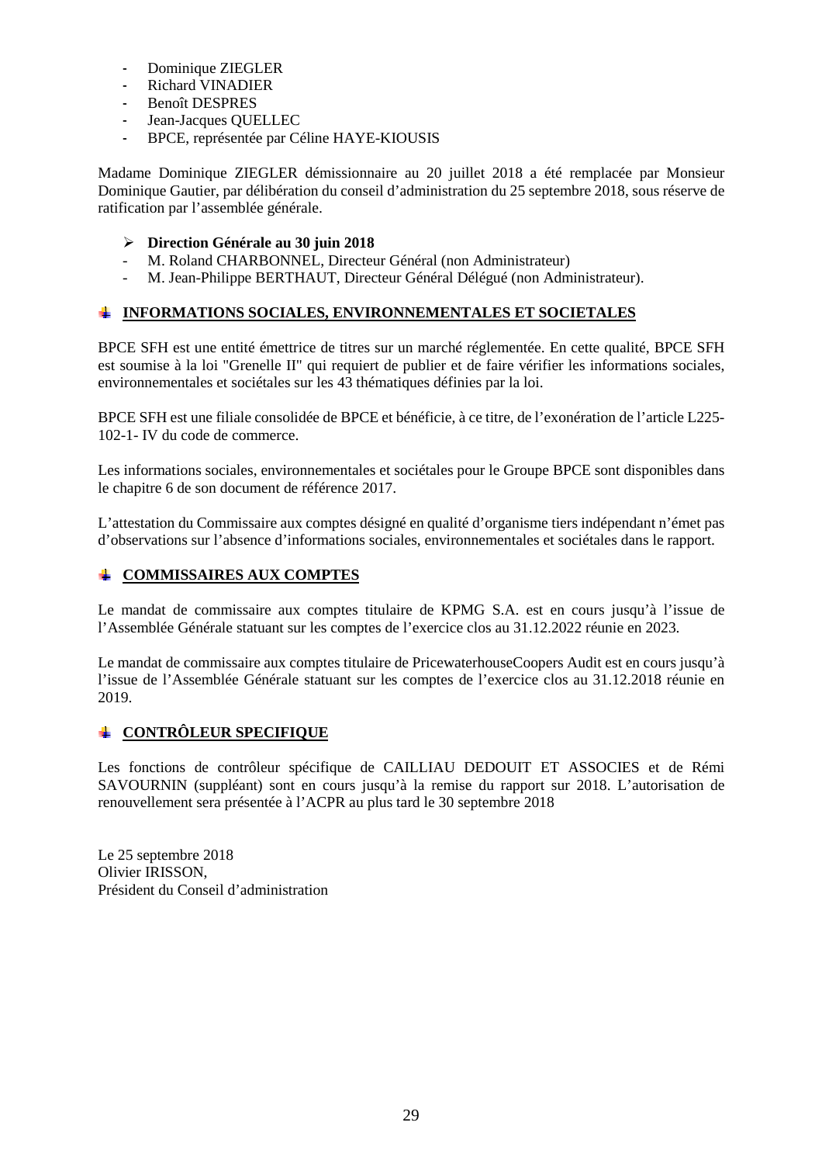- Dominique ZIEGLER
- Richard VINADIER
- Benoît DESPRES
- Jean-Jacques QUELLEC
- BPCE, représentée par Céline HAYE-KIOUSIS

Madame Dominique ZIEGLER démissionnaire au 20 juillet 2018 a été remplacée par Monsieur Dominique Gautier, par délibération du conseil d'administration du 25 septembre 2018, sous réserve de ratification par l'assemblée générale.

## **Direction Générale au 30 juin 2018**

- M. Roland CHARBONNEL, Directeur Général (non Administrateur)
- M. Jean-Philippe BERTHAUT, Directeur Général Délégué (non Administrateur).

# **INFORMATIONS SOCIALES, ENVIRONNEMENTALES ET SOCIETALES**

BPCE SFH est une entité émettrice de titres sur un marché réglementée. En cette qualité, BPCE SFH est soumise à la loi "Grenelle II" qui requiert de publier et de faire vérifier les informations sociales, environnementales et sociétales sur les 43 thématiques définies par la loi.

BPCE SFH est une filiale consolidée de BPCE et bénéficie, à ce titre, de l'exonération de l'article L225- 102-1- IV du code de commerce.

Les informations sociales, environnementales et sociétales pour le Groupe BPCE sont disponibles dans le chapitre 6 de son document de référence 2017.

L'attestation du Commissaire aux comptes désigné en qualité d'organisme tiers indépendant n'émet pas d'observations sur l'absence d'informations sociales, environnementales et sociétales dans le rapport.

# **COMMISSAIRES AUX COMPTES**

Le mandat de commissaire aux comptes titulaire de KPMG S.A. est en cours jusqu'à l'issue de l'Assemblée Générale statuant sur les comptes de l'exercice clos au 31.12.2022 réunie en 2023.

Le mandat de commissaire aux comptes titulaire de PricewaterhouseCoopers Audit est en cours jusqu'à l'issue de l'Assemblée Générale statuant sur les comptes de l'exercice clos au 31.12.2018 réunie en 2019.

### **CONTRÔLEUR SPECIFIQUE**

Les fonctions de contrôleur spécifique de CAILLIAU DEDOUIT ET ASSOCIES et de Rémi SAVOURNIN (suppléant) sont en cours jusqu'à la remise du rapport sur 2018. L'autorisation de renouvellement sera présentée à l'ACPR au plus tard le 30 septembre 2018

Le 25 septembre 2018 Olivier IRISSON, Président du Conseil d'administration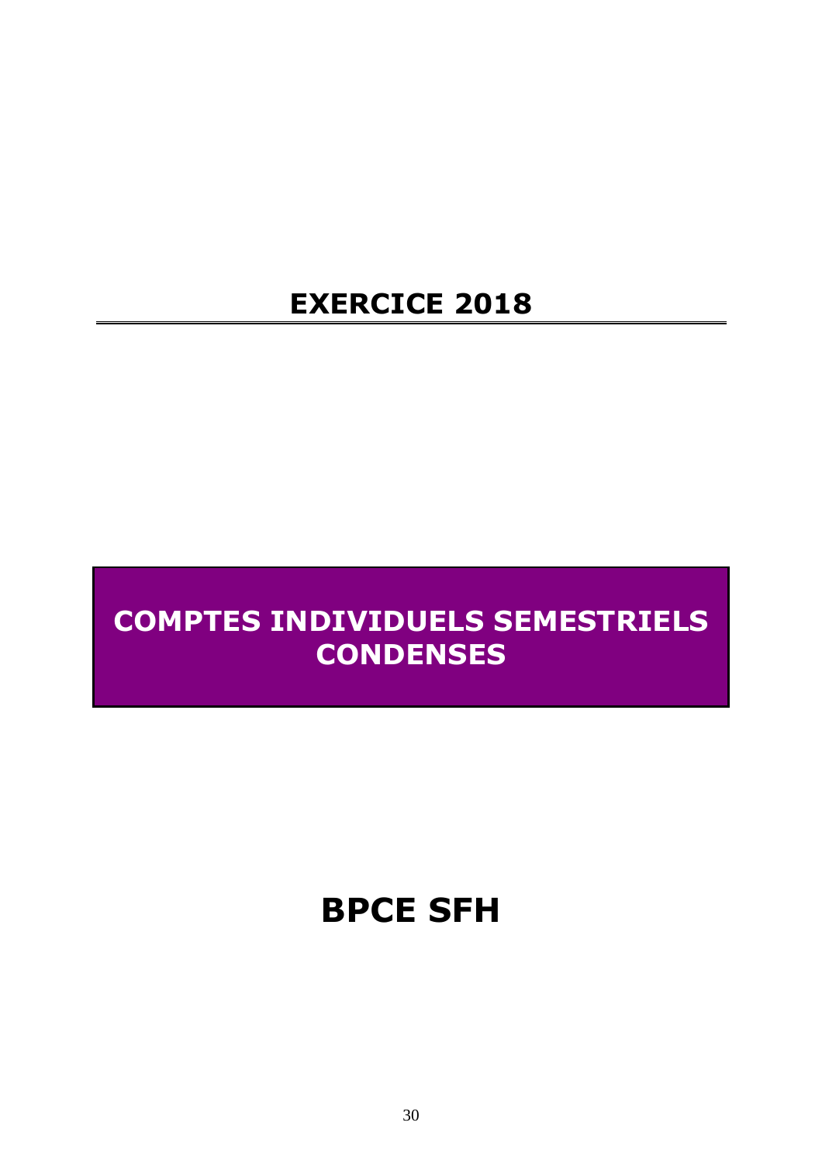# **EXERCICE 2018**

# **COMPTES INDIVIDUELS SEMESTRIELS CONDENSES**

# **BPCE SFH**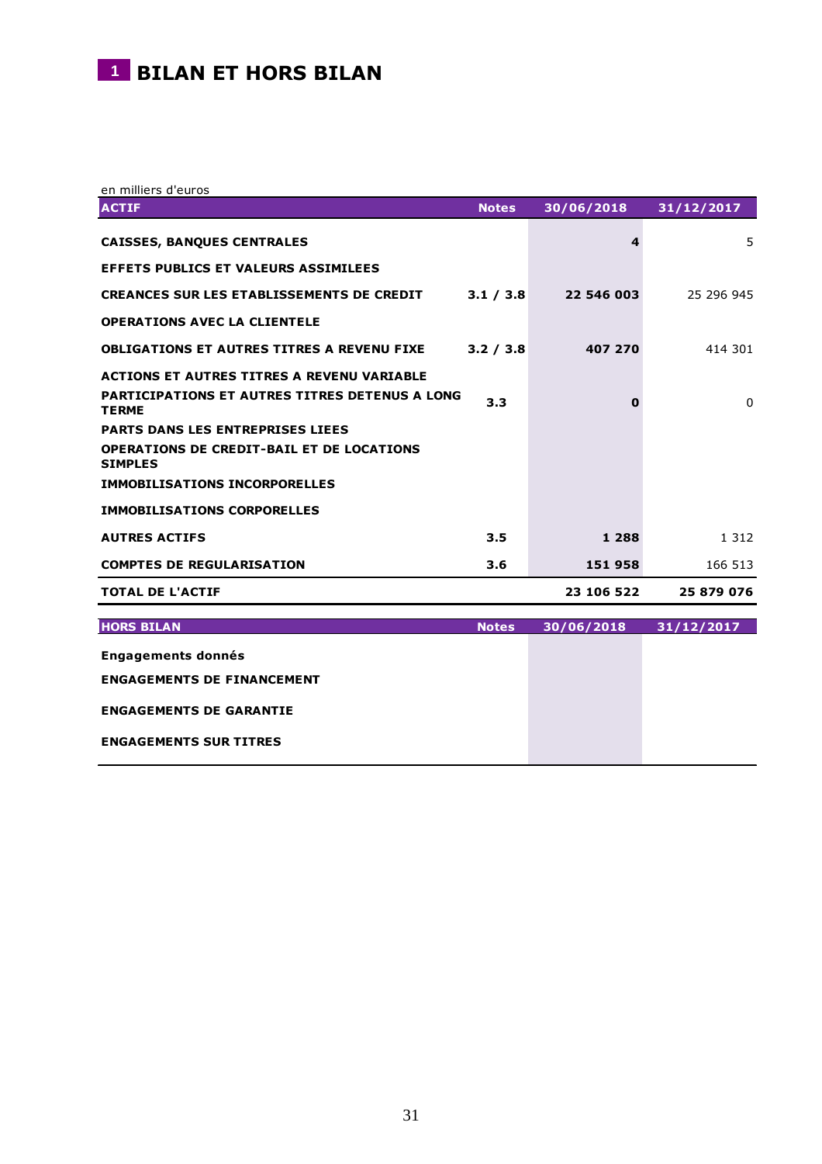# **1** BILAN ET HORS BILAN

en milliers d'euros

| <b>ACTIF</b>                                                          | <b>Notes</b> | 30/06/2018 | 31/12/2017 |
|-----------------------------------------------------------------------|--------------|------------|------------|
| <b>CAISSES, BANQUES CENTRALES</b>                                     |              | 4          | 5          |
| EFFETS PUBLICS ET VALEURS ASSIMILEES                                  |              |            |            |
| <b>CREANCES SUR LES ETABLISSEMENTS DE CREDIT</b>                      | 3.1 / 3.8    | 22 546 003 | 25 296 945 |
| <b>OPERATIONS AVEC LA CLIENTELE</b>                                   |              |            |            |
| <b>OBLIGATIONS ET AUTRES TITRES A REVENU FIXE</b>                     | 3.2 / 3.8    | 407 270    | 414 301    |
| <b>ACTIONS ET AUTRES TITRES A REVENU VARIABLE</b>                     |              |            |            |
| <b>PARTICIPATIONS ET AUTRES TITRES DETENUS A LONG</b><br><b>TERME</b> | 3.3          | 0          | $\Omega$   |
| <b>PARTS DANS LES ENTREPRISES LIEES</b>                               |              |            |            |
| <b>OPERATIONS DE CREDIT-BAIL ET DE LOCATIONS</b><br><b>SIMPLES</b>    |              |            |            |
| <b>IMMOBILISATIONS INCORPORELLES</b>                                  |              |            |            |
| <b>IMMOBILISATIONS CORPORELLES</b>                                    |              |            |            |
| <b>AUTRES ACTIFS</b>                                                  | 3.5          | 1 2 8 8    | 1 3 1 2    |
| <b>COMPTES DE REGULARISATION</b>                                      | 3.6          | 151 958    | 166 513    |
| <b>TOTAL DE L'ACTIF</b>                                               |              | 23 106 522 | 25 879 076 |
|                                                                       |              |            |            |
| <b>HORS BILAN</b>                                                     | <b>Notes</b> | 30/06/2018 | 31/12/2017 |
| <b>Engagements donnés</b>                                             |              |            |            |
| <b>ENGAGEMENTS DE FINANCEMENT</b>                                     |              |            |            |
| <b>ENGAGEMENTS DE GARANTIE</b>                                        |              |            |            |
| <b>ENGAGEMENTS SUR TITRES</b>                                         |              |            |            |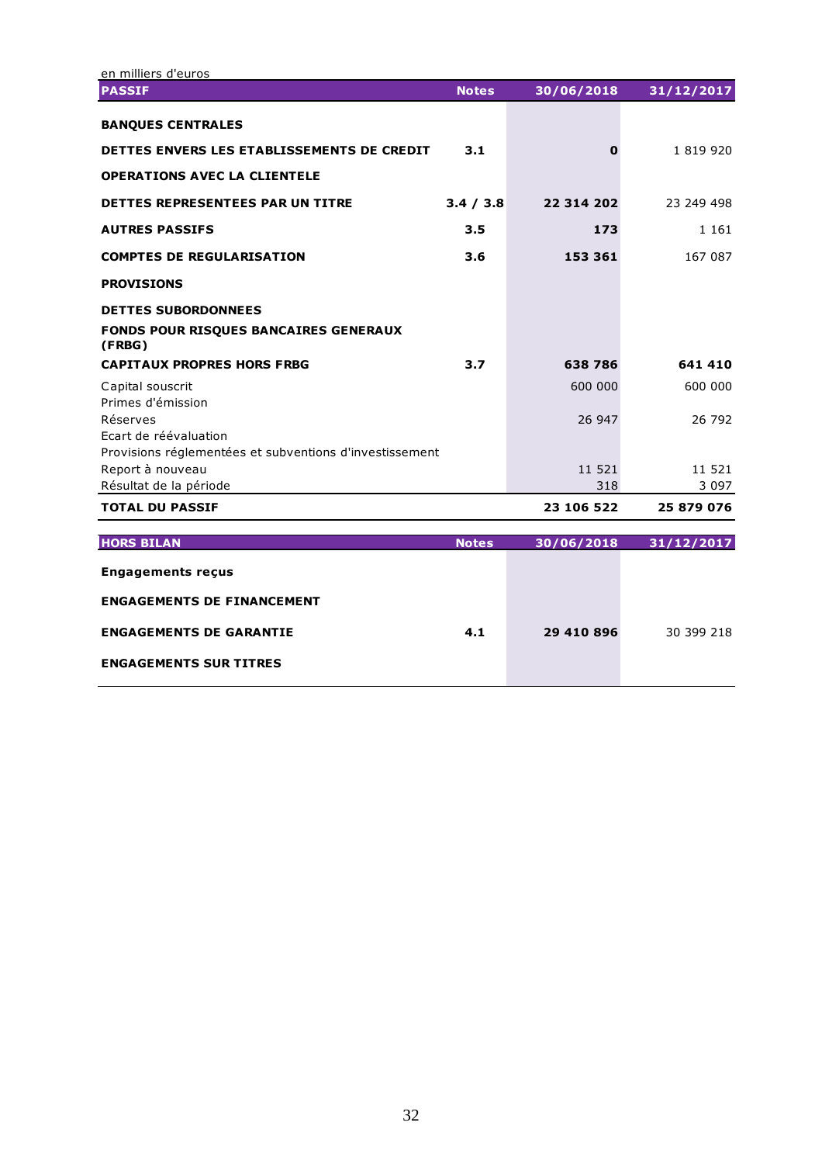| en milliers d'euros                                                              |              |            |            |
|----------------------------------------------------------------------------------|--------------|------------|------------|
| <b>PASSIF</b>                                                                    | <b>Notes</b> | 30/06/2018 | 31/12/2017 |
| <b>BANQUES CENTRALES</b>                                                         |              |            |            |
| DETTES ENVERS LES ETABLISSEMENTS DE CREDIT                                       | 3.1          | 0          | 1 819 920  |
| <b>OPERATIONS AVEC LA CLIENTELE</b>                                              |              |            |            |
| <b>DETTES REPRESENTEES PAR UN TITRE</b>                                          | 3.4 / 3.8    | 22 314 202 | 23 249 498 |
| <b>AUTRES PASSIFS</b>                                                            | 3.5          | 173        | 1 1 6 1    |
| <b>COMPTES DE REGULARISATION</b>                                                 | 3.6          | 153 361    | 167 087    |
| <b>PROVISIONS</b>                                                                |              |            |            |
| <b>DETTES SUBORDONNEES</b><br>FONDS POUR RISQUES BANCAIRES GENERAUX<br>(FRBG)    |              |            |            |
| <b>CAPITAUX PROPRES HORS FRBG</b>                                                | 3.7          | 638786     | 641 410    |
| Capital souscrit<br>Primes d'émission                                            |              | 600 000    | 600 000    |
| Réserves                                                                         |              | 26 947     | 26 792     |
| Ecart de réévaluation<br>Provisions réglementées et subventions d'investissement |              |            |            |
| Report à nouveau                                                                 |              | 11 521     | 11 521     |
| Résultat de la période                                                           |              | 318        | 3 0 9 7    |
| <b>TOTAL DU PASSIF</b>                                                           |              | 23 106 522 | 25 879 076 |
| <b>HORS BILAN</b>                                                                | <b>Notes</b> | 30/06/2018 | 31/12/2017 |
|                                                                                  |              |            |            |
| <b>Engagements reçus</b>                                                         |              |            |            |
| <b>ENGAGEMENTS DE FINANCEMENT</b>                                                |              |            |            |
| <b>ENGAGEMENTS DE GARANTIE</b>                                                   | 4.1          | 29 410 896 | 30 399 218 |
| <b>ENGAGEMENTS SUR TITRES</b>                                                    |              |            |            |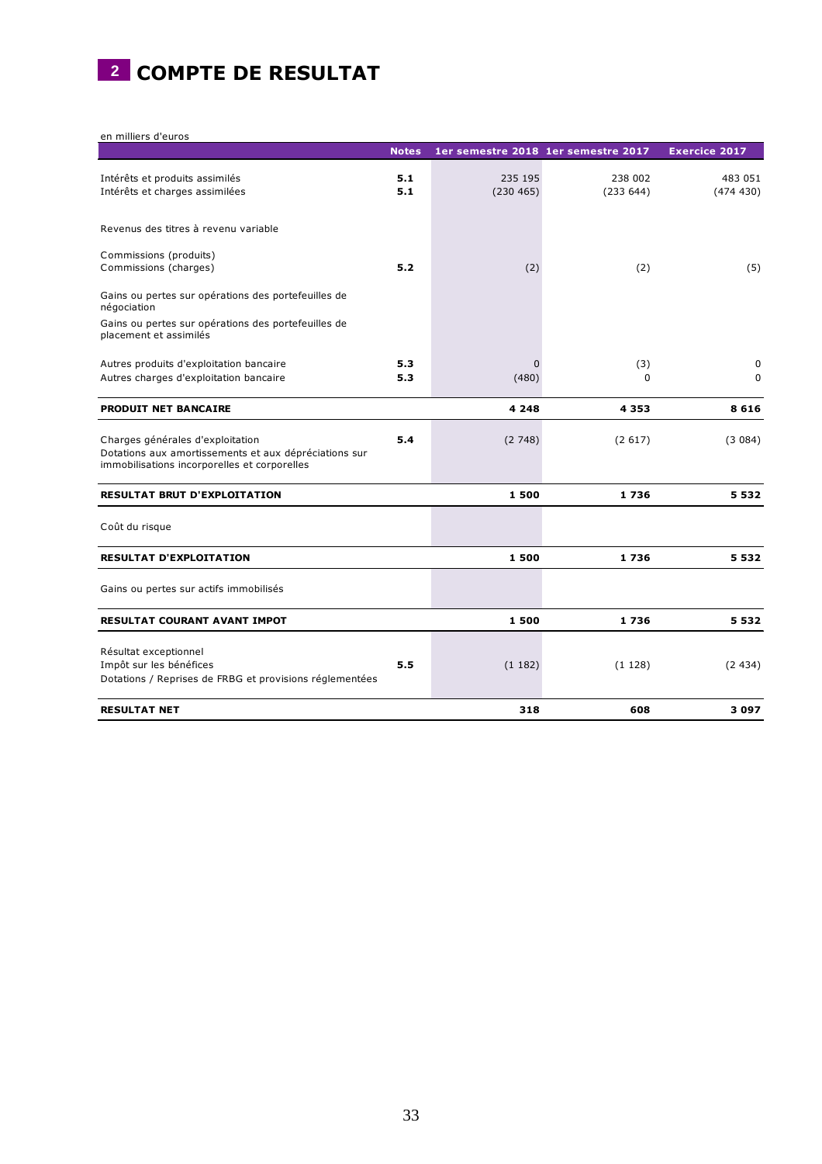

en milliers d'euros

|                                                                                                                                           | <b>Notes</b> | 1er semestre 2018 1er semestre 2017 |                     | <b>Exercice 2017</b> |
|-------------------------------------------------------------------------------------------------------------------------------------------|--------------|-------------------------------------|---------------------|----------------------|
| Intérêts et produits assimilés<br>Intérêts et charges assimilées                                                                          | 5.1<br>5.1   | 235 195<br>(230 465)                | 238 002<br>(233644) | 483 051<br>(474 430) |
| Revenus des titres à revenu variable                                                                                                      |              |                                     |                     |                      |
| Commissions (produits)<br>Commissions (charges)                                                                                           | 5.2          | (2)                                 | (2)                 | (5)                  |
| Gains ou pertes sur opérations des portefeuilles de<br>négociation                                                                        |              |                                     |                     |                      |
| Gains ou pertes sur opérations des portefeuilles de<br>placement et assimilés                                                             |              |                                     |                     |                      |
| Autres produits d'exploitation bancaire<br>Autres charges d'exploitation bancaire                                                         | 5.3<br>5.3   | $\mathbf{0}$<br>(480)               | (3)<br>$\Omega$     | 0<br>$\mathbf 0$     |
| <b>PRODUIT NET BANCAIRE</b>                                                                                                               |              | 4 2 4 8                             | 4 3 5 3             | 8616                 |
| Charges générales d'exploitation<br>Dotations aux amortissements et aux dépréciations sur<br>immobilisations incorporelles et corporelles | 5.4          | (2748)                              | (2617)              | (3084)               |
| <b>RESULTAT BRUT D'EXPLOITATION</b>                                                                                                       |              | 1500                                | 1736                | 5 5 3 2              |
| Coût du risque                                                                                                                            |              |                                     |                     |                      |
| <b>RESULTAT D'EXPLOITATION</b>                                                                                                            |              | 1500                                | 1736                | 5 5 3 2              |
| Gains ou pertes sur actifs immobilisés                                                                                                    |              |                                     |                     |                      |
| RESULTAT COURANT AVANT IMPOT                                                                                                              |              | 1500                                | 1736                | 5 5 3 2              |
| Résultat exceptionnel<br>Impôt sur les bénéfices<br>Dotations / Reprises de FRBG et provisions réglementées                               | 5.5          | (1182)                              | (1128)              | (2434)               |
| <b>RESULTAT NET</b>                                                                                                                       |              | 318                                 | 608                 | 3097                 |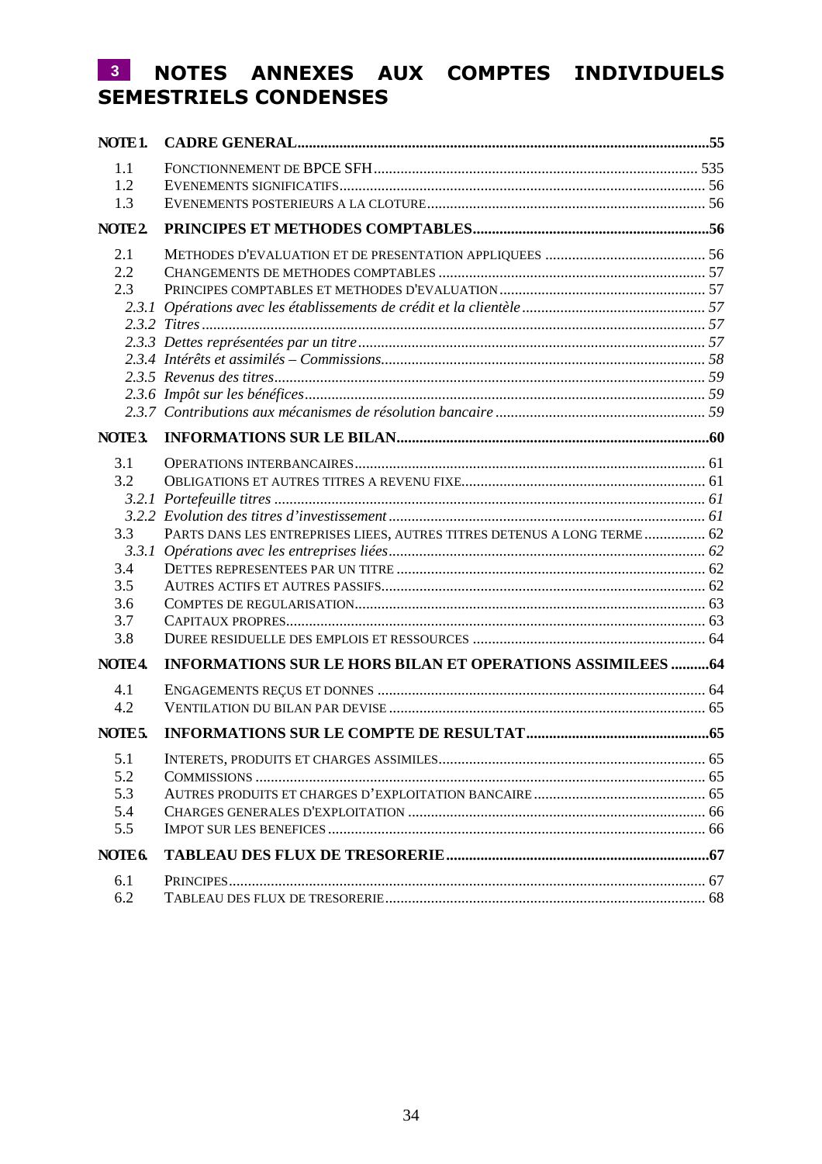# **NOTES ANNEXES AUX COMPTES INDIVIDUELS 3SEMESTRIELS CONDENSES**

| NOTE <sub>1</sub> . |                                                                          |  |
|---------------------|--------------------------------------------------------------------------|--|
| 1.1                 |                                                                          |  |
| 1.2                 |                                                                          |  |
| 1.3                 |                                                                          |  |
| NOTE <sub>2</sub>   |                                                                          |  |
| 2.1                 |                                                                          |  |
| 2.2                 |                                                                          |  |
| 2.3                 |                                                                          |  |
|                     |                                                                          |  |
|                     |                                                                          |  |
|                     |                                                                          |  |
|                     |                                                                          |  |
|                     |                                                                          |  |
|                     |                                                                          |  |
|                     |                                                                          |  |
| NOTE3.              |                                                                          |  |
| 3.1                 |                                                                          |  |
| 3.2                 |                                                                          |  |
|                     |                                                                          |  |
|                     |                                                                          |  |
| 3.3                 | PARTS DANS LES ENTREPRISES LIEES, AUTRES TITRES DETENUS A LONG TERME  62 |  |
|                     |                                                                          |  |
| 3.4                 |                                                                          |  |
| 3.5                 |                                                                          |  |
| 3.6                 |                                                                          |  |
| 3.7                 |                                                                          |  |
| 3.8                 |                                                                          |  |
| NOTE4.              | <b>INFORMATIONS SUR LE HORS BILAN ET OPERATIONS ASSIMILEES  64</b>       |  |
| 4.1                 |                                                                          |  |
| 4.2                 |                                                                          |  |
| NOTE <sub>5</sub> . |                                                                          |  |
| 5.1                 |                                                                          |  |
| 5.2                 |                                                                          |  |
| 5.3                 |                                                                          |  |
| 5.4                 |                                                                          |  |
| 5.5                 |                                                                          |  |
| NOTE <sub>6</sub>   |                                                                          |  |
| 6.1                 |                                                                          |  |
| 6.2                 |                                                                          |  |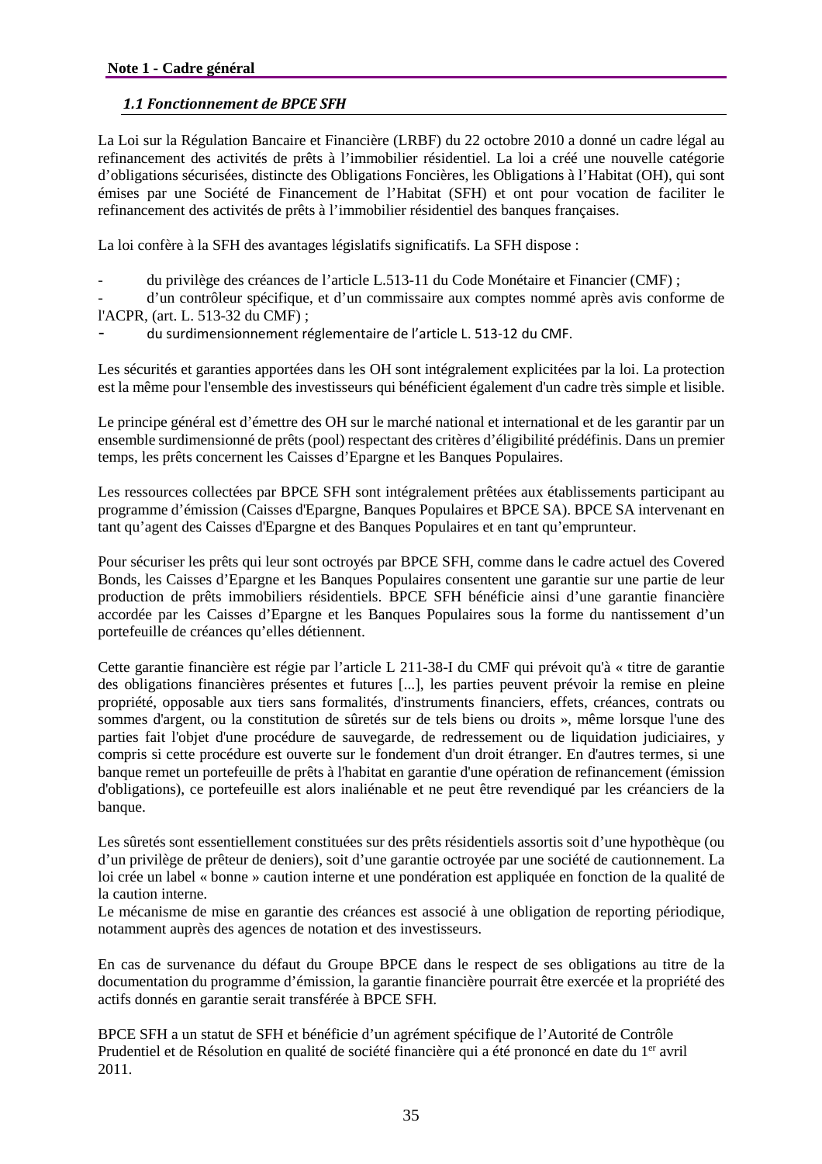# *1.1 Fonctionnement de BPCE SFH*

La Loi sur la Régulation Bancaire et Financière (LRBF) du 22 octobre 2010 a donné un cadre légal au refinancement des activités de prêts à l'immobilier résidentiel. La loi a créé une nouvelle catégorie d'obligations sécurisées, distincte des Obligations Foncières, les Obligations à l'Habitat (OH), qui sont émises par une Société de Financement de l'Habitat (SFH) et ont pour vocation de faciliter le refinancement des activités de prêts à l'immobilier résidentiel des banques françaises.

La loi confère à la SFH des avantages législatifs significatifs. La SFH dispose :

- du privilège des créances de l'article L.513-11 du Code Monétaire et Financier (CMF) ;

- d'un contrôleur spécifique, et d'un commissaire aux comptes nommé après avis conforme de l'ACPR, (art. L. 513-32 du CMF) ;

du surdimensionnement réglementaire de l'article L. 513-12 du CMF.

Les sécurités et garanties apportées dans les OH sont intégralement explicitées par la loi. La protection est la même pour l'ensemble des investisseurs qui bénéficient également d'un cadre très simple et lisible.

Le principe général est d'émettre des OH sur le marché national et international et de les garantir par un ensemble surdimensionné de prêts (pool) respectant des critères d'éligibilité prédéfinis. Dans un premier temps, les prêts concernent les Caisses d'Epargne et les Banques Populaires.

Les ressources collectées par BPCE SFH sont intégralement prêtées aux établissements participant au programme d'émission (Caisses d'Epargne, Banques Populaires et BPCE SA). BPCE SA intervenant en tant qu'agent des Caisses d'Epargne et des Banques Populaires et en tant qu'emprunteur.

Pour sécuriser les prêts qui leur sont octroyés par BPCE SFH, comme dans le cadre actuel des Covered Bonds, les Caisses d'Epargne et les Banques Populaires consentent une garantie sur une partie de leur production de prêts immobiliers résidentiels. BPCE SFH bénéficie ainsi d'une garantie financière accordée par les Caisses d'Epargne et les Banques Populaires sous la forme du nantissement d'un portefeuille de créances qu'elles détiennent.

Cette garantie financière est régie par l'article L 211-38-I du CMF qui prévoit qu'à « titre de garantie des obligations financières présentes et futures [...], les parties peuvent prévoir la remise en pleine propriété, opposable aux tiers sans formalités, d'instruments financiers, effets, créances, contrats ou sommes d'argent, ou la constitution de sûretés sur de tels biens ou droits », même lorsque l'une des parties fait l'objet d'une procédure de sauvegarde, de redressement ou de liquidation judiciaires, y compris si cette procédure est ouverte sur le fondement d'un droit étranger. En d'autres termes, si une banque remet un portefeuille de prêts à l'habitat en garantie d'une opération de refinancement (émission d'obligations), ce portefeuille est alors inaliénable et ne peut être revendiqué par les créanciers de la banque.

Les sûretés sont essentiellement constituées sur des prêts résidentiels assortis soit d'une hypothèque (ou d'un privilège de prêteur de deniers), soit d'une garantie octroyée par une société de cautionnement. La loi crée un label « bonne » caution interne et une pondération est appliquée en fonction de la qualité de la caution interne.

Le mécanisme de mise en garantie des créances est associé à une obligation de reporting périodique, notamment auprès des agences de notation et des investisseurs.

En cas de survenance du défaut du Groupe BPCE dans le respect de ses obligations au titre de la documentation du programme d'émission, la garantie financière pourrait être exercée et la propriété des actifs donnés en garantie serait transférée à BPCE SFH.

BPCE SFH a un statut de SFH et bénéficie d'un agrément spécifique de l'Autorité de Contrôle Prudentiel et de Résolution en qualité de société financière qui a été prononcé en date du 1<sup>er</sup> avril 2011.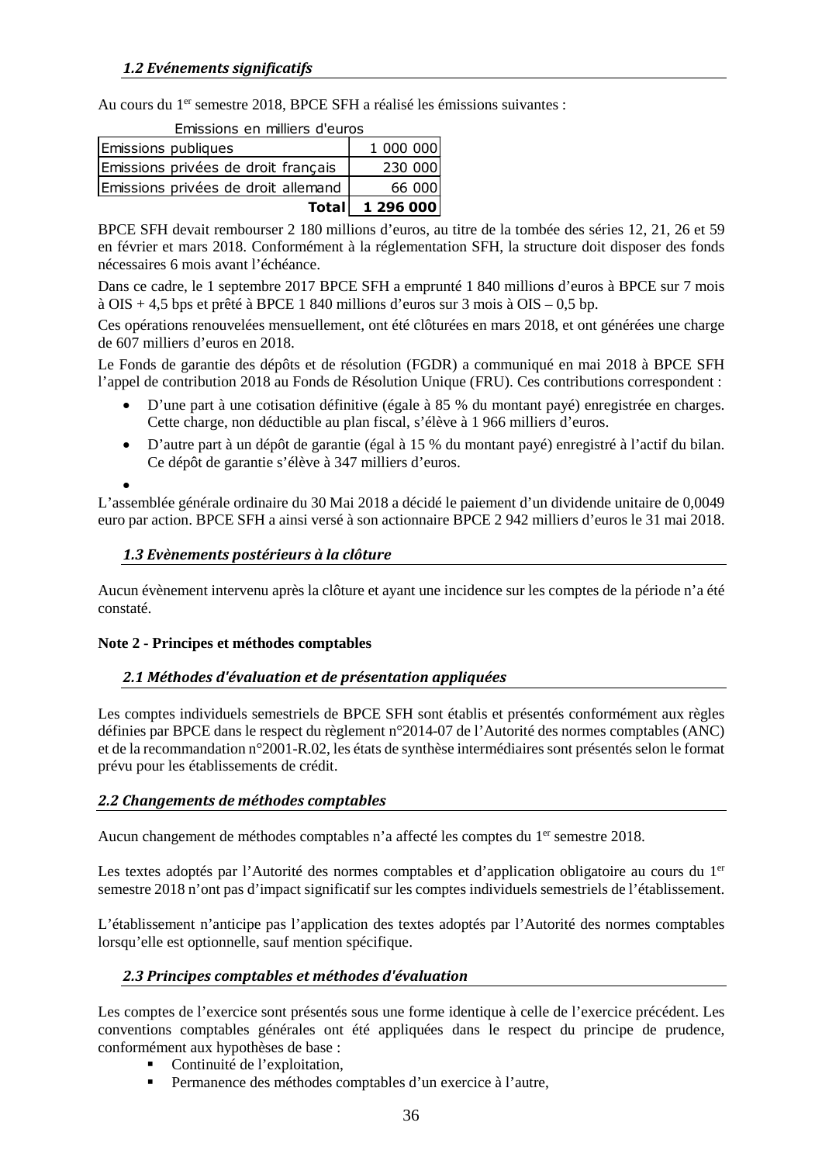Au cours du 1<sup>er</sup> semestre 2018, BPCE SFH a réalisé les émissions suivantes :

| <b>Totall</b>                       | 1 296 000 |  |  |  |  |
|-------------------------------------|-----------|--|--|--|--|
| Emissions privées de droit allemand | 66 000    |  |  |  |  |
| Emissions privées de droit français | 230 000   |  |  |  |  |
| Emissions publiques                 | 1 000 000 |  |  |  |  |
| LIIISSIVIIS EII IIIIIIEIS U EUIUS   |           |  |  |  |  |

Emissions en milliers d'euros

BPCE SFH devait rembourser 2 180 millions d'euros, au titre de la tombée des séries 12, 21, 26 et 59 en février et mars 2018. Conformément à la réglementation SFH, la structure doit disposer des fonds nécessaires 6 mois avant l'échéance.

Dans ce cadre, le 1 septembre 2017 BPCE SFH a emprunté 1 840 millions d'euros à BPCE sur 7 mois à OIS + 4,5 bps et prêté à BPCE 1 840 millions d'euros sur 3 mois à OIS – 0,5 bp.

Ces opérations renouvelées mensuellement, ont été clôturées en mars 2018, et ont générées une charge de 607 milliers d'euros en 2018.

Le Fonds de garantie des dépôts et de résolution (FGDR) a communiqué en mai 2018 à BPCE SFH l'appel de contribution 2018 au Fonds de Résolution Unique (FRU). Ces contributions correspondent :

- D'une part à une cotisation définitive (égale à 85 % du montant payé) enregistrée en charges. Cette charge, non déductible au plan fiscal, s'élève à 1 966 milliers d'euros.
- D'autre part à un dépôt de garantie (égal à 15 % du montant payé) enregistré à l'actif du bilan. Ce dépôt de garantie s'élève à 347 milliers d'euros.

 $\bullet$ 

L'assemblée générale ordinaire du 30 Mai 2018 a décidé le paiement d'un dividende unitaire de 0,0049 euro par action. BPCE SFH a ainsi versé à son actionnaire BPCE 2 942 milliers d'euros le 31 mai 2018.

### *1.3 Evènements postérieurs à la clôture*

Aucun évènement intervenu après la clôture et ayant une incidence sur les comptes de la période n'a été constaté.

### **Note 2 - Principes et méthodes comptables**

### *2.1 Méthodes d'évaluation et de présentation appliquées*

Les comptes individuels semestriels de BPCE SFH sont établis et présentés conformément aux règles définies par BPCE dans le respect du règlement n°2014-07 de l'Autorité des normes comptables (ANC) et de la recommandation n°2001-R.02, les états de synthèse intermédiaires sont présentés selon le format prévu pour les établissements de crédit.

### *2.2 Changements de méthodes comptables*

Aucun changement de méthodes comptables n'a affecté les comptes du 1<sup>er</sup> semestre 2018.

Les textes adoptés par l'Autorité des normes comptables et d'application obligatoire au cours du 1<sup>er</sup> semestre 2018 n'ont pas d'impact significatif sur les comptes individuels semestriels de l'établissement.

L'établissement n'anticipe pas l'application des textes adoptés par l'Autorité des normes comptables lorsqu'elle est optionnelle, sauf mention spécifique.

### *2.3 Principes comptables et méthodes d'évaluation*

Les comptes de l'exercice sont présentés sous une forme identique à celle de l'exercice précédent. Les conventions comptables générales ont été appliquées dans le respect du principe de prudence, conformément aux hypothèses de base :

- Continuité de l'exploitation,
- Permanence des méthodes comptables d'un exercice à l'autre,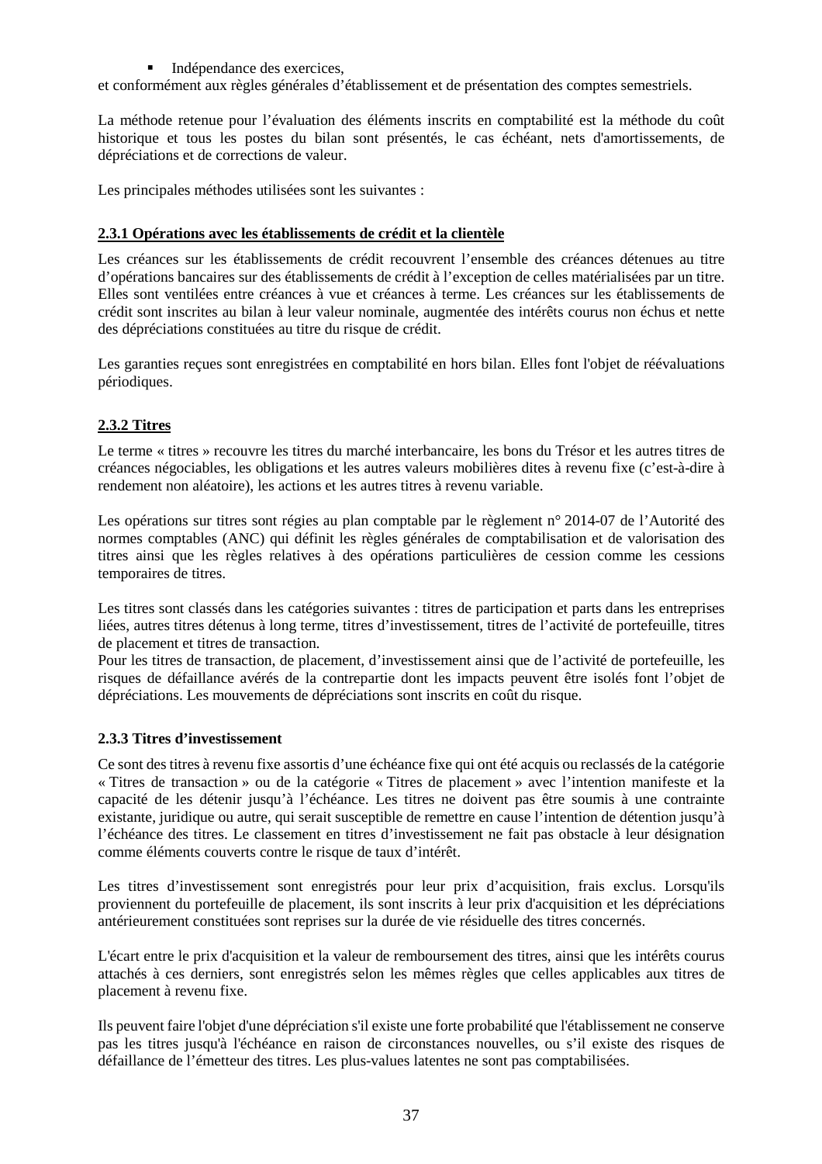### Indépendance des exercices,

et conformément aux règles générales d'établissement et de présentation des comptes semestriels.

La méthode retenue pour l'évaluation des éléments inscrits en comptabilité est la méthode du coût historique et tous les postes du bilan sont présentés, le cas échéant, nets d'amortissements, de dépréciations et de corrections de valeur.

Les principales méthodes utilisées sont les suivantes :

### **2.3.1 Opérations avec les établissements de crédit et la clientèle**

Les créances sur les établissements de crédit recouvrent l'ensemble des créances détenues au titre d'opérations bancaires sur des établissements de crédit à l'exception de celles matérialisées par un titre. Elles sont ventilées entre créances à vue et créances à terme. Les créances sur les établissements de crédit sont inscrites au bilan à leur valeur nominale, augmentée des intérêts courus non échus et nette des dépréciations constituées au titre du risque de crédit.

Les garanties recues sont enregistrées en comptabilité en hors bilan. Elles font l'objet de réévaluations périodiques.

# **2.3.2 Titres**

Le terme « titres » recouvre les titres du marché interbancaire, les bons du Trésor et les autres titres de créances négociables, les obligations et les autres valeurs mobilières dites à revenu fixe (c'est-à-dire à rendement non aléatoire), les actions et les autres titres à revenu variable.

Les opérations sur titres sont régies au plan comptable par le règlement n° 2014-07 de l'Autorité des normes comptables (ANC) qui définit les règles générales de comptabilisation et de valorisation des titres ainsi que les règles relatives à des opérations particulières de cession comme les cessions temporaires de titres.

Les titres sont classés dans les catégories suivantes : titres de participation et parts dans les entreprises liées, autres titres détenus à long terme, titres d'investissement, titres de l'activité de portefeuille, titres de placement et titres de transaction.

Pour les titres de transaction, de placement, d'investissement ainsi que de l'activité de portefeuille, les risques de défaillance avérés de la contrepartie dont les impacts peuvent être isolés font l'objet de dépréciations. Les mouvements de dépréciations sont inscrits en coût du risque.

### **2.3.3 Titres d'investissement**

Ce sont des titres à revenu fixe assortis d'une échéance fixe qui ont été acquis ou reclassés de la catégorie « Titres de transaction » ou de la catégorie « Titres de placement » avec l'intention manifeste et la capacité de les détenir jusqu'à l'échéance. Les titres ne doivent pas être soumis à une contrainte existante, juridique ou autre, qui serait susceptible de remettre en cause l'intention de détention jusqu'à l'échéance des titres. Le classement en titres d'investissement ne fait pas obstacle à leur désignation comme éléments couverts contre le risque de taux d'intérêt.

Les titres d'investissement sont enregistrés pour leur prix d'acquisition, frais exclus. Lorsqu'ils proviennent du portefeuille de placement, ils sont inscrits à leur prix d'acquisition et les dépréciations antérieurement constituées sont reprises sur la durée de vie résiduelle des titres concernés.

L'écart entre le prix d'acquisition et la valeur de remboursement des titres, ainsi que les intérêts courus attachés à ces derniers, sont enregistrés selon les mêmes règles que celles applicables aux titres de placement à revenu fixe.

Ils peuvent faire l'objet d'une dépréciation s'il existe une forte probabilité que l'établissement ne conserve pas les titres jusqu'à l'échéance en raison de circonstances nouvelles, ou s'il existe des risques de défaillance de l'émetteur des titres. Les plus-values latentes ne sont pas comptabilisées.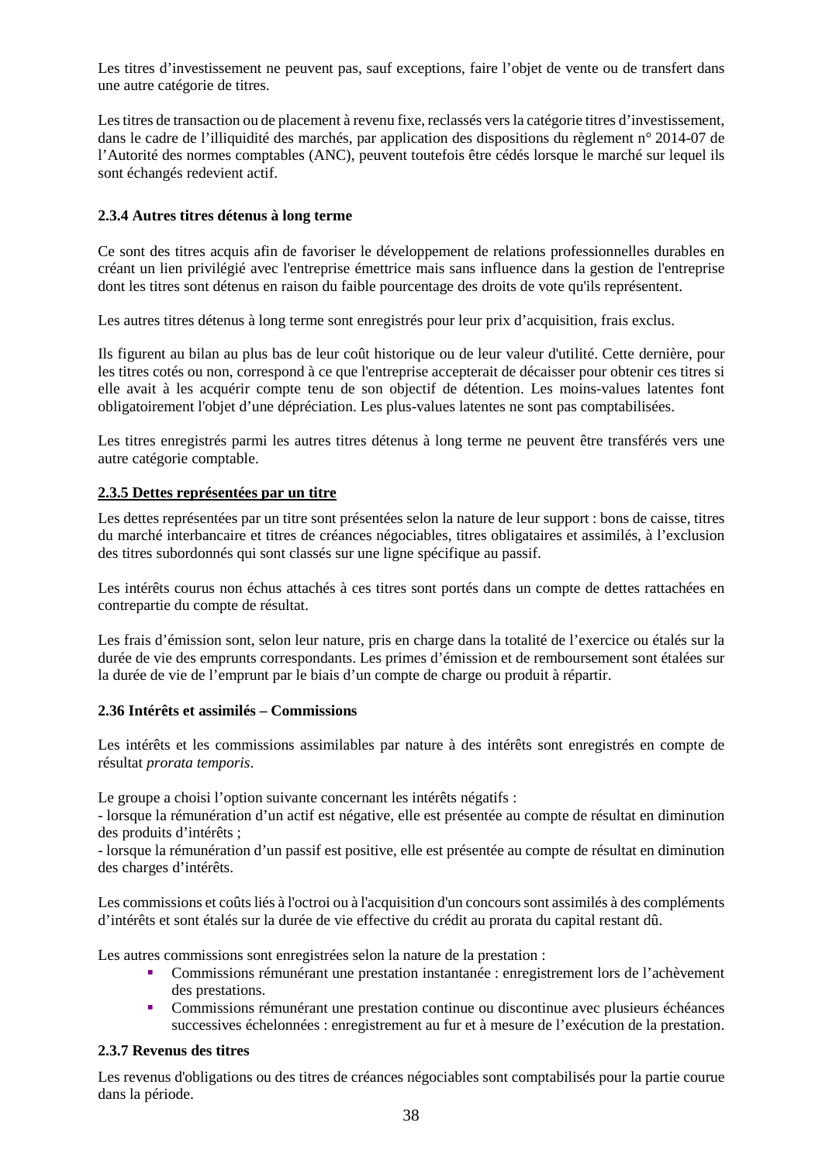Les titres d'investissement ne peuvent pas, sauf exceptions, faire l'objet de vente ou de transfert dans une autre catégorie de titres.

Les titres de transaction ou de placement à revenu fixe, reclassés vers la catégorie titres d'investissement, dans le cadre de l'illiquidité des marchés, par application des dispositions du règlement n° 2014-07 de l'Autorité des normes comptables (ANC), peuvent toutefois être cédés lorsque le marché sur lequel ils sont échangés redevient actif.

### **2.3.4 Autres titres détenus à long terme**

Ce sont des titres acquis afin de favoriser le développement de relations professionnelles durables en créant un lien privilégié avec l'entreprise émettrice mais sans influence dans la gestion de l'entreprise dont les titres sont détenus en raison du faible pourcentage des droits de vote qu'ils représentent.

Les autres titres détenus à long terme sont enregistrés pour leur prix d'acquisition, frais exclus.

Ils figurent au bilan au plus bas de leur coût historique ou de leur valeur d'utilité. Cette dernière, pour les titres cotés ou non, correspond à ce que l'entreprise accepterait de décaisser pour obtenir ces titres si elle avait à les acquérir compte tenu de son objectif de détention. Les moins-values latentes font obligatoirement l'objet d'une dépréciation. Les plus-values latentes ne sont pas comptabilisées.

Les titres enregistrés parmi les autres titres détenus à long terme ne peuvent être transférés vers une autre catégorie comptable.

### **2.3.5 Dettes représentées par un titre**

Les dettes représentées par un titre sont présentées selon la nature de leur support : bons de caisse, titres du marché interbancaire et titres de créances négociables, titres obligataires et assimilés, à l'exclusion des titres subordonnés qui sont classés sur une ligne spécifique au passif.

Les intérêts courus non échus attachés à ces titres sont portés dans un compte de dettes rattachées en contrepartie du compte de résultat.

Les frais d'émission sont, selon leur nature, pris en charge dans la totalité de l'exercice ou étalés sur la durée de vie des emprunts correspondants. Les primes d'émission et de remboursement sont étalées sur la durée de vie de l'emprunt par le biais d'un compte de charge ou produit à répartir.

### **2.36 Intérêts et assimilés – Commissions**

Les intérêts et les commissions assimilables par nature à des intérêts sont enregistrés en compte de résultat *prorata temporis*.

Le groupe a choisi l'option suivante concernant les intérêts négatifs :

- lorsque la rémunération d'un actif est négative, elle est présentée au compte de résultat en diminution des produits d'intérêts ;

- lorsque la rémunération d'un passif est positive, elle est présentée au compte de résultat en diminution des charges d'intérêts.

Les commissions et coûts liés à l'octroi ou à l'acquisition d'un concours sont assimilés à des compléments d'intérêts et sont étalés sur la durée de vie effective du crédit au prorata du capital restant dû.

Les autres commissions sont enregistrées selon la nature de la prestation :

- Commissions rémunérant une prestation instantanée : enregistrement lors de l'achèvement des prestations.
- Commissions rémunérant une prestation continue ou discontinue avec plusieurs échéances successives échelonnées : enregistrement au fur et à mesure de l'exécution de la prestation.

### **2.3.7 Revenus des titres**

Les revenus d'obligations ou des titres de créances négociables sont comptabilisés pour la partie courue dans la période.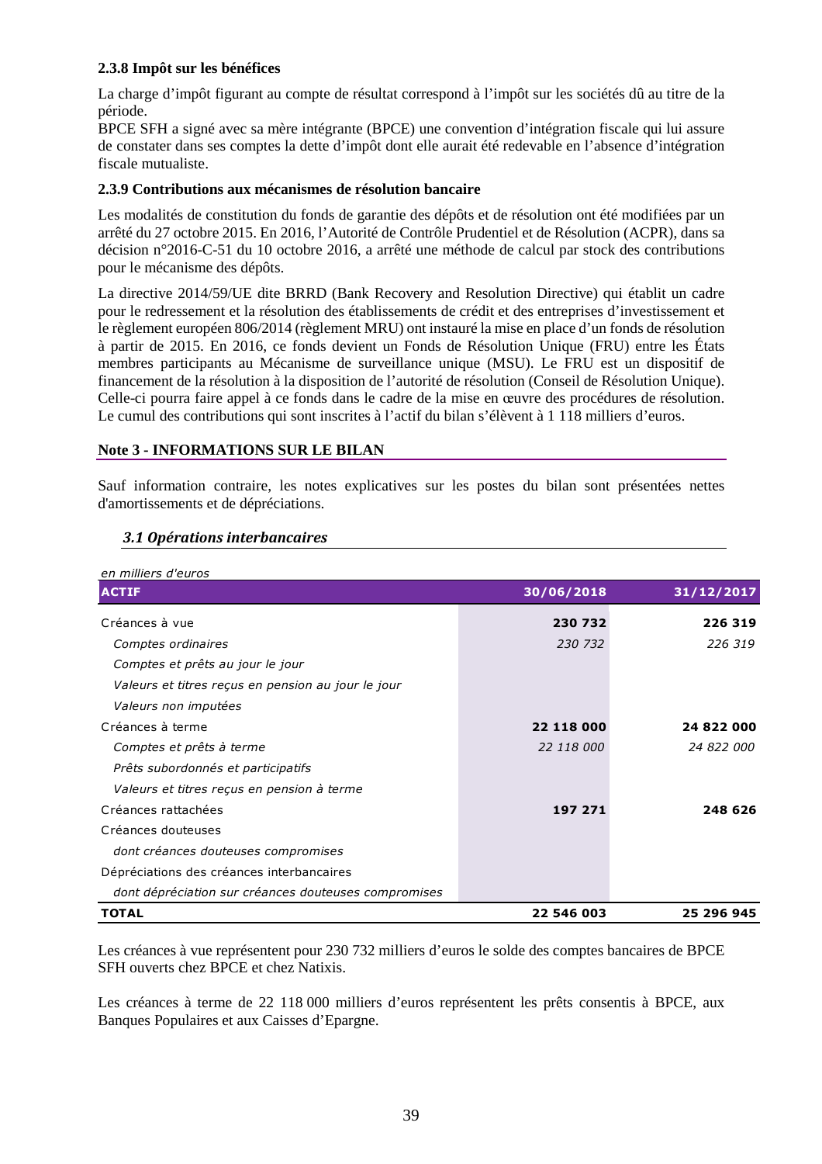# **2.3.8 Impôt sur les bénéfices**

La charge d'impôt figurant au compte de résultat correspond à l'impôt sur les sociétés dû au titre de la période.

BPCE SFH a signé avec sa mère intégrante (BPCE) une convention d'intégration fiscale qui lui assure de constater dans ses comptes la dette d'impôt dont elle aurait été redevable en l'absence d'intégration fiscale mutualiste.

### **2.3.9 Contributions aux mécanismes de résolution bancaire**

Les modalités de constitution du fonds de garantie des dépôts et de résolution ont été modifiées par un arrêté du 27 octobre 2015. En 2016, l'Autorité de Contrôle Prudentiel et de Résolution (ACPR), dans sa décision n°2016-C-51 du 10 octobre 2016, a arrêté une méthode de calcul par stock des contributions pour le mécanisme des dépôts.

La directive 2014/59/UE dite BRRD (Bank Recovery and Resolution Directive) qui établit un cadre pour le redressement et la résolution des établissements de crédit et des entreprises d'investissement et le règlement européen 806/2014 (règlement MRU) ont instauré la mise en place d'un fonds de résolution à partir de 2015. En 2016, ce fonds devient un Fonds de Résolution Unique (FRU) entre les États membres participants au Mécanisme de surveillance unique (MSU). Le FRU est un dispositif de financement de la résolution à la disposition de l'autorité de résolution (Conseil de Résolution Unique). Celle-ci pourra faire appel à ce fonds dans le cadre de la mise en œuvre des procédures de résolution. Le cumul des contributions qui sont inscrites à l'actif du bilan s'élèvent à 1 118 milliers d'euros.

### **Note 3 - INFORMATIONS SUR LE BILAN**

Sauf information contraire, les notes explicatives sur les postes du bilan sont présentées nettes d'amortissements et de dépréciations.

| en milliers d'euros                                  |            |            |
|------------------------------------------------------|------------|------------|
| <b>ACTIF</b>                                         | 30/06/2018 | 31/12/2017 |
| Créances à vue                                       | 230 732    | 226 319    |
| Comptes ordinaires                                   | 230 732    | 226 319    |
| Comptes et prêts au jour le jour                     |            |            |
| Valeurs et titres reçus en pension au jour le jour   |            |            |
| Valeurs non imputées                                 |            |            |
| Créances à terme                                     | 22 118 000 | 24 822 000 |
| Comptes et prêts à terme                             | 22 118 000 | 24 822 000 |
| Prêts subordonnés et participatifs                   |            |            |
| Valeurs et titres reçus en pension à terme           |            |            |
| Créances rattachées                                  | 197 271    | 248 626    |
| Créances douteuses                                   |            |            |
| dont créances douteuses compromises                  |            |            |
| Dépréciations des créances interbancaires            |            |            |
| dont dépréciation sur créances douteuses compromises |            |            |
| <b>TOTAL</b>                                         | 22 546 003 | 25 296 945 |

### *3.1 Opérations interbancaires*

Les créances à vue représentent pour 230 732 milliers d'euros le solde des comptes bancaires de BPCE SFH ouverts chez BPCE et chez Natixis.

Les créances à terme de 22 118 000 milliers d'euros représentent les prêts consentis à BPCE, aux Banques Populaires et aux Caisses d'Epargne.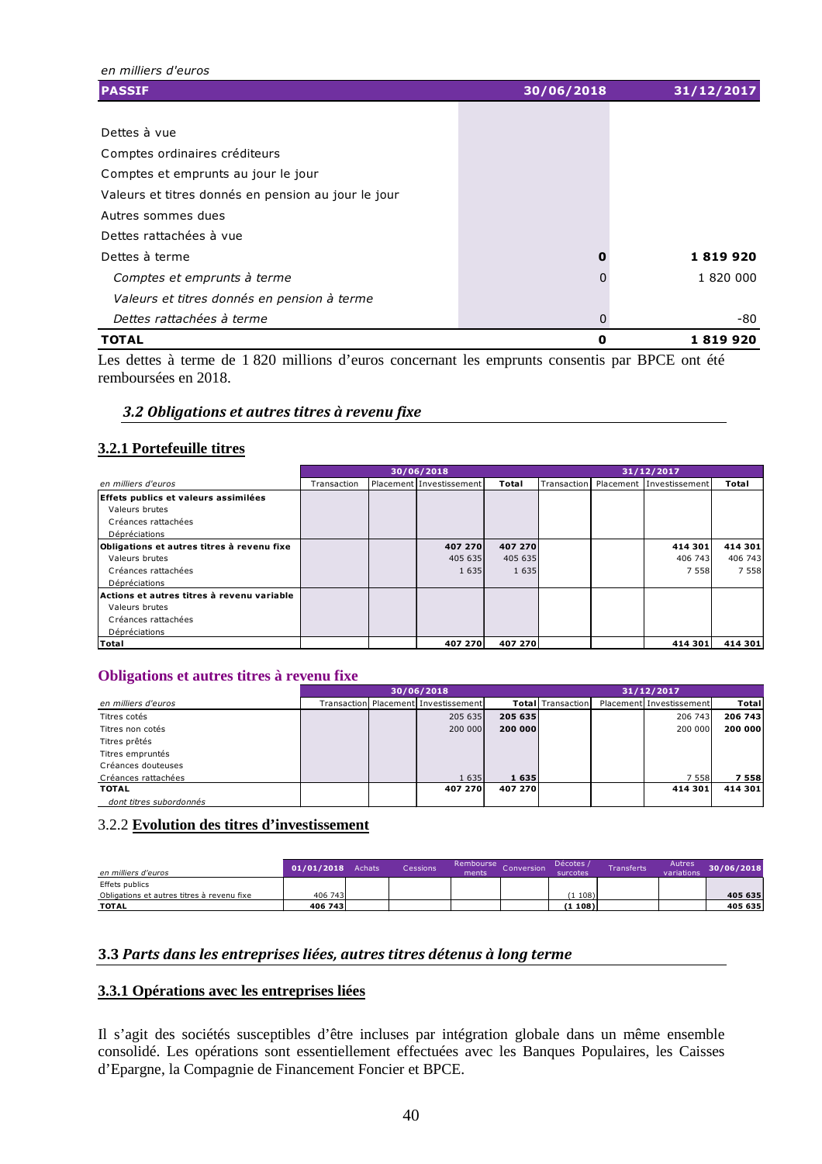*en milliers d'euros* **PASSIF 30/06/2018 31/12/2017** Dettes à vue Comptes ordinaires créditeurs Comptes et emprunts au jour le jour Valeurs et titres donnés en pension au jour le jour Autres sommes dues Dettes rattachées à vue Dettes à terme **0 1 819 920** *Comptes et emprunts à terme* 0 1 820 000 *Valeurs et titres donnés en pension à terme* **Dettes rattachées à terme** de constant de la communication de la constant de la communication de la communication de la communication de la communication de la communication de la communication de la communication de la c **TOTAL 0 1 819 920**

Les dettes à terme de 1 820 millions d'euros concernant les emprunts consentis par BPCE ont été remboursées en 2018.

### *3.2 Obligations et autres titres à revenu fixe*

### **3.2.1 Portefeuille titres**

|                                            | 30/06/2018  |  |                          |         | 31/12/2017  |  |                          |         |
|--------------------------------------------|-------------|--|--------------------------|---------|-------------|--|--------------------------|---------|
| en milliers d'euros                        | Transaction |  | Placement Investissement | Total   | Transaction |  | Placement Investissement | Total   |
| Effets publics et valeurs assimilées       |             |  |                          |         |             |  |                          |         |
| Valeurs brutes                             |             |  |                          |         |             |  |                          |         |
| Créances rattachées                        |             |  |                          |         |             |  |                          |         |
| Dépréciations                              |             |  |                          |         |             |  |                          |         |
| Obligations et autres titres à revenu fixe |             |  | 407 270                  | 407 270 |             |  | 414 301                  | 414 301 |
| Valeurs brutes                             |             |  | 405 635                  | 405 635 |             |  | 406 743                  | 406 743 |
| Créances rattachées                        |             |  | 1635                     | 1 6 3 5 |             |  | 7 5 5 8                  | 7 5 5 8 |
| Dépréciations                              |             |  |                          |         |             |  |                          |         |
| Actions et autres titres à revenu variable |             |  |                          |         |             |  |                          |         |
| Valeurs brutes                             |             |  |                          |         |             |  |                          |         |
| Créances rattachées                        |             |  |                          |         |             |  |                          |         |
| Dépréciations                              |             |  |                          |         |             |  |                          |         |
| Total                                      |             |  | 407 270                  | 407 270 |             |  | 414 301                  | 414 301 |

### **Obligations et autres titres à revenu fixe**

|                         |  | 30/06/2018                               |         |                           | 31/12/2017               |                |
|-------------------------|--|------------------------------------------|---------|---------------------------|--------------------------|----------------|
| en milliers d'euros     |  | Transaction   Placement   Investissement |         | <b>Totall</b> Transaction | Placement Investissement | Total          |
| Titres cotés            |  | 205 635                                  | 205 635 |                           | 206 743                  | 206 743        |
| Titres non cotés        |  | 200 000                                  | 200 000 |                           | 200 000                  | <b>200 000</b> |
| Titres prêtés           |  |                                          |         |                           |                          |                |
| Titres empruntés        |  |                                          |         |                           |                          |                |
| Créances douteuses      |  |                                          |         |                           |                          |                |
| Créances rattachées     |  | 1 6 3 5                                  | 1 635   |                           | 7 5 5 8                  | 7 5 5 8        |
| <b>TOTAL</b>            |  | 407 270                                  | 407 270 |                           | 414 301                  | 414 301        |
| dont titres subordonnés |  |                                          |         |                           |                          |                |

### 3.2.2 **Evolution des titres d'investissement**

| en milliers d'euros                        | 01/01/2018 | Achats | Cessions | Rembourse<br>ments | Conversion . | Décotes<br>surcotes | <b>Fransferts</b> | <b>Autres</b><br>variations | 30/06/2018 |
|--------------------------------------------|------------|--------|----------|--------------------|--------------|---------------------|-------------------|-----------------------------|------------|
| Effets publics                             |            |        |          |                    |              |                     |                   |                             |            |
| Obligations et autres titres à revenu fixe | 406 743    |        |          |                    |              | (1108)              |                   |                             | 405 635    |
| <b>TOTAL</b>                               | 406 743    |        |          |                    |              | (1108)              |                   |                             | 405 635    |

### **3.3** *Parts dans les entreprises liées, autres titres détenus à long terme*

### **3.3.1 Opérations avec les entreprises liées**

Il s'agit des sociétés susceptibles d'être incluses par intégration globale dans un même ensemble consolidé. Les opérations sont essentiellement effectuées avec les Banques Populaires, les Caisses d'Epargne, la Compagnie de Financement Foncier et BPCE.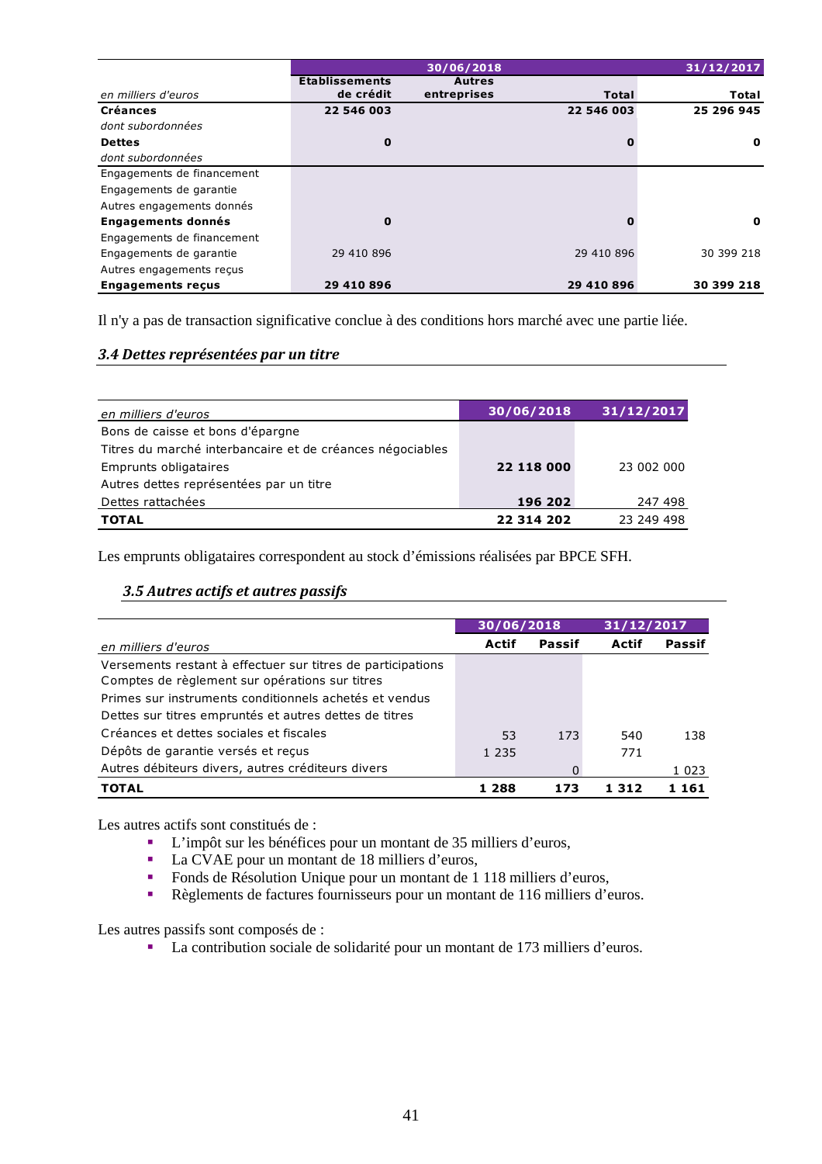|                            |                       | 30/06/2018    |            | 31/12/2017   |
|----------------------------|-----------------------|---------------|------------|--------------|
|                            | <b>Etablissements</b> | <b>Autres</b> |            |              |
| en milliers d'euros        | de crédit             | entreprises   | Total      | <b>Total</b> |
| <b>Créances</b>            | 22 546 003            |               | 22 546 003 | 25 296 945   |
| dont subordonnées          |                       |               |            |              |
| <b>Dettes</b>              | 0                     |               |            | $\mathbf{o}$ |
| dont subordonnées          |                       |               |            |              |
| Engagements de financement |                       |               |            |              |
| Engagements de garantie    |                       |               |            |              |
| Autres engagements donnés  |                       |               |            |              |
| <b>Engagements donnés</b>  | 0                     |               |            | $\mathbf{o}$ |
| Engagements de financement |                       |               |            |              |
| Engagements de garantie    | 29 410 896            |               | 29 410 896 | 30 399 218   |
| Autres engagements reçus   |                       |               |            |              |
| <b>Engagements recus</b>   | 29 410 896            |               | 29 410 896 | 30 399 218   |

Il n'y a pas de transaction significative conclue à des conditions hors marché avec une partie liée.

### *3.4 Dettes représentées par un titre*

| en milliers d'euros                                       | 30/06/2018 | 31/12/2017 |
|-----------------------------------------------------------|------------|------------|
| Bons de caisse et bons d'épargne                          |            |            |
| Titres du marché interbancaire et de créances négociables |            |            |
| Emprunts obligataires                                     | 22 118 000 | 23 002 000 |
| Autres dettes représentées par un titre                   |            |            |
| Dettes rattachées                                         | 196 202    | 247 498    |
| <b>TOTAL</b>                                              | 22 314 202 | 23 249 498 |

Les emprunts obligataires correspondent au stock d'émissions réalisées par BPCE SFH.

### *3.5 Autres actifs et autres passifs*

|                                                             | 30/06/2018 |        | 31/12/2017 |         |
|-------------------------------------------------------------|------------|--------|------------|---------|
| en milliers d'euros                                         | Actif      | Passif | Actif      | Passif  |
| Versements restant à effectuer sur titres de participations |            |        |            |         |
| Comptes de règlement sur opérations sur titres              |            |        |            |         |
| Primes sur instruments conditionnels achetés et vendus      |            |        |            |         |
| Dettes sur titres empruntés et autres dettes de titres      |            |        |            |         |
| Créances et dettes sociales et fiscales                     | 53         | 173    | 540        | 138     |
| Dépôts de garantie versés et reçus                          | 1 2 3 5    |        | 771        |         |
| Autres débiteurs divers, autres créditeurs divers           |            |        |            | 1 0 2 3 |
| <b>TOTAL</b>                                                | 1 288      | 173    | 1 312      | 1 1 6 1 |

Les autres actifs sont constitués de :

- L'impôt sur les bénéfices pour un montant de 35 milliers d'euros,
- La CVAE pour un montant de 18 milliers d'euros,
- Fonds de Résolution Unique pour un montant de 1 118 milliers d'euros,<br>Règlements de factures fournisseurs pour un montant de 116 milliers d'e
- Règlements de factures fournisseurs pour un montant de 116 milliers d'euros.

Les autres passifs sont composés de :

La contribution sociale de solidarité pour un montant de 173 milliers d'euros.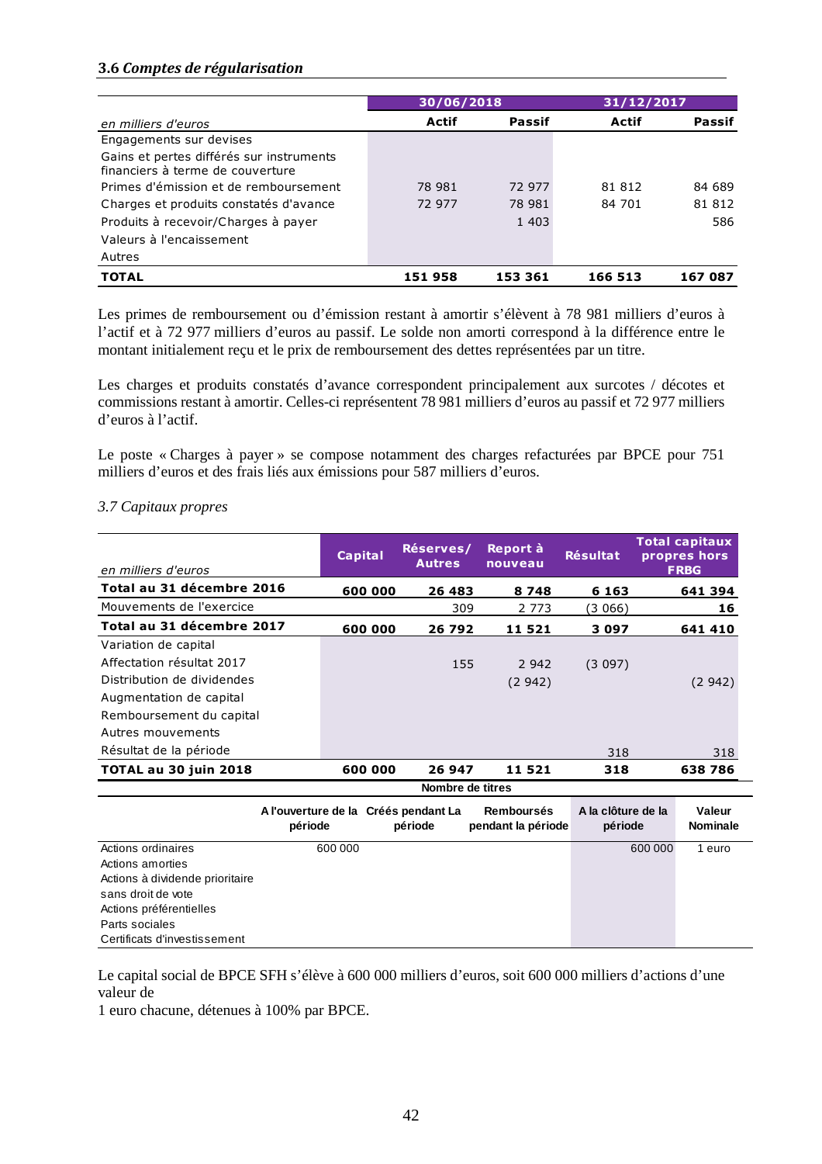# **3.6** *Comptes de régularisation*

|                                                                              | 30/06/2018 |               | 31/12/2017   |               |  |
|------------------------------------------------------------------------------|------------|---------------|--------------|---------------|--|
| en milliers d'euros                                                          | Actif      | <b>Passif</b> | <b>Actif</b> | <b>Passif</b> |  |
| Engagements sur devises                                                      |            |               |              |               |  |
| Gains et pertes différés sur instruments<br>financiers à terme de couverture |            |               |              |               |  |
| Primes d'émission et de remboursement                                        | 78 981     | 72 977        | 81 812       | 84 689        |  |
| Charges et produits constatés d'avance                                       | 72 977     | 78 981        | 84 701       | 81 812        |  |
| Produits à recevoir/Charges à payer                                          |            | 1 403         |              | 586           |  |
| Valeurs à l'encaissement                                                     |            |               |              |               |  |
| Autres                                                                       |            |               |              |               |  |
| <b>TOTAL</b>                                                                 | 151958     | 153 361       | 166 513      | 167 087       |  |

Les primes de remboursement ou d'émission restant à amortir s'élèvent à 78 981 milliers d'euros à l'actif et à 72 977 milliers d'euros au passif. Le solde non amorti correspond à la différence entre le montant initialement reçu et le prix de remboursement des dettes représentées par un titre.

Les charges et produits constatés d'avance correspondent principalement aux surcotes / décotes et commissions restant à amortir. Celles-ci représentent 78 981 milliers d'euros au passif et 72 977 milliers d'euros à l'actif.

Le poste « Charges à payer » se compose notamment des charges refacturées par BPCE pour 751 milliers d'euros et des frais liés aux émissions pour 587 milliers d'euros.

### *3.7 Capitaux propres*

|                                 |         | <b>Capital</b> | <b>Réserves/</b><br><b>Autres</b>               | Report à<br>nouveau                     | <b>Résultat</b>               |         | <b>Total capitaux</b><br>propres hors |
|---------------------------------|---------|----------------|-------------------------------------------------|-----------------------------------------|-------------------------------|---------|---------------------------------------|
| en milliers d'euros             |         |                |                                                 |                                         |                               |         | <b>FRBG</b>                           |
| Total au 31 décembre 2016       |         | 600 000        | 26 483                                          | 8748                                    | 6 1 6 3                       |         | 641 394                               |
| Mouvements de l'exercice        |         |                | 309                                             | 2 7 7 3                                 | (3.066)                       |         | 16                                    |
| Total au 31 décembre 2017       |         | 600 000        | 26 792                                          | <u> 11 521 </u>                         | 3 0 9 7                       |         | <u>641 410</u>                        |
| Variation de capital            |         |                |                                                 |                                         |                               |         |                                       |
| Affectation résultat 2017       |         |                | 155                                             | 2 9 4 2                                 | (3097)                        |         |                                       |
| Distribution de dividendes      |         |                |                                                 | (2942)                                  |                               |         | (2942)                                |
| Augmentation de capital         |         |                |                                                 |                                         |                               |         |                                       |
| Remboursement du capital        |         |                |                                                 |                                         |                               |         |                                       |
| Autres mouvements               |         |                |                                                 |                                         |                               |         |                                       |
| Résultat de la période          |         |                |                                                 |                                         | 318                           |         | 318                                   |
| <b>TOTAL au 30 juin 2018</b>    |         | 600 000        | 26 947                                          | 11521                                   | 318                           |         | 638786                                |
|                                 |         |                | Nombre de titres                                |                                         |                               |         |                                       |
|                                 | période |                | A l'ouverture de la Créés pendant La<br>période | <b>Remboursés</b><br>pendant la période | A la clôture de la<br>période |         | Valeur<br><b>Nominale</b>             |
| Actions ordinaires              |         | 600 000        |                                                 |                                         |                               | 600 000 | 1 euro                                |
| Actions amorties                |         |                |                                                 |                                         |                               |         |                                       |
| Actions à dividende prioritaire |         |                |                                                 |                                         |                               |         |                                       |
| sans droit de vote              |         |                |                                                 |                                         |                               |         |                                       |
| Actions préférentielles         |         |                |                                                 |                                         |                               |         |                                       |
| Parts sociales                  |         |                |                                                 |                                         |                               |         |                                       |
| Certificats d'investissement    |         |                |                                                 |                                         |                               |         |                                       |

Le capital social de BPCE SFH s'élève à 600 000 milliers d'euros, soit 600 000 milliers d'actions d'une valeur de

1 euro chacune, détenues à 100% par BPCE.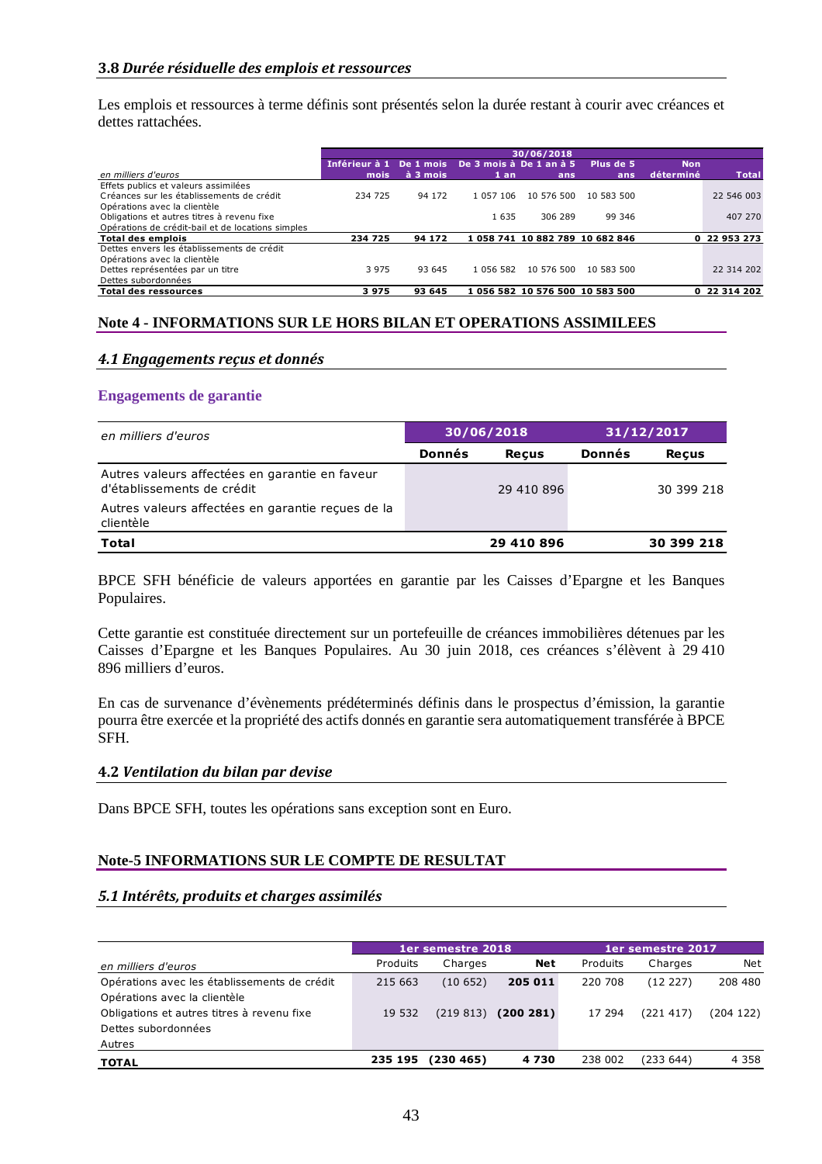### **3.8** *Durée résiduelle des emplois et ressources*

Les emplois et ressources à terme définis sont présentés selon la durée restant à courir avec créances et dettes rattachées.

|                                                   |                                                 |          |           | 30/06/2018                      |            |            |              |
|---------------------------------------------------|-------------------------------------------------|----------|-----------|---------------------------------|------------|------------|--------------|
|                                                   | Inférieur à 1 De 1 mois De 3 mois à De 1 an à 5 |          |           |                                 | Plus de 5  | <b>Non</b> |              |
| en milliers d'euros                               | mois                                            | à 3 mois | $1$ an    | ans                             | ans        | déterminé  | <b>Total</b> |
| Effets publics et valeurs assimilées              |                                                 |          |           |                                 |            |            |              |
| Créances sur les établissements de crédit         | 234 725                                         | 94 172   | 1 057 106 | 10 576 500                      | 10 583 500 |            | 22 546 003   |
| Opérations avec la clientèle                      |                                                 |          |           |                                 |            |            |              |
| Obligations et autres titres à revenu fixe        |                                                 |          | 1 635     | 306 289                         | 99 346     |            | 407 270      |
| Opérations de crédit-bail et de locations simples |                                                 |          |           |                                 |            |            |              |
| Total des emplois                                 | 234 725                                         | 94 172   |           | 1 058 741 10 882 789 10 682 846 |            |            | 0 22 953 273 |
| Dettes envers les établissements de crédit        |                                                 |          |           |                                 |            |            |              |
| Opérations avec la clientèle                      |                                                 |          |           |                                 |            |            |              |
| Dettes représentées par un titre                  | 3 9 7 5                                         | 93 645   | 1 056 582 | 10 576 500                      | 10 583 500 |            | 22 314 202   |
| Dettes subordonnées                               |                                                 |          |           |                                 |            |            |              |
| <b>Total des ressources</b>                       | 3975                                            | 93 645   |           | 1 056 582 10 576 500 10 583 500 |            |            | 0 22 314 202 |

### **Note 4 - INFORMATIONS SUR LE HORS BILAN ET OPERATIONS ASSIMILEES**

### *4.1 Engagements reçus et donnés*

### **Engagements de garantie**

| en milliers d'euros                                                          |        | 30/06/2018   | 31/12/2017 |              |  |
|------------------------------------------------------------------------------|--------|--------------|------------|--------------|--|
|                                                                              | Donnés | <b>Recus</b> | Donnés     | <b>Recus</b> |  |
| Autres valeurs affectées en garantie en faveur<br>d'établissements de crédit |        | 29 410 896   |            | 30 399 218   |  |
| Autres valeurs affectées en garantie recues de la<br>clientèle               |        |              |            |              |  |
| <b>Total</b>                                                                 |        | 29 410 896   |            | 30 399 218   |  |

BPCE SFH bénéficie de valeurs apportées en garantie par les Caisses d'Epargne et les Banques Populaires.

Cette garantie est constituée directement sur un portefeuille de créances immobilières détenues par les Caisses d'Epargne et les Banques Populaires. Au 30 juin 2018, ces créances s'élèvent à 29 410 896 milliers d'euros.

En cas de survenance d'évènements prédéterminés définis dans le prospectus d'émission, la garantie pourra être exercée et la propriété des actifs donnés en garantie sera automatiquement transférée à BPCE SFH.

### **4.2** *Ventilation du bilan par devise*

Dans BPCE SFH, toutes les opérations sans exception sont en Euro.

### **Note-5 INFORMATIONS SUR LE COMPTE DE RESULTAT**

### *5.1 Intérêts, produits et charges assimilés*

|                                                                              |          | 1er semestre 2018 |            | 1er semestre 2017 |           |           |  |
|------------------------------------------------------------------------------|----------|-------------------|------------|-------------------|-----------|-----------|--|
| en milliers d'euros                                                          | Produits | Charges           | <b>Net</b> | Produits          | Charges   | Net       |  |
| Opérations avec les établissements de crédit<br>Opérations avec la clientèle | 215 663  | (10652)           | 205 011    | 220 708           | (12 227)  | 208 480   |  |
| Obligations et autres titres à revenu fixe<br>Dettes subordonnées            | 19 532   | (219813)          | (200281)   | 17 294            | (221 417) | (204 122) |  |
| Autres                                                                       |          |                   |            |                   |           |           |  |
| <b>TOTAL</b>                                                                 | 235 195  | (230 465)         | 4730       | 238 002           | (233 644) | 4 3 5 8   |  |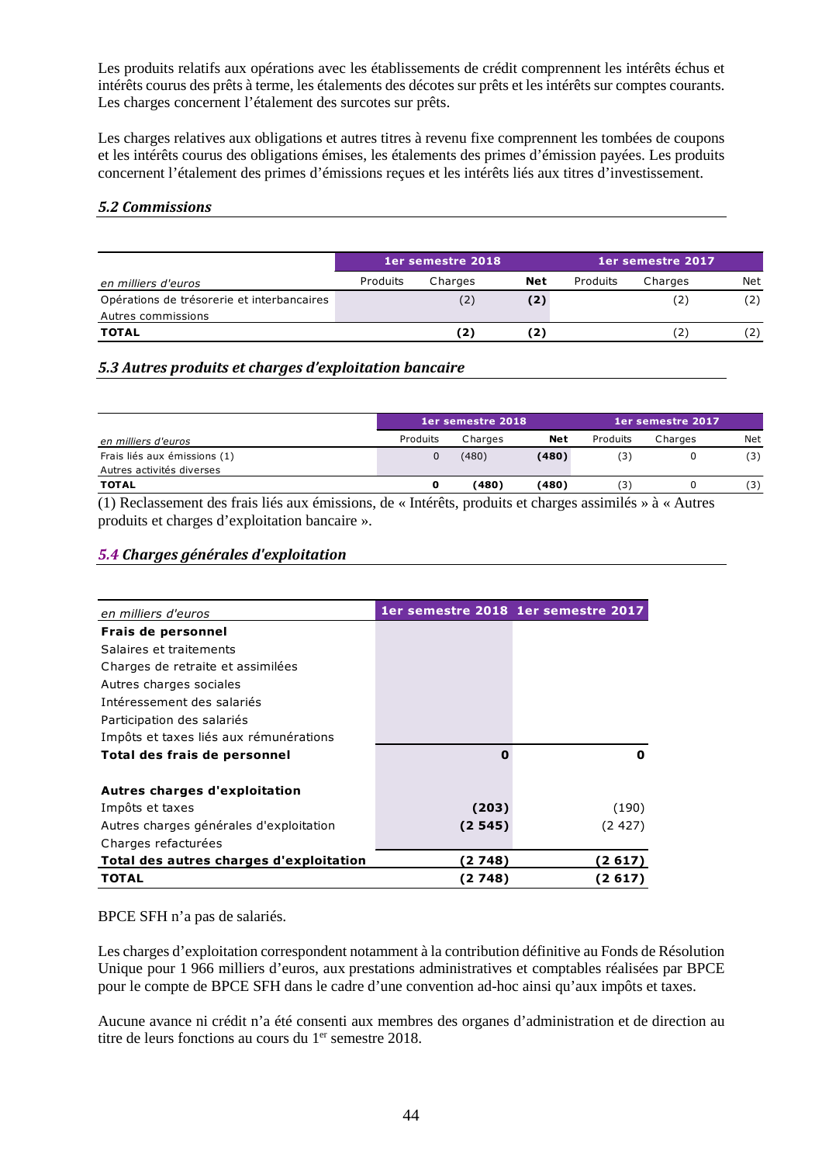Les produits relatifs aux opérations avec les établissements de crédit comprennent les intérêts échus et intérêts courus des prêts à terme, les étalements des décotes sur prêts et les intérêts sur comptes courants. Les charges concernent l'étalement des surcotes sur prêts.

Les charges relatives aux obligations et autres titres à revenu fixe comprennent les tombées de coupons et les intérêts courus des obligations émises, les étalements des primes d'émission payées. Les produits concernent l'étalement des primes d'émissions reçues et les intérêts liés aux titres d'investissement.

### *5.2 Commissions*

|                                            |          | <b>1er semestre 2018</b> |            | <b>1er semestre 2017</b> |         |     |
|--------------------------------------------|----------|--------------------------|------------|--------------------------|---------|-----|
| en milliers d'euros                        | Produits | Charges                  | <b>Net</b> | Produits                 | Charges | Net |
| Opérations de trésorerie et interbancaires |          | (2)                      | (2)        |                          |         | (2) |
| Autres commissions                         |          |                          |            |                          |         |     |
| <b>TOTAL</b>                               |          | 2                        |            |                          |         | (2) |

# *5.3 Autres produits et charges d'exploitation bancaire*

|                                                                                                       |          | 1er semestre 2018 |       | 1er semestre 2017 |         |     |
|-------------------------------------------------------------------------------------------------------|----------|-------------------|-------|-------------------|---------|-----|
| en milliers d'euros                                                                                   | Produits | Charges           | Net   | Produits          | Charges | Net |
| Frais liés aux émissions (1)                                                                          |          | (480)             | (480) | 3)                |         | (3) |
| Autres activités diverses                                                                             |          |                   |       |                   |         |     |
| <b>TOTAL</b>                                                                                          |          | (480)             | (480) |                   |         | (3) |
| (1) Declared until declined like our émissions de «Juténête muchuite et changes essimilée » à «Autres |          |                   |       |                   |         |     |

(1) Reclassement des frais liés aux émissions, de « Intérêts, produits et charges assimilés » à « Autres produits et charges d'exploitation bancaire ».

### *5.4 Charges générales d'exploitation*

| en milliers d'euros                     |         | 1er semestre 2018 1er semestre 2017 |
|-----------------------------------------|---------|-------------------------------------|
| Frais de personnel                      |         |                                     |
| Salaires et traitements                 |         |                                     |
| Charges de retraite et assimilées       |         |                                     |
| Autres charges sociales                 |         |                                     |
| Intéressement des salariés              |         |                                     |
| Participation des salariés              |         |                                     |
| Impôts et taxes liés aux rémunérations  |         |                                     |
| Total des frais de personnel            | O       | O                                   |
| Autres charges d'exploitation           |         |                                     |
| Impôts et taxes                         | (203)   | (190)                               |
| Autres charges générales d'exploitation | (2 545) | (2 427)                             |
| Charges refacturées                     |         |                                     |
| Total des autres charges d'exploitation | (2 748) | (2 617)                             |
| TOTAL                                   | (2 748) | (2 617)                             |

### BPCE SFH n'a pas de salariés.

Les charges d'exploitation correspondent notamment à la contribution définitive au Fonds de Résolution Unique pour 1 966 milliers d'euros, aux prestations administratives et comptables réalisées par BPCE pour le compte de BPCE SFH dans le cadre d'une convention ad-hoc ainsi qu'aux impôts et taxes.

Aucune avance ni crédit n'a été consenti aux membres des organes d'administration et de direction au titre de leurs fonctions au cours du 1<sup>er</sup> semestre 2018.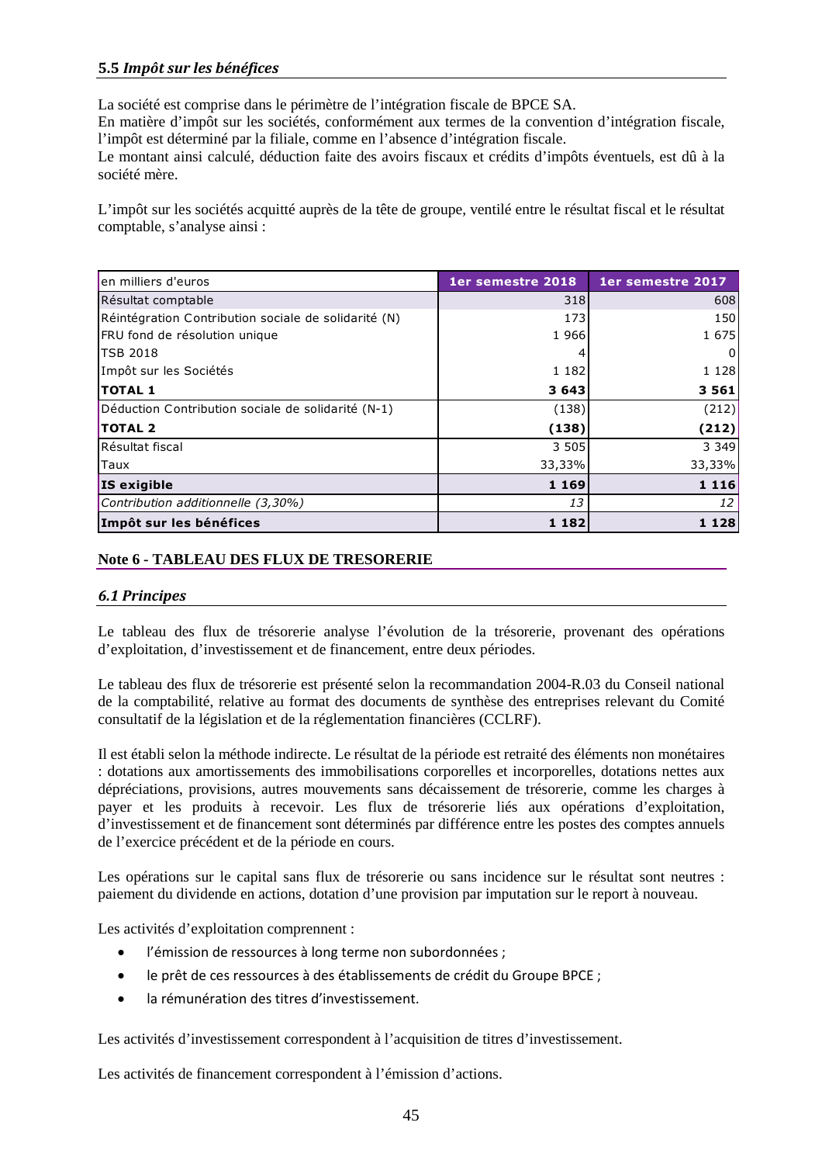# **5.5** *Impôt sur les bénéfices*

La société est comprise dans le périmètre de l'intégration fiscale de BPCE SA.

En matière d'impôt sur les sociétés, conformément aux termes de la convention d'intégration fiscale, l'impôt est déterminé par la filiale, comme en l'absence d'intégration fiscale.

Le montant ainsi calculé, déduction faite des avoirs fiscaux et crédits d'impôts éventuels, est dû à la société mère.

L'impôt sur les sociétés acquitté auprès de la tête de groupe, ventilé entre le résultat fiscal et le résultat comptable, s'analyse ainsi :

| en milliers d'euros                                  | 1er semestre 2018 | 1er semestre 2017 |
|------------------------------------------------------|-------------------|-------------------|
| Résultat comptable                                   | 318               | 608               |
| Réintégration Contribution sociale de solidarité (N) | 173               | 150               |
| FRU fond de résolution unique                        | 1966              | 1 675             |
| <b>TSB 2018</b>                                      |                   | 0                 |
| Impôt sur les Sociétés                               | 1 1 8 2           | 1 1 2 8           |
| <b>TOTAL 1</b>                                       | 3 6 4 3           | 3 5 6 1           |
| Déduction Contribution sociale de solidarité (N-1)   | (138)             | (212)             |
| <b>TOTAL 2</b>                                       | (138)             | (212)             |
| Résultat fiscal                                      | 3 5 0 5           | 3 3 4 9           |
| Taux                                                 | 33,33%            | 33,33%            |
| IS exigible                                          | 1 1 6 9           | 1 1 1 6           |
| Contribution additionnelle (3,30%)                   | 13                | 12                |
| Impôt sur les bénéfices                              | 1 1 8 2           | 1 1 2 8           |

### **Note 6 - TABLEAU DES FLUX DE TRESORERIE**

### *6.1 Principes*

Le tableau des flux de trésorerie analyse l'évolution de la trésorerie, provenant des opérations d'exploitation, d'investissement et de financement, entre deux périodes.

Le tableau des flux de trésorerie est présenté selon la recommandation 2004-R.03 du Conseil national de la comptabilité, relative au format des documents de synthèse des entreprises relevant du Comité consultatif de la législation et de la réglementation financières (CCLRF).

Il est établi selon la méthode indirecte. Le résultat de la période est retraité des éléments non monétaires : dotations aux amortissements des immobilisations corporelles et incorporelles, dotations nettes aux dépréciations, provisions, autres mouvements sans décaissement de trésorerie, comme les charges à payer et les produits à recevoir. Les flux de trésorerie liés aux opérations d'exploitation, d'investissement et de financement sont déterminés par différence entre les postes des comptes annuels de l'exercice précédent et de la période en cours.

Les opérations sur le capital sans flux de trésorerie ou sans incidence sur le résultat sont neutres : paiement du dividende en actions, dotation d'une provision par imputation sur le report à nouveau.

Les activités d'exploitation comprennent :

- l'émission de ressources à long terme non subordonnées ;
- le prêt de ces ressources à des établissements de crédit du Groupe BPCE ;
- la rémunération des titres d'investissement.

Les activités d'investissement correspondent à l'acquisition de titres d'investissement.

Les activités de financement correspondent à l'émission d'actions.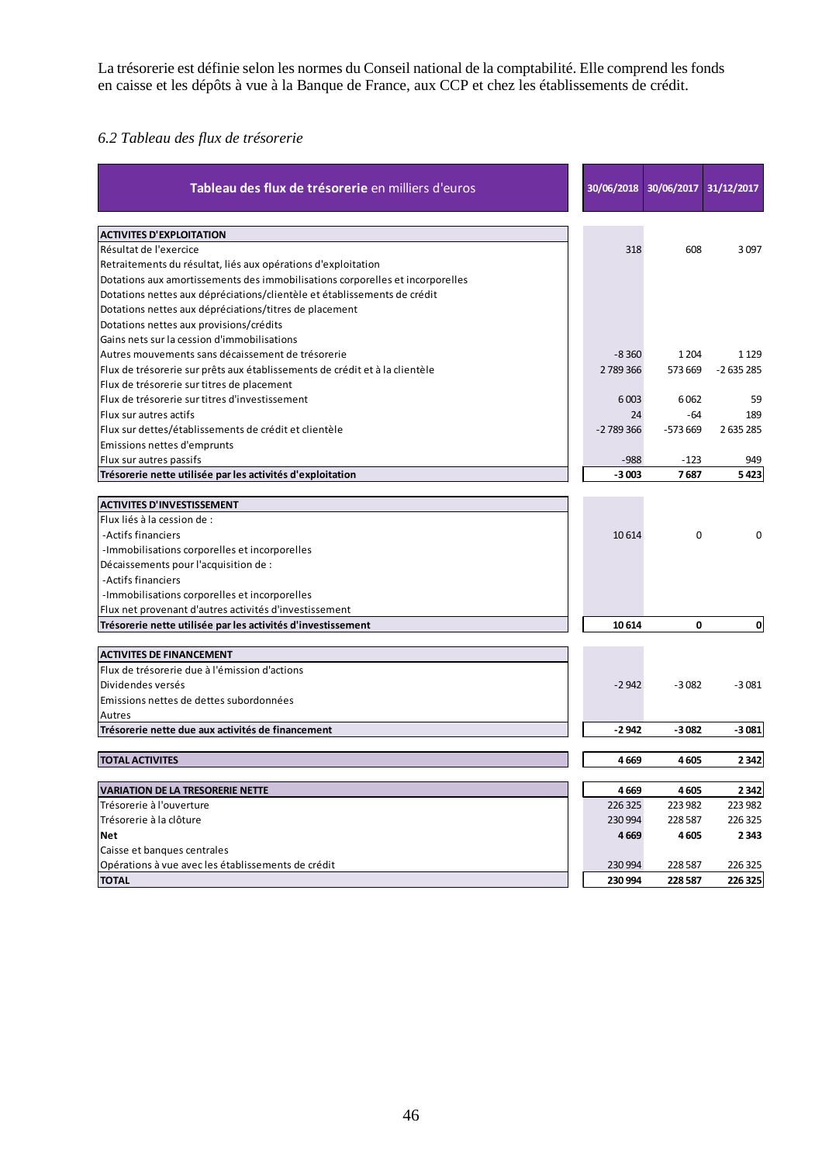La trésorerie est définie selon les normes du Conseil national de la comptabilité. Elle comprend les fonds en caisse et les dépôts à vue à la Banque de France, aux CCP et chez les établissements de crédit.

# *6.2 Tableau des flux de trésorerie*

| Tableau des flux de trésorerie en milliers d'euros                            | 30/06/2018 | 30/06/2017 31/12/2017 |            |
|-------------------------------------------------------------------------------|------------|-----------------------|------------|
| <b>ACTIVITES D'EXPLOITATION</b>                                               |            |                       |            |
| Résultat de l'exercice                                                        | 318        | 608                   | 3097       |
| Retraitements du résultat, liés aux opérations d'exploitation                 |            |                       |            |
| Dotations aux amortissements des immobilisations corporelles et incorporelles |            |                       |            |
| Dotations nettes aux dépréciations/clientèle et établissements de crédit      |            |                       |            |
| Dotations nettes aux dépréciations/titres de placement                        |            |                       |            |
| Dotations nettes aux provisions/crédits                                       |            |                       |            |
| Gains nets sur la cession d'immobilisations                                   |            |                       |            |
| Autres mouvements sans décaissement de trésorerie                             | $-8,360$   | 1 2 0 4               | 1 1 2 9    |
| Flux de trésorerie sur prêts aux établissements de crédit et à la clientèle   | 2789366    | 573 669               | $-2635285$ |
| Flux de trésorerie sur titres de placement                                    |            |                       |            |
| Flux de trésorerie sur titres d'investissement                                | 6003       | 6062                  | 59         |
| Flux sur autres actifs                                                        | 24         | -64                   | 189        |
| Flux sur dettes/établissements de crédit et clientèle                         | $-2789366$ | $-573669$             | 2635285    |
| Emissions nettes d'emprunts                                                   |            |                       |            |
| Flux sur autres passifs                                                       | $-988$     | $-123$                | 949        |
| Trésorerie nette utilisée par les activités d'exploitation                    | $-3003$    | 7687                  | 5423       |
|                                                                               |            |                       |            |
| <b>ACTIVITES D'INVESTISSEMENT</b>                                             |            |                       |            |
| Flux liés à la cession de :                                                   |            |                       |            |
| -Actifs financiers                                                            | 10614      | 0                     | 0          |
| -Immobilisations corporelles et incorporelles                                 |            |                       |            |
| Décaissements pour l'acquisition de :                                         |            |                       |            |
| -Actifs financiers                                                            |            |                       |            |
| -Immobilisations corporelles et incorporelles                                 |            |                       |            |
| Flux net provenant d'autres activités d'investissement                        |            |                       |            |
| Trésorerie nette utilisée par les activités d'investissement                  | 10614      | 0                     | 0          |
|                                                                               |            |                       |            |
| <b>ACTIVITES DE FINANCEMENT</b>                                               |            |                       |            |
| Flux de trésorerie due à l'émission d'actions                                 |            |                       |            |
| Dividendes versés                                                             | $-2942$    | $-3082$               | $-3081$    |
| Emissions nettes de dettes subordonnées                                       |            |                       |            |
| Autres                                                                        |            |                       |            |
| Trésorerie nette due aux activités de financement                             | $-2942$    | $-3082$               | $-3081$    |
|                                                                               |            |                       |            |
| <b>TOTAL ACTIVITES</b>                                                        | 4669       | 4605                  | 2342       |
| <b>VARIATION DE LA TRESORERIE NETTE</b>                                       | 4669       | 4605                  | 2342       |
| Trésorerie à l'ouverture                                                      | 226 325    | 223 982               | 223 982    |
| Trésorerie à la clôture                                                       | 230 994    | 228 587               | 226 325    |
| <b>Net</b>                                                                    | 4669       | 4605                  | 2343       |
| Caisse et banques centrales                                                   |            |                       |            |
| Opérations à vue avec les établissements de crédit                            | 230 994    | 228 587               | 226 325    |
| <b>TOTAL</b>                                                                  | 230 994    | 228 587               | 226 325    |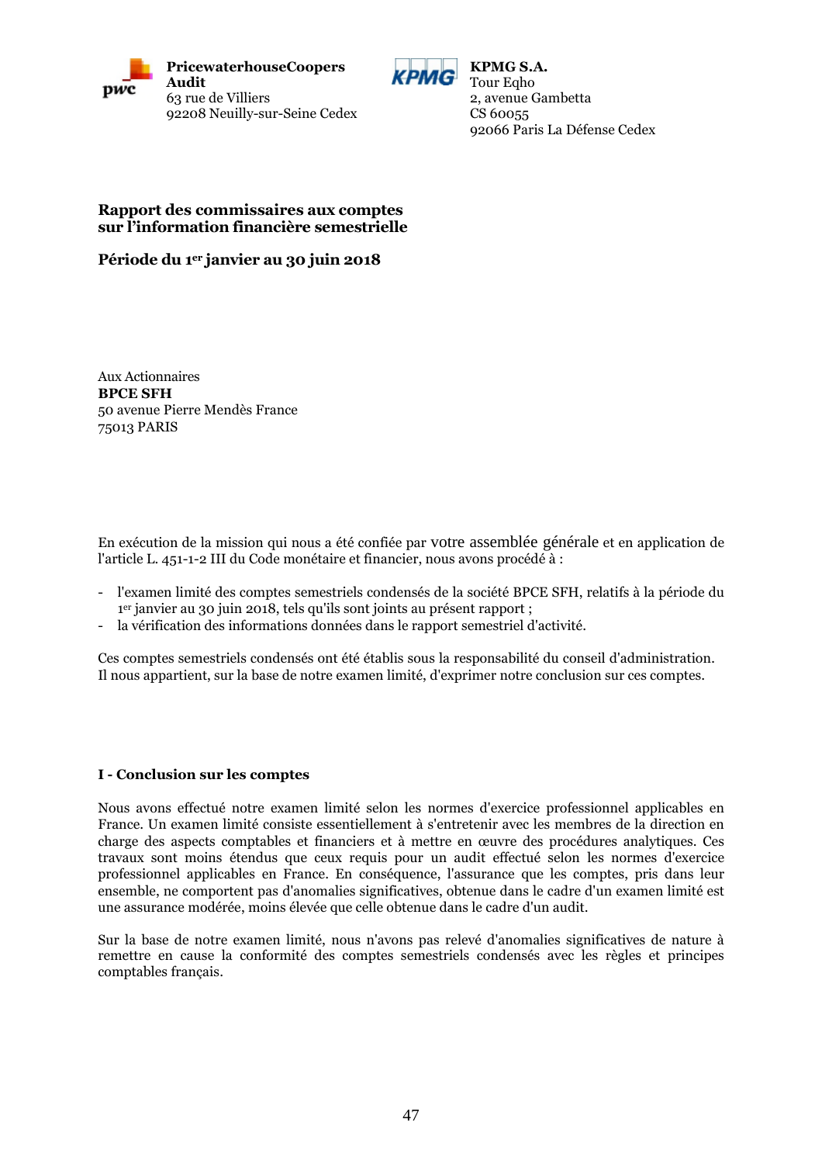



**KPMG S.A.** Tour Egho 2, avenue Gambetta CS 60055 92066 Paris La Défense Cedex

### **Rapport des commissaires aux comptes sur l'information financière semestrielle**

**Période du 1er janvier au 30 juin 2018**

Aux Actionnaires **BPCE SFH** 50 avenue Pierre Mendès France 75013 PARIS

En exécution de la mission qui nous a été confiée par votre assemblée générale et en application de l'article L. 451-1-2 III du Code monétaire et financier, nous avons procédé à :

- l'examen limité des comptes semestriels condensés de la société BPCE SFH, relatifs à la période du 1 er janvier au 30 juin 2018, tels qu'ils sont joints au présent rapport ;
- la vérification des informations données dans le rapport semestriel d'activité.

Ces comptes semestriels condensés ont été établis sous la responsabilité du conseil d'administration*.* Il nous appartient, sur la base de notre examen limité, d'exprimer notre conclusion sur ces comptes.

### **I - Conclusion sur les comptes**

Nous avons effectué notre examen limité selon les normes d'exercice professionnel applicables en France. Un examen limité consiste essentiellement à s'entretenir avec les membres de la direction en charge des aspects comptables et financiers et à mettre en œuvre des procédures analytiques. Ces travaux sont moins étendus que ceux requis pour un audit effectué selon les normes d'exercice professionnel applicables en France. En conséquence, l'assurance que les comptes, pris dans leur ensemble, ne comportent pas d'anomalies significatives, obtenue dans le cadre d'un examen limité est une assurance modérée, moins élevée que celle obtenue dans le cadre d'un audit.

Sur la base de notre examen limité, nous n'avons pas relevé d'anomalies significatives de nature à remettre en cause la conformité des comptes semestriels condensés avec les règles et principes comptables français.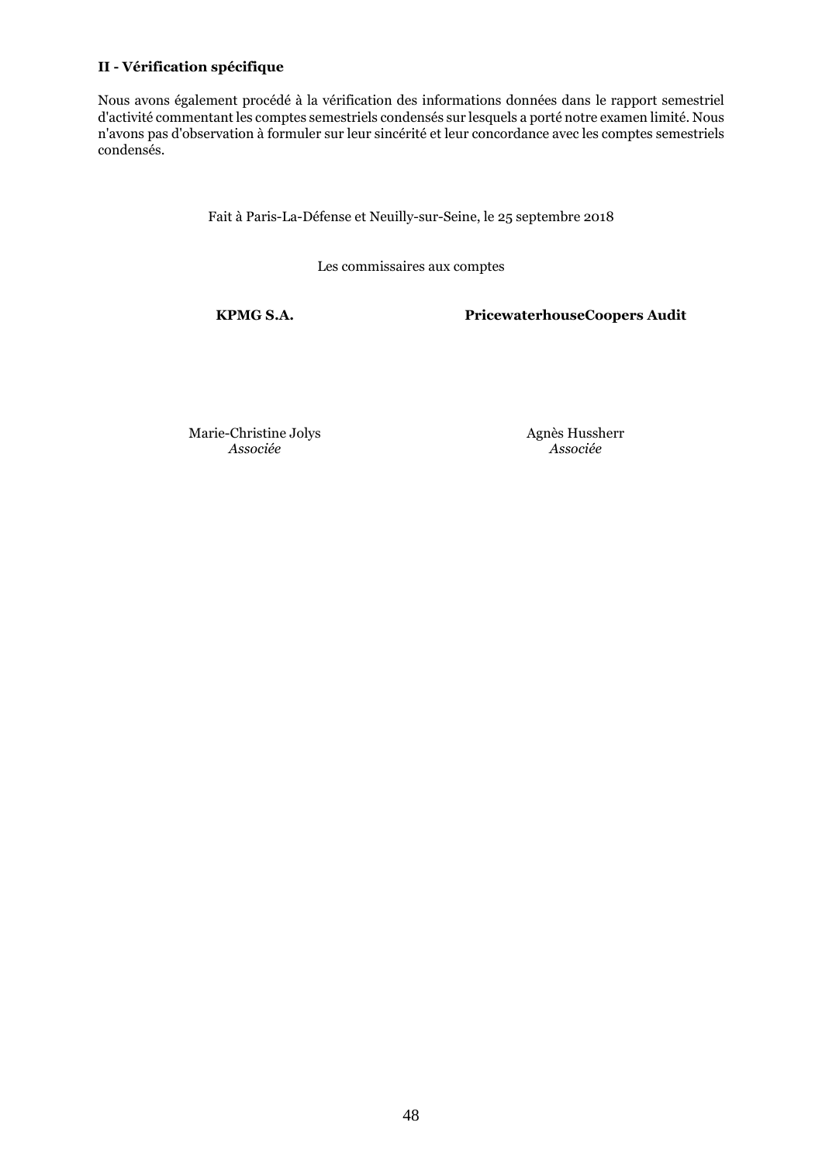### **II - Vérification spécifique**

Nous avons également procédé à la vérification des informations données dans le rapport semestriel d'activité commentant les comptes semestriels condensés sur lesquels a porté notre examen limité. Nous n'avons pas d'observation à formuler sur leur sincérité et leur concordance avec les comptes semestriels condensés.

Fait à Paris-La-Défense et Neuilly-sur-Seine, le 25 septembre 2018

Les commissaires aux comptes

**KPMG S.A. PricewaterhouseCoopers Audit**

Marie-Christine Jolys *Associée*

Agnès Hussherr *Associée*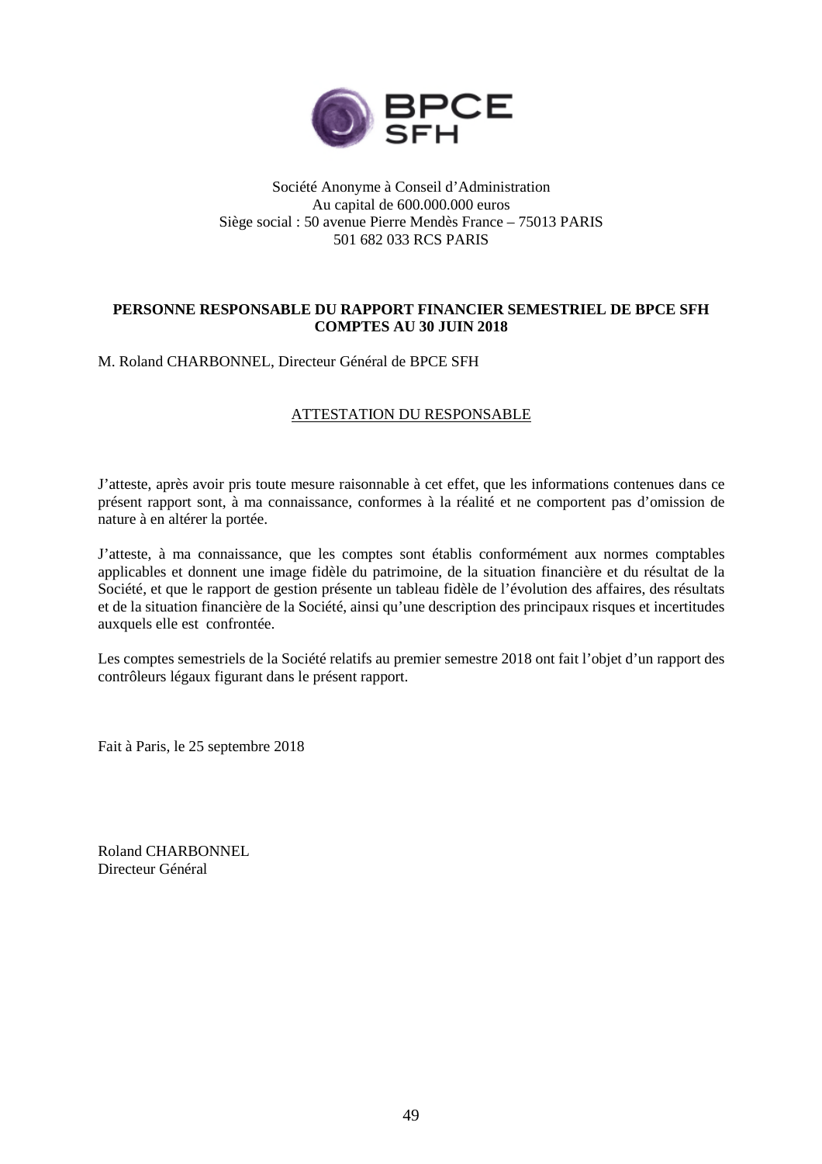

### Société Anonyme à Conseil d'Administration Au capital de 600.000.000 euros Siège social : 50 avenue Pierre Mendès France – 75013 PARIS 501 682 033 RCS PARIS

## **PERSONNE RESPONSABLE DU RAPPORT FINANCIER SEMESTRIEL DE BPCE SFH COMPTES AU 30 JUIN 2018**

M. Roland CHARBONNEL, Directeur Général de BPCE SFH

### ATTESTATION DU RESPONSABLE

J'atteste, après avoir pris toute mesure raisonnable à cet effet, que les informations contenues dans ce présent rapport sont, à ma connaissance, conformes à la réalité et ne comportent pas d'omission de nature à en altérer la portée.

J'atteste, à ma connaissance, que les comptes sont établis conformément aux normes comptables applicables et donnent une image fidèle du patrimoine, de la situation financière et du résultat de la Société, et que le rapport de gestion présente un tableau fidèle de l'évolution des affaires, des résultats et de la situation financière de la Société, ainsi qu'une description des principaux risques et incertitudes auxquels elle est confrontée.

Les comptes semestriels de la Société relatifs au premier semestre 2018 ont fait l'objet d'un rapport des contrôleurs légaux figurant dans le présent rapport.

Fait à Paris, le 25 septembre 2018

Roland CHARBONNEL Directeur Général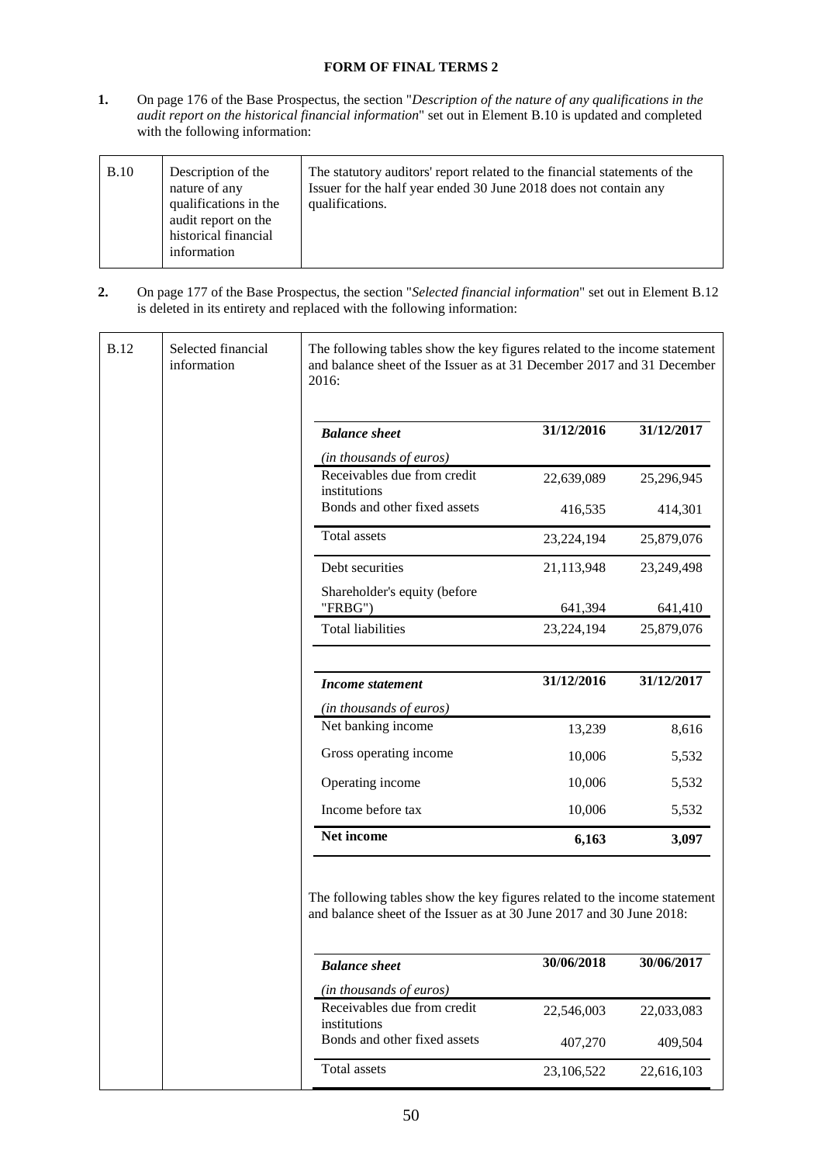### **FORM OF FINAL TERMS 2**

**1.** On page 176 of the Base Prospectus, the section "*Description of the nature of any qualifications in the audit report on the historical financial information*" set out in Element B.10 is updated and completed with the following information:

| B.10 | Description of the<br>nature of any<br>qualifications in the<br>audit report on the<br>historical financial<br>information | The statutory auditors' report related to the financial statements of the<br>Issuer for the half year ended 30 June 2018 does not contain any<br>qualifications. |
|------|----------------------------------------------------------------------------------------------------------------------------|------------------------------------------------------------------------------------------------------------------------------------------------------------------|
|------|----------------------------------------------------------------------------------------------------------------------------|------------------------------------------------------------------------------------------------------------------------------------------------------------------|

**2.** On page 177 of the Base Prospectus, the section "*Selected financial information*" set out in Element B.12 is deleted in its entirety and replaced with the following information:

| <b>B.12</b> | Selected financial<br>information | The following tables show the key figures related to the income statement<br>and balance sheet of the Issuer as at 31 December 2017 and 31 December<br>2016: |            |            |
|-------------|-----------------------------------|--------------------------------------------------------------------------------------------------------------------------------------------------------------|------------|------------|
|             |                                   | <b>Balance</b> sheet                                                                                                                                         | 31/12/2016 | 31/12/2017 |
|             |                                   | (in thousands of euros)                                                                                                                                      |            |            |
|             |                                   | Receivables due from credit<br>institutions                                                                                                                  | 22,639,089 | 25,296,945 |
|             |                                   | Bonds and other fixed assets                                                                                                                                 | 416,535    | 414,301    |
|             |                                   | Total assets                                                                                                                                                 | 23,224,194 | 25,879,076 |
|             |                                   | Debt securities                                                                                                                                              | 21,113,948 | 23,249,498 |
|             |                                   | Shareholder's equity (before<br>"FRBG")                                                                                                                      | 641,394    | 641,410    |
|             |                                   | <b>Total liabilities</b>                                                                                                                                     | 23,224,194 | 25,879,076 |
|             |                                   |                                                                                                                                                              |            |            |
|             |                                   | <b>Income statement</b>                                                                                                                                      | 31/12/2016 | 31/12/2017 |
|             |                                   | (in thousands of euros)                                                                                                                                      |            |            |
|             |                                   | Net banking income                                                                                                                                           | 13,239     | 8,616      |
|             |                                   | Gross operating income                                                                                                                                       | 10,006     | 5,532      |
|             |                                   | Operating income                                                                                                                                             | 10,006     | 5,532      |
|             |                                   | Income before tax                                                                                                                                            | 10,006     | 5,532      |
|             |                                   | Net income                                                                                                                                                   | 6,163      | 3,097      |
|             |                                   | The following tables show the key figures related to the income statement<br>and balance sheet of the Issuer as at 30 June 2017 and 30 June 2018:            |            |            |
|             |                                   | <b>Balance</b> sheet                                                                                                                                         | 30/06/2018 | 30/06/2017 |
|             |                                   | (in thousands of euros)                                                                                                                                      |            |            |
|             |                                   | Receivables due from credit<br>institutions                                                                                                                  | 22,546,003 | 22,033,083 |
|             |                                   | Bonds and other fixed assets                                                                                                                                 | 407,270    | 409,504    |
|             |                                   | Total assets                                                                                                                                                 | 23,106,522 | 22,616,103 |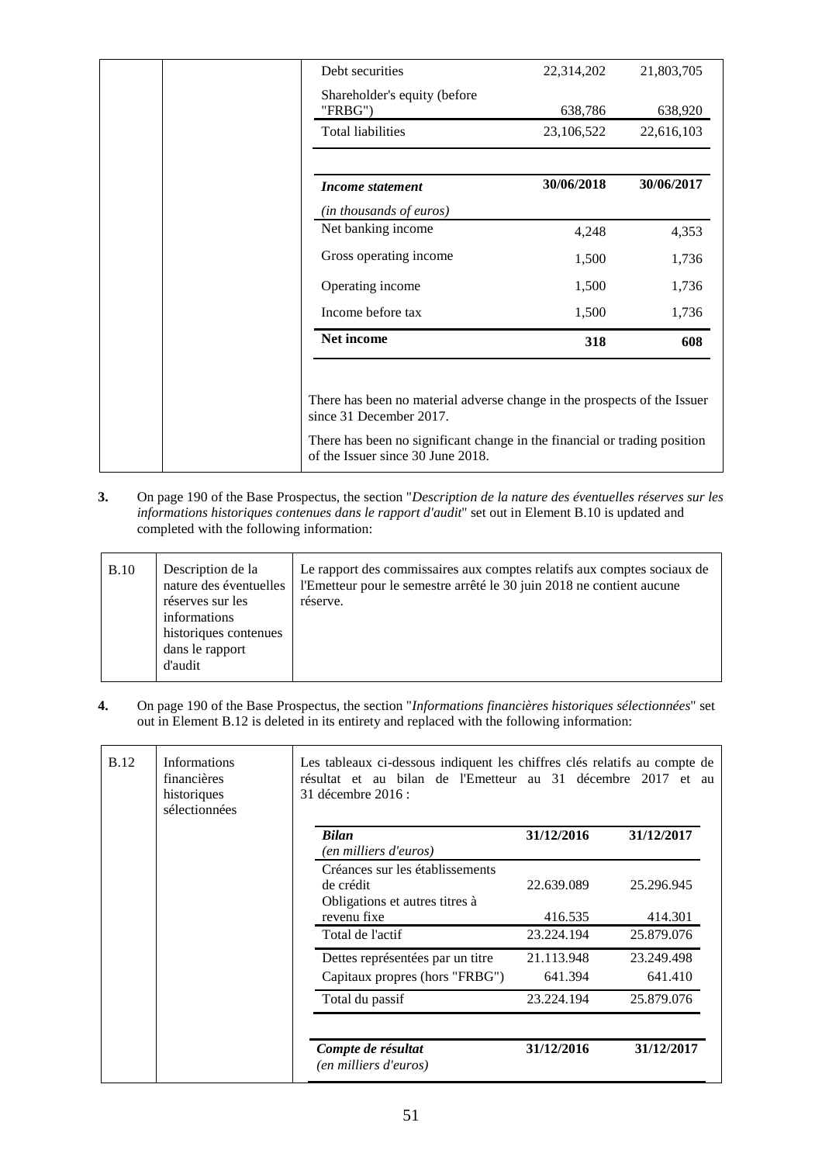| Debt securities                         | 22,314,202 | 21,803,705 |
|-----------------------------------------|------------|------------|
| Shareholder's equity (before<br>"FRBG") | 638,786    | 638,920    |
| <b>Total liabilities</b>                | 23,106,522 | 22,616,103 |
| Income statement                        | 30/06/2018 | 30/06/2017 |
| (in thousands of euros)                 |            |            |
| Net banking income                      | 4,248      | 4,353      |
| Gross operating income                  | 1,500      | 1,736      |
| Operating income                        | 1,500      | 1,736      |
| Income before tax                       | 1,500      | 1,736      |
| Net income                              | 318        | 608        |

**3.** On page 190 of the Base Prospectus, the section "*Description de la nature des éventuelles réserves sur les informations historiques contenues dans le rapport d'audit*" set out in Element B.10 is updated and completed with the following information:

| <b>B.10</b> | Description de la<br>nature des éventuelles<br>réserves sur les<br>informations<br>historiques contenues<br>dans le rapport<br>d'audit | Le rapport des commissaires aux comptes relatifs aux comptes sociaux de<br>l'Emetteur pour le semestre arrêté le 30 juin 2018 ne contient aucune<br>réserve. |  |
|-------------|----------------------------------------------------------------------------------------------------------------------------------------|--------------------------------------------------------------------------------------------------------------------------------------------------------------|--|
|-------------|----------------------------------------------------------------------------------------------------------------------------------------|--------------------------------------------------------------------------------------------------------------------------------------------------------------|--|

**4.** On page 190 of the Base Prospectus, the section "*Informations financières historiques sélectionnées*" set out in Element B.12 is deleted in its entirety and replaced with the following information:

| <b>Informations</b><br><b>B.12</b><br>financières<br>historiques<br>sélectionnées |                                | Les tableaux ci-dessous indiquent les chiffres clés relatifs au compte de<br>résultat et au bilan de l'Emetteur au 31 décembre 2017 et au<br>31 décembre 2016 : |            |            |
|-----------------------------------------------------------------------------------|--------------------------------|-----------------------------------------------------------------------------------------------------------------------------------------------------------------|------------|------------|
|                                                                                   |                                | <b>Bilan</b><br>(en milliers d'euros)                                                                                                                           | 31/12/2016 | 31/12/2017 |
|                                                                                   |                                | Créances sur les établissements<br>de crédit<br>Obligations et autres titres à                                                                                  | 22.639.089 | 25.296.945 |
|                                                                                   |                                | revenu fixe                                                                                                                                                     | 416.535    | 414.301    |
|                                                                                   |                                | Total de l'actif                                                                                                                                                | 23.224.194 | 25.879.076 |
|                                                                                   |                                | Dettes représentées par un titre                                                                                                                                | 21.113.948 | 23.249.498 |
|                                                                                   | Capitaux propres (hors "FRBG") | 641.394                                                                                                                                                         | 641.410    |            |
|                                                                                   | Total du passif                | 23.224.194                                                                                                                                                      | 25.879.076 |            |
|                                                                                   |                                | Compte de résultat<br>(en milliers d'euros)                                                                                                                     | 31/12/2016 | 31/12/2017 |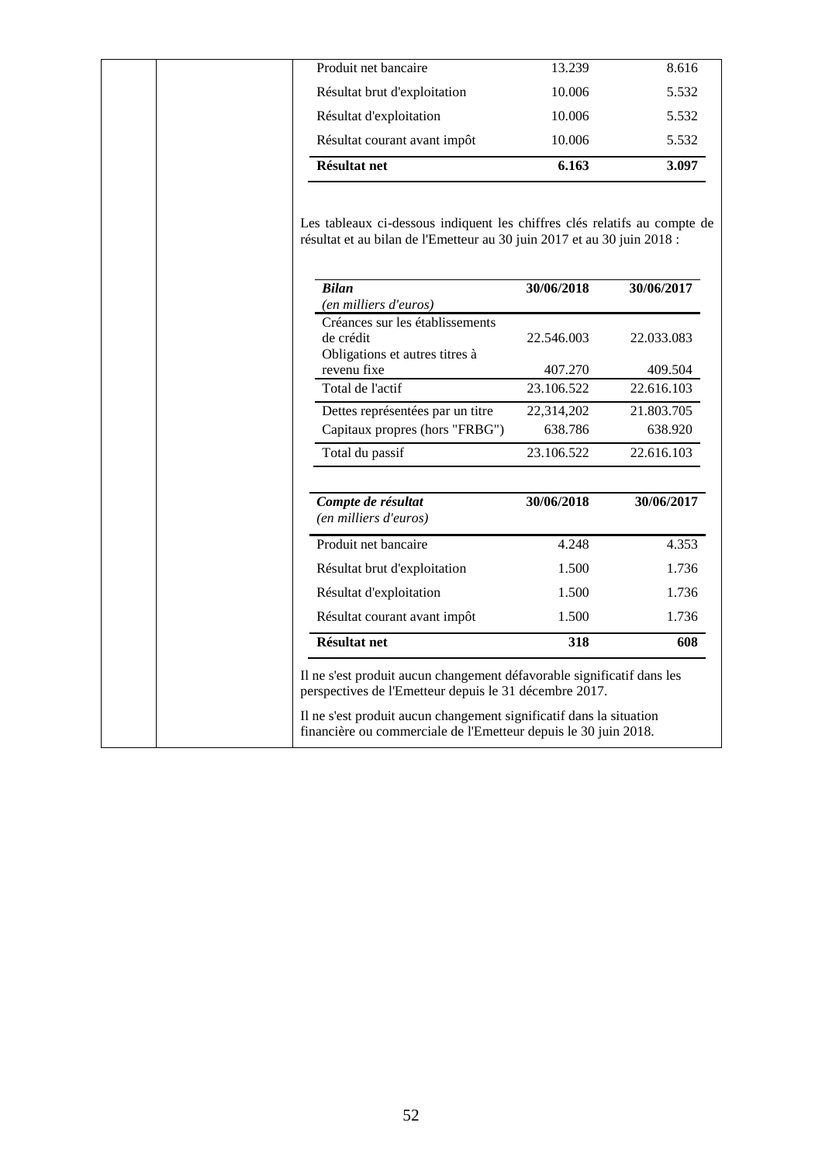| Produit net bancaire                                                                                                                                 | 13.239     | 8.616      |
|------------------------------------------------------------------------------------------------------------------------------------------------------|------------|------------|
| Résultat brut d'exploitation                                                                                                                         | 10.006     | 5.532      |
| Résultat d'exploitation                                                                                                                              | 10.006     | 5.532      |
| Résultat courant avant impôt                                                                                                                         | 10.006     | 5.532      |
| <b>Résultat net</b>                                                                                                                                  | 6.163      | 3.097      |
| Les tableaux ci-dessous indiquent les chiffres clés relatifs au compte de<br>résultat et au bilan de l'Emetteur au 30 juin 2017 et au 30 juin 2018 : |            |            |
| <b>Bilan</b><br>(en milliers d'euros)                                                                                                                | 30/06/2018 | 30/06/2017 |
| Créances sur les établissements<br>de crédit<br>Obligations et autres titres à                                                                       | 22.546.003 | 22.033.083 |
| revenu fixe                                                                                                                                          | 407.270    | 409.504    |
| Total de l'actif                                                                                                                                     | 23.106.522 | 22.616.103 |
| Dettes représentées par un titre                                                                                                                     | 22,314,202 | 21.803.705 |
| Capitaux propres (hors "FRBG")                                                                                                                       | 638.786    | 638.920    |
| Total du passif                                                                                                                                      | 23.106.522 | 22.616.103 |
| Compte de résultat<br>(en milliers d'euros)                                                                                                          | 30/06/2018 | 30/06/2017 |
| Produit net bancaire                                                                                                                                 | 4.248      | 4.353      |
| Résultat brut d'exploitation                                                                                                                         | 1.500      | 1.736      |
|                                                                                                                                                      | 1.500      | 1.736      |
| Résultat d'exploitation                                                                                                                              |            |            |
| Résultat courant avant impôt                                                                                                                         | 1.500      | 1.736      |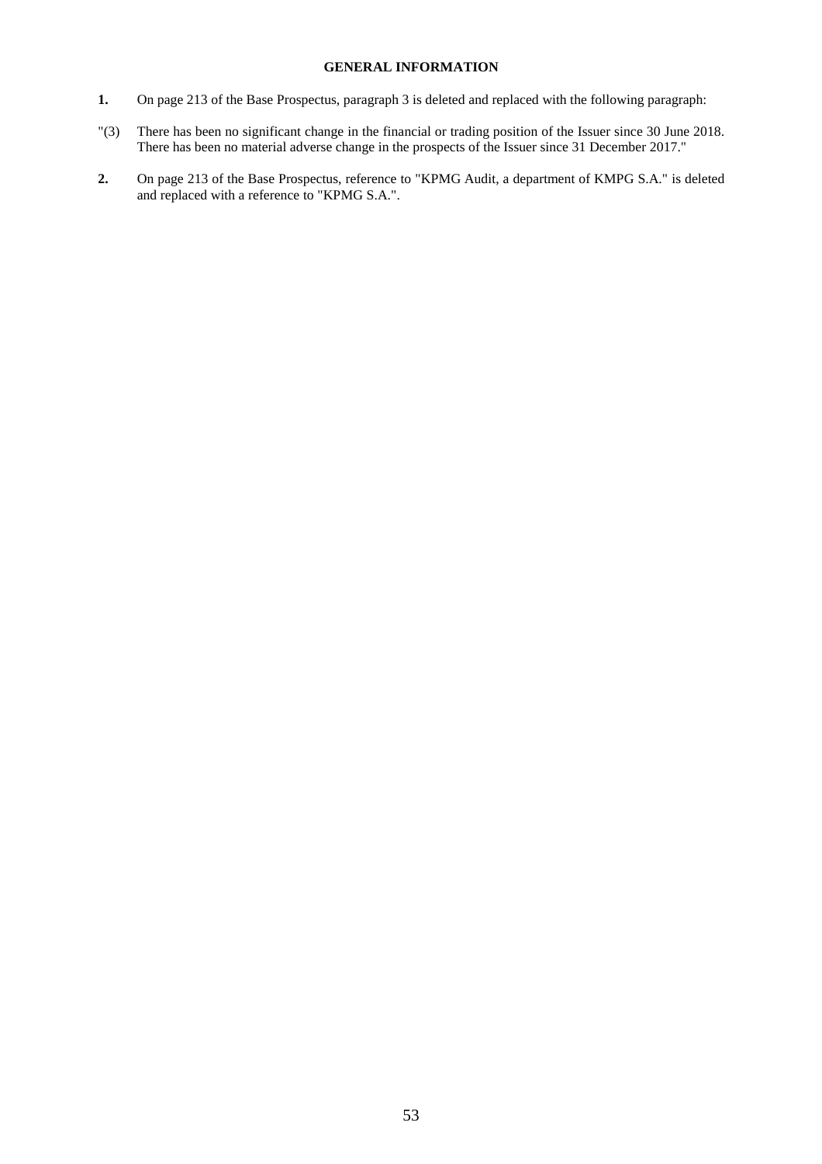### **GENERAL INFORMATION**

- **1.** On page 213 of the Base Prospectus, paragraph 3 is deleted and replaced with the following paragraph:
- "(3) There has been no significant change in the financial or trading position of the Issuer since 30 June 2018. There has been no material adverse change in the prospects of the Issuer since 31 December 2017."
- **2.** On page 213 of the Base Prospectus, reference to "KPMG Audit, a department of KMPG S.A." is deleted and replaced with a reference to "KPMG S.A.".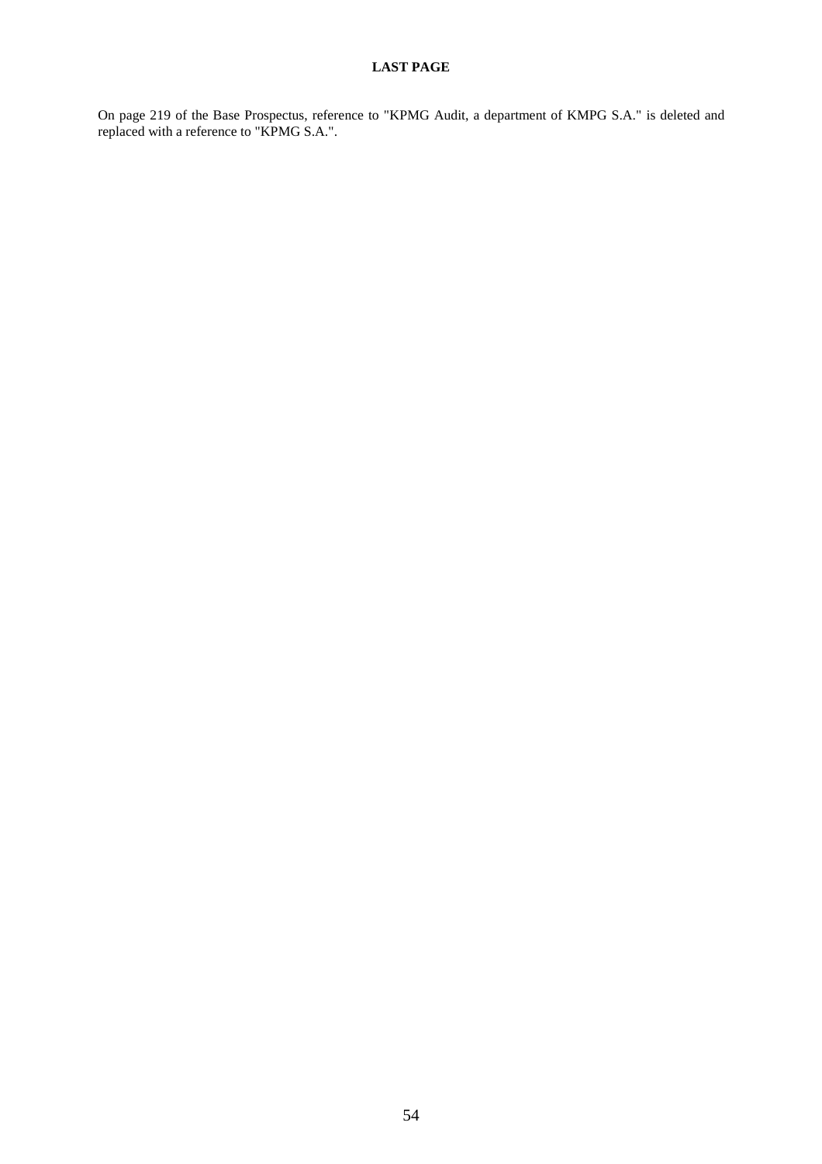On page 219 of the Base Prospectus, reference to "KPMG Audit, a department of KMPG S.A." is deleted and replaced with a reference to "KPMG S.A.".